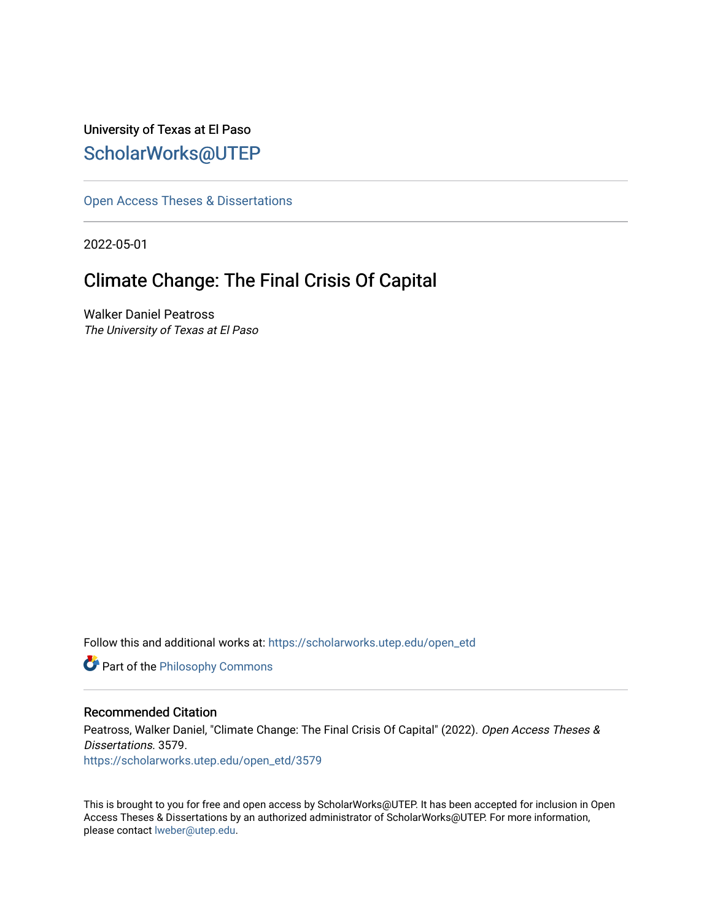University of Texas at El Paso [ScholarWorks@UTEP](https://scholarworks.utep.edu/)

[Open Access Theses & Dissertations](https://scholarworks.utep.edu/open_etd) 

2022-05-01

# Climate Change: The Final Crisis Of Capital

Walker Daniel Peatross The University of Texas at El Paso

Follow this and additional works at: [https://scholarworks.utep.edu/open\\_etd](https://scholarworks.utep.edu/open_etd?utm_source=scholarworks.utep.edu%2Fopen_etd%2F3579&utm_medium=PDF&utm_campaign=PDFCoverPages)

**Part of the Philosophy Commons** 

### Recommended Citation

Peatross, Walker Daniel, "Climate Change: The Final Crisis Of Capital" (2022). Open Access Theses & Dissertations. 3579. [https://scholarworks.utep.edu/open\\_etd/3579](https://scholarworks.utep.edu/open_etd/3579?utm_source=scholarworks.utep.edu%2Fopen_etd%2F3579&utm_medium=PDF&utm_campaign=PDFCoverPages) 

This is brought to you for free and open access by ScholarWorks@UTEP. It has been accepted for inclusion in Open Access Theses & Dissertations by an authorized administrator of ScholarWorks@UTEP. For more information, please contact [lweber@utep.edu.](mailto:lweber@utep.edu)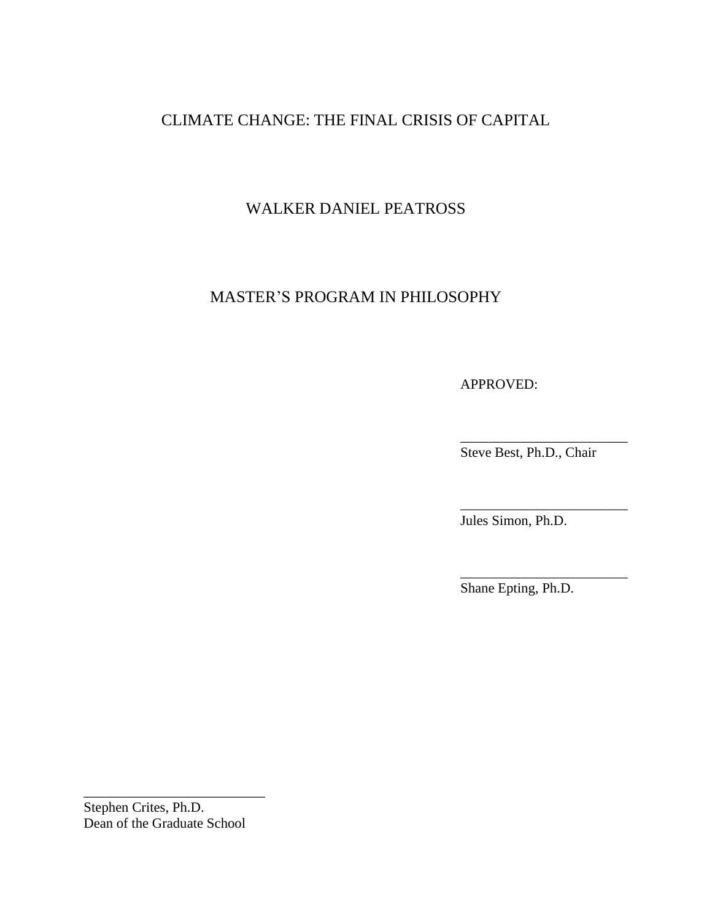## CLIMATE CHANGE: THE FINAL CRISIS OF CAPITAL

## WALKER DANIEL PEATROSS

### MASTER'S PROGRAM IN PHILOSOPHY

APPROVED:

Steve Best, Ph.D., Chair

\_\_\_\_\_\_\_\_\_\_\_\_\_\_\_\_\_\_\_\_\_\_\_\_

\_\_\_\_\_\_\_\_\_\_\_\_\_\_\_\_\_\_\_\_\_\_\_\_

\_\_\_\_\_\_\_\_\_\_\_\_\_\_\_\_\_\_\_\_\_\_\_\_

Jules Simon, Ph.D.

Shane Epting, Ph.D.

Stephen Crites, Ph.D. Dean of the Graduate School

\_\_\_\_\_\_\_\_\_\_\_\_\_\_\_\_\_\_\_\_\_\_\_\_\_\_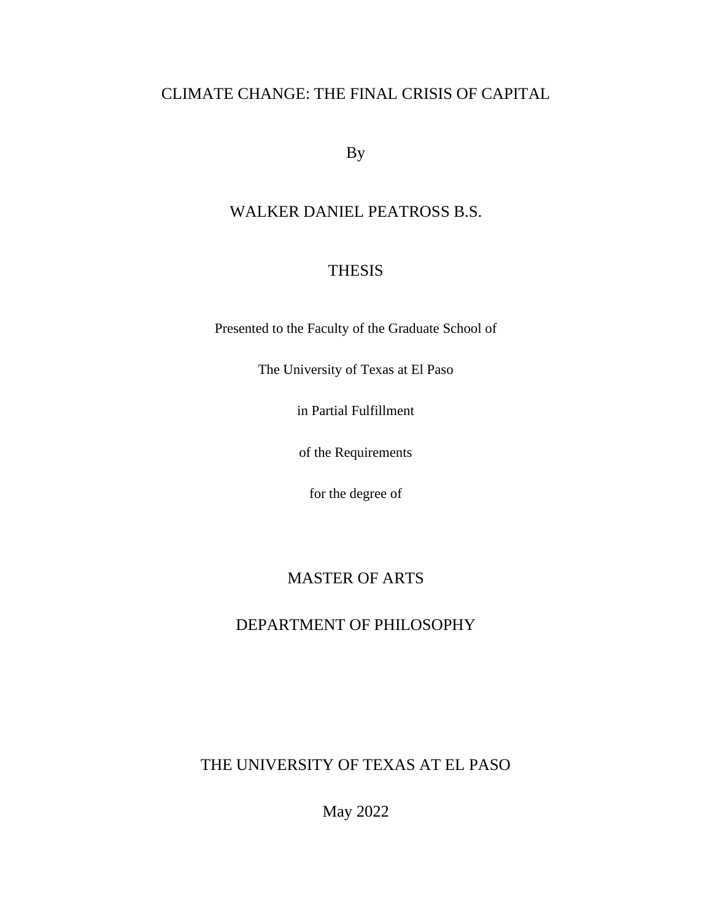## CLIMATE CHANGE: THE FINAL CRISIS OF CAPITAL

By

## WALKER DANIEL PEATROSS B.S.

## THESIS

Presented to the Faculty of the Graduate School of

The University of Texas at El Paso

in Partial Fulfillment

of the Requirements

for the degree of

## MASTER OF ARTS

## DEPARTMENT OF PHILOSOPHY

THE UNIVERSITY OF TEXAS AT EL PASO

May 2022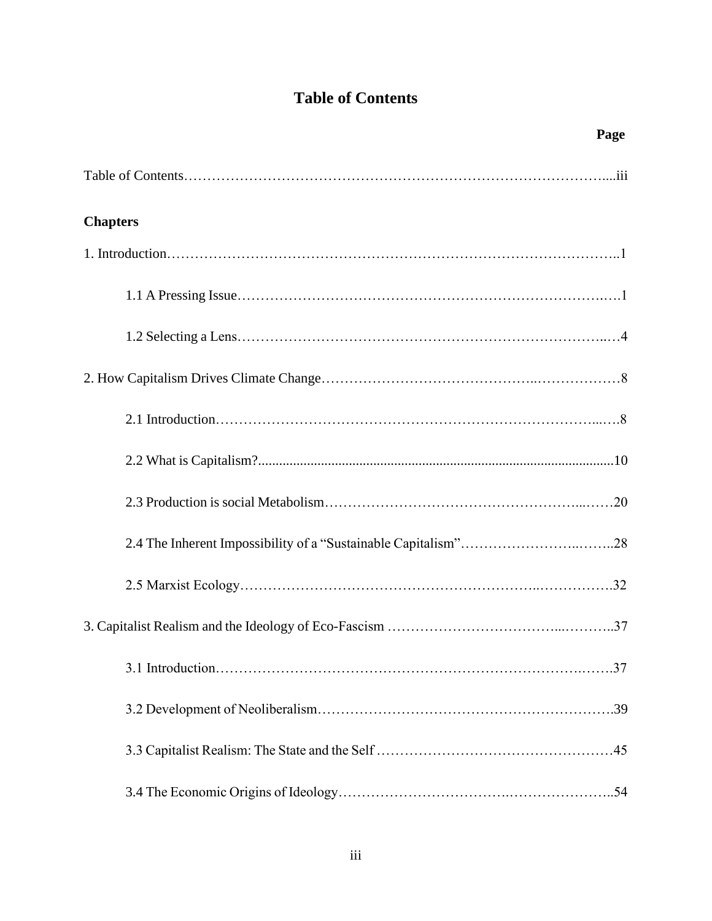## **Table of Contents**

| Page            |
|-----------------|
|                 |
| <b>Chapters</b> |
|                 |
|                 |
|                 |
|                 |
|                 |
|                 |
|                 |
|                 |
|                 |
|                 |
|                 |
|                 |
|                 |
|                 |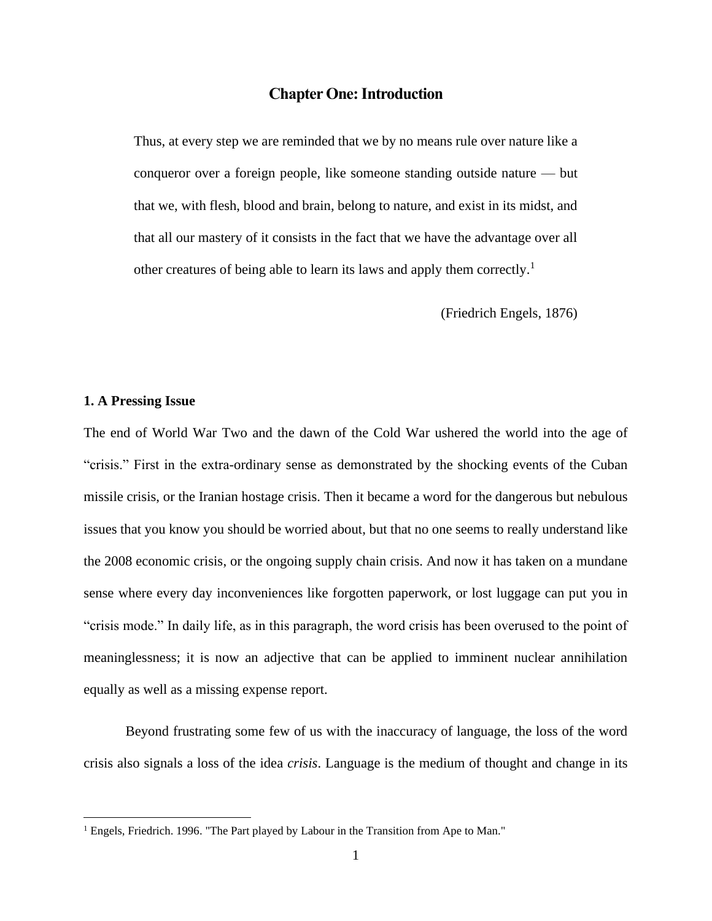### **Chapter One: Introduction**

Thus, at every step we are reminded that we by no means rule over nature like a conqueror over a foreign people, like someone standing outside nature — but that we, with flesh, blood and brain, belong to nature, and exist in its midst, and that all our mastery of it consists in the fact that we have the advantage over all other creatures of being able to learn its laws and apply them correctly.<sup>1</sup>

(Friedrich Engels, 1876)

#### **1. A Pressing Issue**

The end of World War Two and the dawn of the Cold War ushered the world into the age of "crisis." First in the extra-ordinary sense as demonstrated by the shocking events of the Cuban missile crisis, or the Iranian hostage crisis. Then it became a word for the dangerous but nebulous issues that you know you should be worried about, but that no one seems to really understand like the 2008 economic crisis, or the ongoing supply chain crisis. And now it has taken on a mundane sense where every day inconveniences like forgotten paperwork, or lost luggage can put you in "crisis mode." In daily life, as in this paragraph, the word crisis has been overused to the point of meaninglessness; it is now an adjective that can be applied to imminent nuclear annihilation equally as well as a missing expense report.

Beyond frustrating some few of us with the inaccuracy of language, the loss of the word crisis also signals a loss of the idea *crisis*. Language is the medium of thought and change in its

<sup>&</sup>lt;sup>1</sup> Engels, Friedrich. 1996. "The Part played by Labour in the Transition from Ape to Man."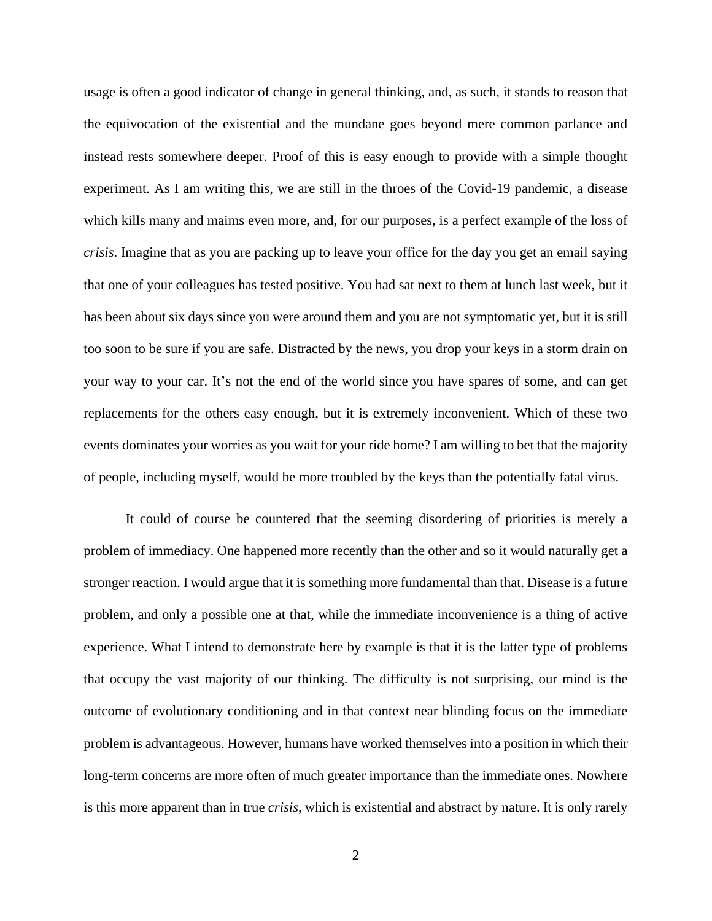usage is often a good indicator of change in general thinking, and, as such, it stands to reason that the equivocation of the existential and the mundane goes beyond mere common parlance and instead rests somewhere deeper. Proof of this is easy enough to provide with a simple thought experiment. As I am writing this, we are still in the throes of the Covid-19 pandemic, a disease which kills many and maims even more, and, for our purposes, is a perfect example of the loss of *crisis*. Imagine that as you are packing up to leave your office for the day you get an email saying that one of your colleagues has tested positive. You had sat next to them at lunch last week, but it has been about six days since you were around them and you are not symptomatic yet, but it is still too soon to be sure if you are safe. Distracted by the news, you drop your keys in a storm drain on your way to your car. It's not the end of the world since you have spares of some, and can get replacements for the others easy enough, but it is extremely inconvenient. Which of these two events dominates your worries as you wait for your ride home? I am willing to bet that the majority of people, including myself, would be more troubled by the keys than the potentially fatal virus.

It could of course be countered that the seeming disordering of priorities is merely a problem of immediacy. One happened more recently than the other and so it would naturally get a stronger reaction. I would argue that it is something more fundamental than that. Disease is a future problem, and only a possible one at that, while the immediate inconvenience is a thing of active experience. What I intend to demonstrate here by example is that it is the latter type of problems that occupy the vast majority of our thinking. The difficulty is not surprising, our mind is the outcome of evolutionary conditioning and in that context near blinding focus on the immediate problem is advantageous. However, humans have worked themselves into a position in which their long-term concerns are more often of much greater importance than the immediate ones. Nowhere is this more apparent than in true *crisis*, which is existential and abstract by nature. It is only rarely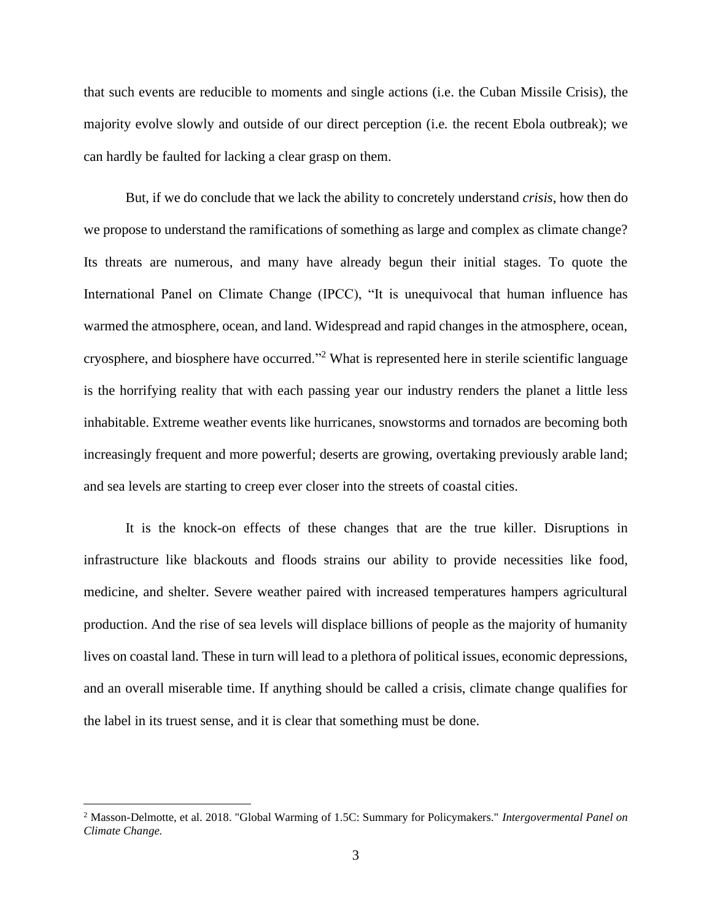that such events are reducible to moments and single actions (i.e. the Cuban Missile Crisis), the majority evolve slowly and outside of our direct perception (i.e*.* the recent Ebola outbreak); we can hardly be faulted for lacking a clear grasp on them.

But, if we do conclude that we lack the ability to concretely understand *crisis*, how then do we propose to understand the ramifications of something as large and complex as climate change? Its threats are numerous, and many have already begun their initial stages. To quote the International Panel on Climate Change (IPCC), "It is unequivocal that human influence has warmed the atmosphere, ocean, and land. Widespread and rapid changes in the atmosphere, ocean, cryosphere, and biosphere have occurred."<sup>2</sup> What is represented here in sterile scientific language is the horrifying reality that with each passing year our industry renders the planet a little less inhabitable. Extreme weather events like hurricanes, snowstorms and tornados are becoming both increasingly frequent and more powerful; deserts are growing, overtaking previously arable land; and sea levels are starting to creep ever closer into the streets of coastal cities.

It is the knock-on effects of these changes that are the true killer. Disruptions in infrastructure like blackouts and floods strains our ability to provide necessities like food, medicine, and shelter. Severe weather paired with increased temperatures hampers agricultural production. And the rise of sea levels will displace billions of people as the majority of humanity lives on coastal land. These in turn will lead to a plethora of political issues, economic depressions, and an overall miserable time. If anything should be called a crisis, climate change qualifies for the label in its truest sense, and it is clear that something must be done.

<sup>2</sup> Masson-Delmotte, et al. 2018. "Global Warming of 1.5C: Summary for Policymakers." *Intergovermental Panel on Climate Change.*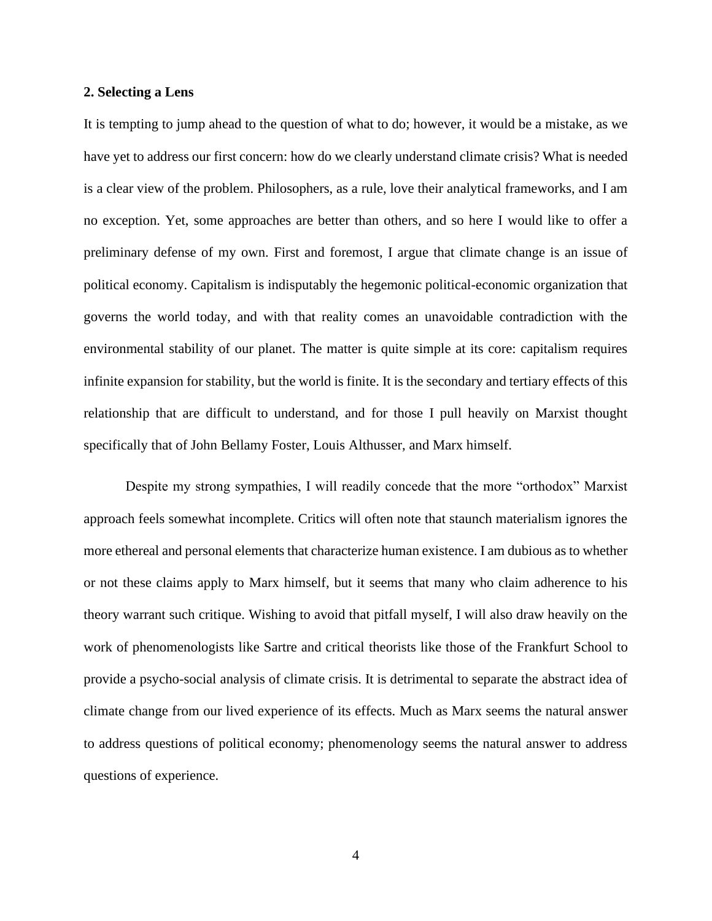### **2. Selecting a Lens**

It is tempting to jump ahead to the question of what to do; however, it would be a mistake, as we have yet to address our first concern: how do we clearly understand climate crisis? What is needed is a clear view of the problem. Philosophers, as a rule, love their analytical frameworks, and I am no exception. Yet, some approaches are better than others, and so here I would like to offer a preliminary defense of my own. First and foremost, I argue that climate change is an issue of political economy. Capitalism is indisputably the hegemonic political-economic organization that governs the world today, and with that reality comes an unavoidable contradiction with the environmental stability of our planet. The matter is quite simple at its core: capitalism requires infinite expansion for stability, but the world is finite. It is the secondary and tertiary effects of this relationship that are difficult to understand, and for those I pull heavily on Marxist thought specifically that of John Bellamy Foster, Louis Althusser, and Marx himself.

Despite my strong sympathies, I will readily concede that the more "orthodox" Marxist approach feels somewhat incomplete. Critics will often note that staunch materialism ignores the more ethereal and personal elements that characterize human existence. I am dubious as to whether or not these claims apply to Marx himself, but it seems that many who claim adherence to his theory warrant such critique. Wishing to avoid that pitfall myself, I will also draw heavily on the work of phenomenologists like Sartre and critical theorists like those of the Frankfurt School to provide a psycho-social analysis of climate crisis. It is detrimental to separate the abstract idea of climate change from our lived experience of its effects. Much as Marx seems the natural answer to address questions of political economy; phenomenology seems the natural answer to address questions of experience.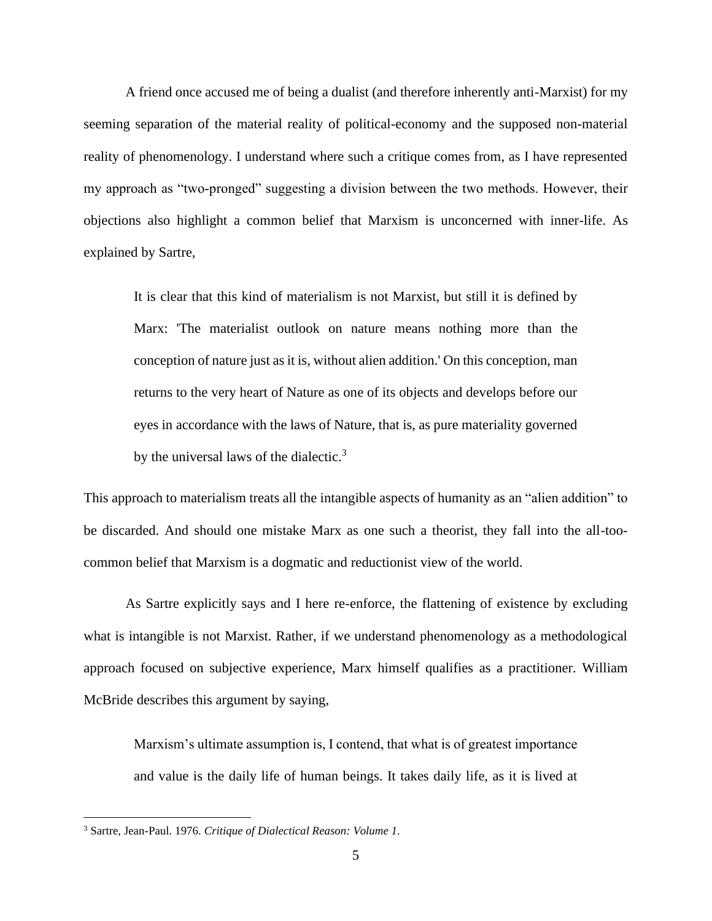A friend once accused me of being a dualist (and therefore inherently anti-Marxist) for my seeming separation of the material reality of political-economy and the supposed non-material reality of phenomenology. I understand where such a critique comes from, as I have represented my approach as "two-pronged" suggesting a division between the two methods. However, their objections also highlight a common belief that Marxism is unconcerned with inner-life. As explained by Sartre,

It is clear that this kind of materialism is not Marxist, but still it is defined by Marx: 'The materialist outlook on nature means nothing more than the conception of nature just as it is, without alien addition.' On this conception, man returns to the very heart of Nature as one of its objects and develops before our eyes in accordance with the laws of Nature, that is, as pure materiality governed by the universal laws of the dialectic.<sup>3</sup>

This approach to materialism treats all the intangible aspects of humanity as an "alien addition" to be discarded. And should one mistake Marx as one such a theorist, they fall into the all-toocommon belief that Marxism is a dogmatic and reductionist view of the world.

As Sartre explicitly says and I here re-enforce, the flattening of existence by excluding what is intangible is not Marxist. Rather, if we understand phenomenology as a methodological approach focused on subjective experience, Marx himself qualifies as a practitioner. William McBride describes this argument by saying,

Marxism's ultimate assumption is, I contend, that what is of greatest importance and value is the daily life of human beings. It takes daily life, as it is lived at

<sup>3</sup> Sartre, Jean-Paul. 1976. *Critique of Dialectical Reason: Volume 1.*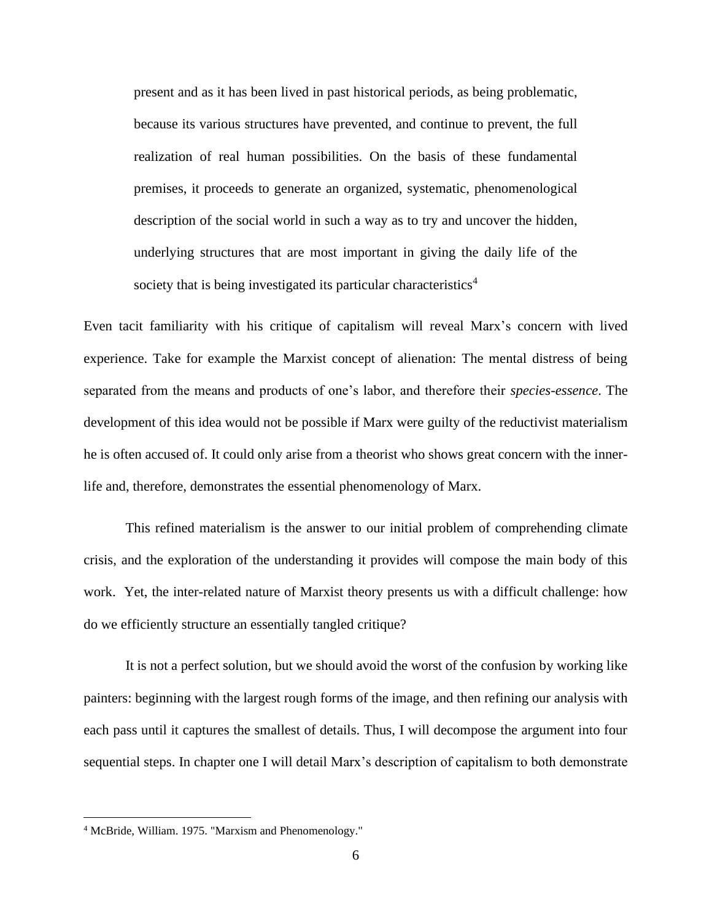present and as it has been lived in past historical periods, as being problematic, because its various structures have prevented, and continue to prevent, the full realization of real human possibilities. On the basis of these fundamental premises, it proceeds to generate an organized, systematic, phenomenological description of the social world in such a way as to try and uncover the hidden, underlying structures that are most important in giving the daily life of the society that is being investigated its particular characteristics<sup>4</sup>

Even tacit familiarity with his critique of capitalism will reveal Marx's concern with lived experience. Take for example the Marxist concept of alienation: The mental distress of being separated from the means and products of one's labor, and therefore their *species-essence*. The development of this idea would not be possible if Marx were guilty of the reductivist materialism he is often accused of. It could only arise from a theorist who shows great concern with the innerlife and, therefore, demonstrates the essential phenomenology of Marx.

This refined materialism is the answer to our initial problem of comprehending climate crisis, and the exploration of the understanding it provides will compose the main body of this work. Yet, the inter-related nature of Marxist theory presents us with a difficult challenge: how do we efficiently structure an essentially tangled critique?

It is not a perfect solution, but we should avoid the worst of the confusion by working like painters: beginning with the largest rough forms of the image, and then refining our analysis with each pass until it captures the smallest of details. Thus, I will decompose the argument into four sequential steps. In chapter one I will detail Marx's description of capitalism to both demonstrate

<sup>4</sup> McBride, William. 1975. "Marxism and Phenomenology."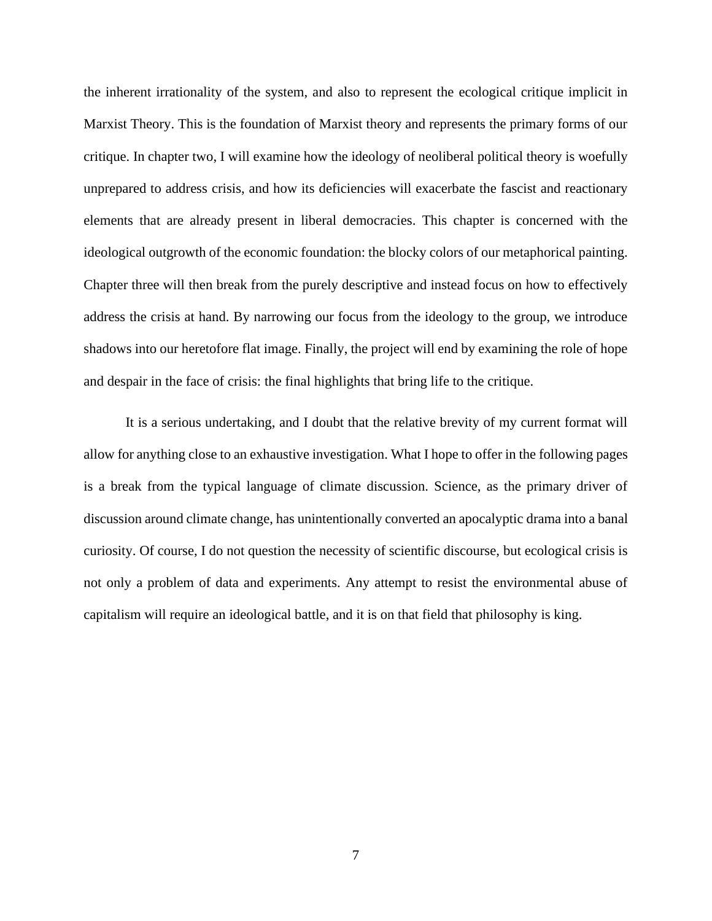the inherent irrationality of the system, and also to represent the ecological critique implicit in Marxist Theory. This is the foundation of Marxist theory and represents the primary forms of our critique. In chapter two, I will examine how the ideology of neoliberal political theory is woefully unprepared to address crisis, and how its deficiencies will exacerbate the fascist and reactionary elements that are already present in liberal democracies. This chapter is concerned with the ideological outgrowth of the economic foundation: the blocky colors of our metaphorical painting. Chapter three will then break from the purely descriptive and instead focus on how to effectively address the crisis at hand. By narrowing our focus from the ideology to the group, we introduce shadows into our heretofore flat image. Finally, the project will end by examining the role of hope and despair in the face of crisis: the final highlights that bring life to the critique.

It is a serious undertaking, and I doubt that the relative brevity of my current format will allow for anything close to an exhaustive investigation. What I hope to offer in the following pages is a break from the typical language of climate discussion. Science, as the primary driver of discussion around climate change, has unintentionally converted an apocalyptic drama into a banal curiosity. Of course, I do not question the necessity of scientific discourse, but ecological crisis is not only a problem of data and experiments. Any attempt to resist the environmental abuse of capitalism will require an ideological battle, and it is on that field that philosophy is king.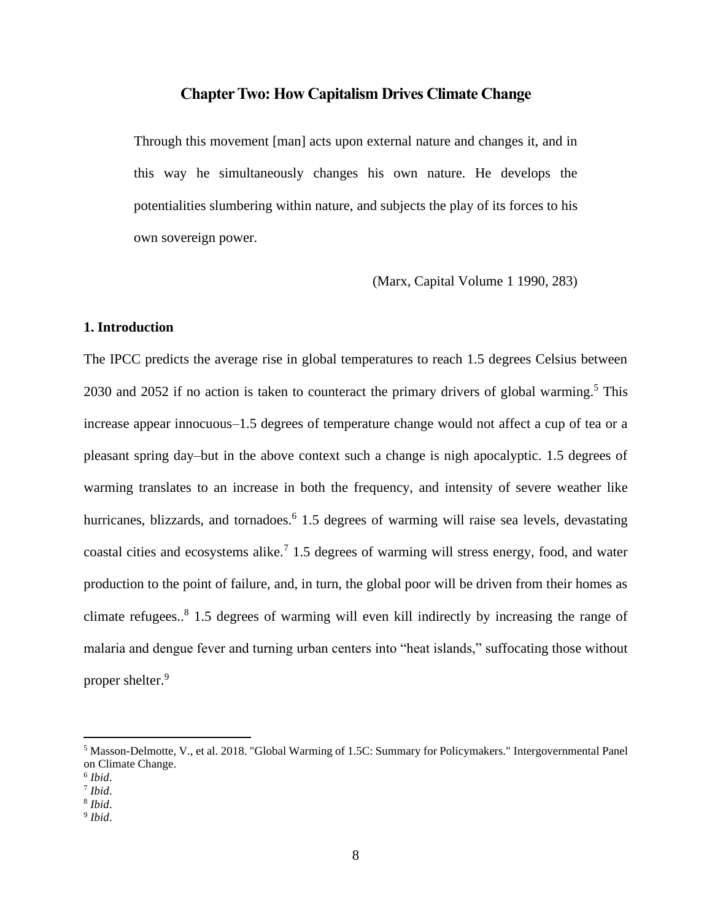### **Chapter Two: How Capitalism Drives Climate Change**

Through this movement [man] acts upon external nature and changes it, and in this way he simultaneously changes his own nature. He develops the potentialities slumbering within nature, and subjects the play of its forces to his own sovereign power.

(Marx, Capital Volume 1 1990, 283)

### **1. Introduction**

The IPCC predicts the average rise in global temperatures to reach 1.5 degrees Celsius between 2030 and 2052 if no action is taken to counteract the primary drivers of global warming.<sup>5</sup> This increase appear innocuous–1.5 degrees of temperature change would not affect a cup of tea or a pleasant spring day–but in the above context such a change is nigh apocalyptic. 1.5 degrees of warming translates to an increase in both the frequency, and intensity of severe weather like hurricanes, blizzards, and tornadoes.<sup>6</sup> 1.5 degrees of warming will raise sea levels, devastating coastal cities and ecosystems alike.<sup>7</sup> 1.5 degrees of warming will stress energy, food, and water production to the point of failure, and, in turn, the global poor will be driven from their homes as climate refugees..<sup>8</sup> 1.5 degrees of warming will even kill indirectly by increasing the range of malaria and dengue fever and turning urban centers into "heat islands," suffocating those without proper shelter.<sup>9</sup>

<sup>5</sup> Masson-Delmotte, V., et al. 2018. "Global Warming of 1.5C: Summary for Policymakers." Intergovernmental Panel on Climate Change.

<sup>6</sup> *Ibid*.

<sup>7</sup> *Ibid*.

<sup>8</sup> *Ibid*.

<sup>9</sup> *Ibid*.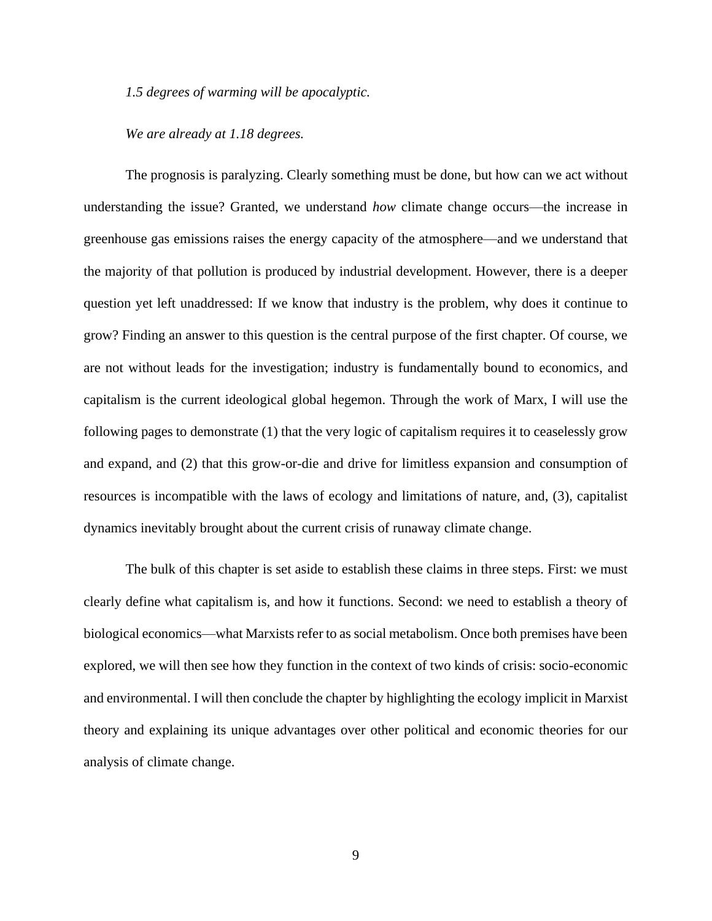*1.5 degrees of warming will be apocalyptic.*

*We are already at 1.18 degrees.*

The prognosis is paralyzing. Clearly something must be done, but how can we act without understanding the issue? Granted, we understand *how* climate change occurs—the increase in greenhouse gas emissions raises the energy capacity of the atmosphere—and we understand that the majority of that pollution is produced by industrial development. However, there is a deeper question yet left unaddressed: If we know that industry is the problem, why does it continue to grow? Finding an answer to this question is the central purpose of the first chapter. Of course, we are not without leads for the investigation; industry is fundamentally bound to economics, and capitalism is the current ideological global hegemon. Through the work of Marx, I will use the following pages to demonstrate (1) that the very logic of capitalism requires it to ceaselessly grow and expand, and (2) that this grow-or-die and drive for limitless expansion and consumption of resources is incompatible with the laws of ecology and limitations of nature, and, (3), capitalist dynamics inevitably brought about the current crisis of runaway climate change.

The bulk of this chapter is set aside to establish these claims in three steps. First: we must clearly define what capitalism is, and how it functions. Second: we need to establish a theory of biological economics—what Marxists refer to as social metabolism. Once both premises have been explored, we will then see how they function in the context of two kinds of crisis: socio-economic and environmental. I will then conclude the chapter by highlighting the ecology implicit in Marxist theory and explaining its unique advantages over other political and economic theories for our analysis of climate change.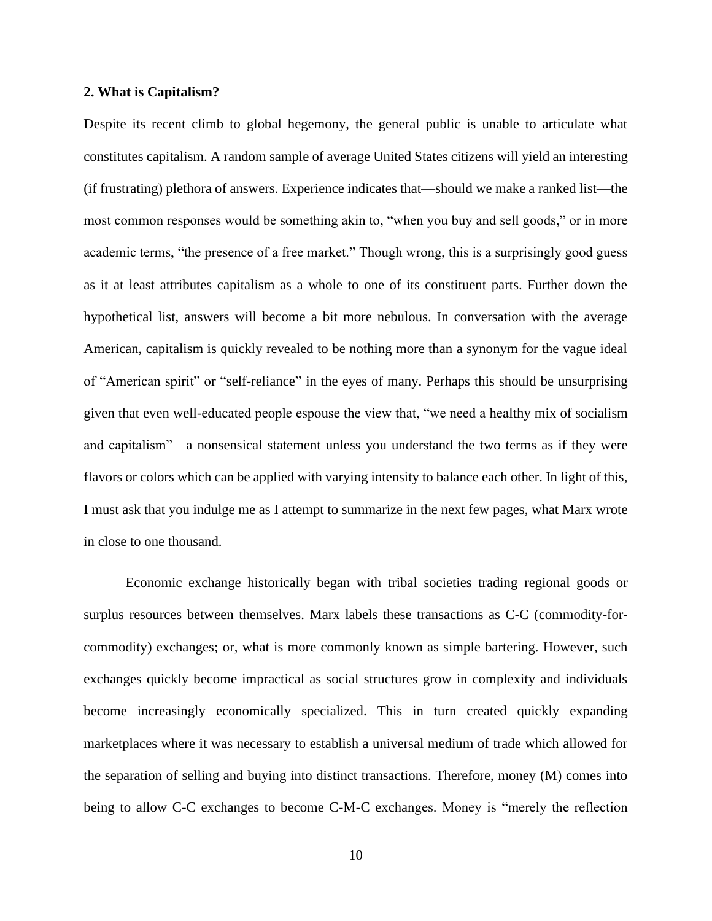### **2. What is Capitalism?**

Despite its recent climb to global hegemony, the general public is unable to articulate what constitutes capitalism. A random sample of average United States citizens will yield an interesting (if frustrating) plethora of answers. Experience indicates that—should we make a ranked list—the most common responses would be something akin to, "when you buy and sell goods," or in more academic terms, "the presence of a free market." Though wrong, this is a surprisingly good guess as it at least attributes capitalism as a whole to one of its constituent parts. Further down the hypothetical list, answers will become a bit more nebulous. In conversation with the average American, capitalism is quickly revealed to be nothing more than a synonym for the vague ideal of "American spirit" or "self-reliance" in the eyes of many. Perhaps this should be unsurprising given that even well-educated people espouse the view that, "we need a healthy mix of socialism and capitalism"—a nonsensical statement unless you understand the two terms as if they were flavors or colors which can be applied with varying intensity to balance each other. In light of this, I must ask that you indulge me as I attempt to summarize in the next few pages, what Marx wrote in close to one thousand.

Economic exchange historically began with tribal societies trading regional goods or surplus resources between themselves. Marx labels these transactions as C-C (commodity-forcommodity) exchanges; or, what is more commonly known as simple bartering. However, such exchanges quickly become impractical as social structures grow in complexity and individuals become increasingly economically specialized. This in turn created quickly expanding marketplaces where it was necessary to establish a universal medium of trade which allowed for the separation of selling and buying into distinct transactions. Therefore, money (M) comes into being to allow C-C exchanges to become C-M-C exchanges. Money is "merely the reflection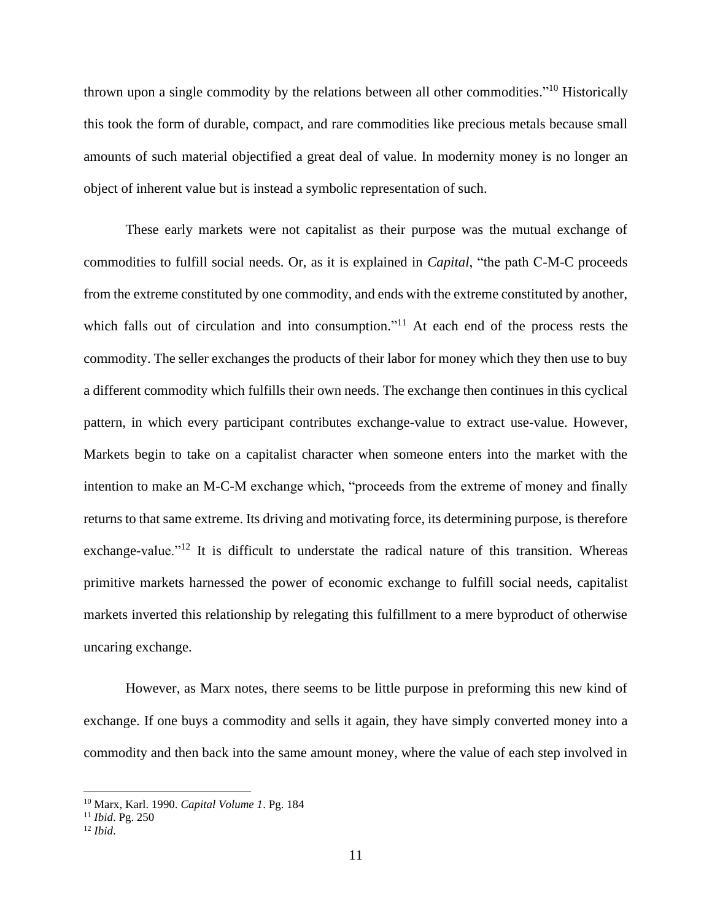thrown upon a single commodity by the relations between all other commodities."<sup>10</sup> Historically this took the form of durable, compact, and rare commodities like precious metals because small amounts of such material objectified a great deal of value. In modernity money is no longer an object of inherent value but is instead a symbolic representation of such.

These early markets were not capitalist as their purpose was the mutual exchange of commodities to fulfill social needs. Or, as it is explained in *Capital*, "the path C-M-C proceeds from the extreme constituted by one commodity, and ends with the extreme constituted by another, which falls out of circulation and into consumption."<sup>11</sup> At each end of the process rests the commodity. The seller exchanges the products of their labor for money which they then use to buy a different commodity which fulfills their own needs. The exchange then continues in this cyclical pattern, in which every participant contributes exchange-value to extract use-value. However, Markets begin to take on a capitalist character when someone enters into the market with the intention to make an M-C-M exchange which, "proceeds from the extreme of money and finally returns to that same extreme. Its driving and motivating force, its determining purpose, is therefore exchange-value."<sup>12</sup> It is difficult to understate the radical nature of this transition. Whereas primitive markets harnessed the power of economic exchange to fulfill social needs, capitalist markets inverted this relationship by relegating this fulfillment to a mere byproduct of otherwise uncaring exchange.

However, as Marx notes, there seems to be little purpose in preforming this new kind of exchange. If one buys a commodity and sells it again, they have simply converted money into a commodity and then back into the same amount money, where the value of each step involved in

<sup>10</sup> Marx, Karl. 1990. *Capital Volume 1*. Pg. 184

<sup>11</sup> *Ibid*. Pg. 250

<sup>12</sup> *Ibid*.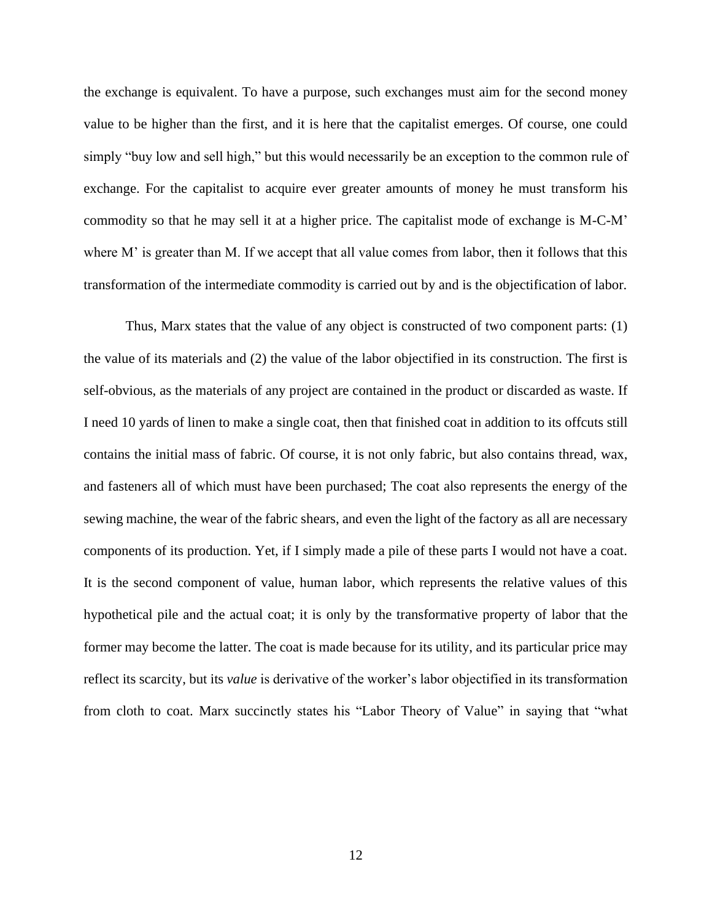the exchange is equivalent. To have a purpose, such exchanges must aim for the second money value to be higher than the first, and it is here that the capitalist emerges. Of course, one could simply "buy low and sell high," but this would necessarily be an exception to the common rule of exchange. For the capitalist to acquire ever greater amounts of money he must transform his commodity so that he may sell it at a higher price. The capitalist mode of exchange is M-C-M' where M' is greater than M. If we accept that all value comes from labor, then it follows that this transformation of the intermediate commodity is carried out by and is the objectification of labor.

Thus, Marx states that the value of any object is constructed of two component parts: (1) the value of its materials and (2) the value of the labor objectified in its construction. The first is self-obvious, as the materials of any project are contained in the product or discarded as waste. If I need 10 yards of linen to make a single coat, then that finished coat in addition to its offcuts still contains the initial mass of fabric. Of course, it is not only fabric, but also contains thread, wax, and fasteners all of which must have been purchased; The coat also represents the energy of the sewing machine, the wear of the fabric shears, and even the light of the factory as all are necessary components of its production. Yet, if I simply made a pile of these parts I would not have a coat. It is the second component of value, human labor, which represents the relative values of this hypothetical pile and the actual coat; it is only by the transformative property of labor that the former may become the latter. The coat is made because for its utility, and its particular price may reflect its scarcity, but its *value* is derivative of the worker's labor objectified in its transformation from cloth to coat. Marx succinctly states his "Labor Theory of Value" in saying that "what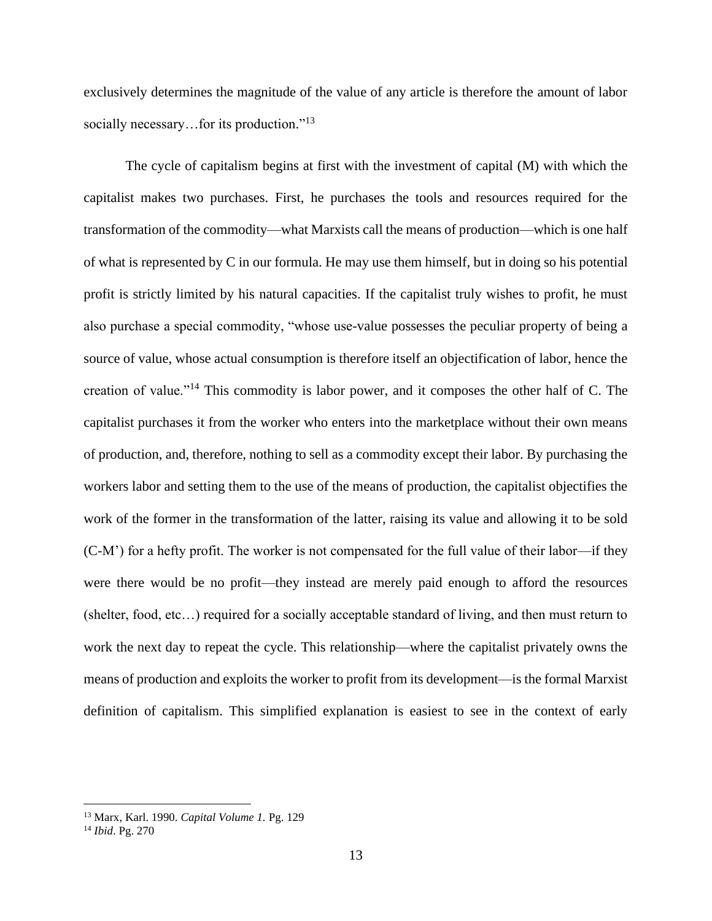exclusively determines the magnitude of the value of any article is therefore the amount of labor socially necessary...for its production."<sup>13</sup>

The cycle of capitalism begins at first with the investment of capital (M) with which the capitalist makes two purchases. First, he purchases the tools and resources required for the transformation of the commodity—what Marxists call the means of production—which is one half of what is represented by C in our formula. He may use them himself, but in doing so his potential profit is strictly limited by his natural capacities. If the capitalist truly wishes to profit, he must also purchase a special commodity, "whose use-value possesses the peculiar property of being a source of value, whose actual consumption is therefore itself an objectification of labor, hence the creation of value."<sup>14</sup> This commodity is labor power, and it composes the other half of C. The capitalist purchases it from the worker who enters into the marketplace without their own means of production, and, therefore, nothing to sell as a commodity except their labor. By purchasing the workers labor and setting them to the use of the means of production, the capitalist objectifies the work of the former in the transformation of the latter, raising its value and allowing it to be sold (C-M') for a hefty profit. The worker is not compensated for the full value of their labor—if they were there would be no profit—they instead are merely paid enough to afford the resources (shelter, food, etc…) required for a socially acceptable standard of living, and then must return to work the next day to repeat the cycle. This relationship—where the capitalist privately owns the means of production and exploits the worker to profit from its development—is the formal Marxist definition of capitalism. This simplified explanation is easiest to see in the context of early

<sup>13</sup> Marx, Karl. 1990. *Capital Volume 1.* Pg. 129

<sup>14</sup> *Ibid*. Pg. 270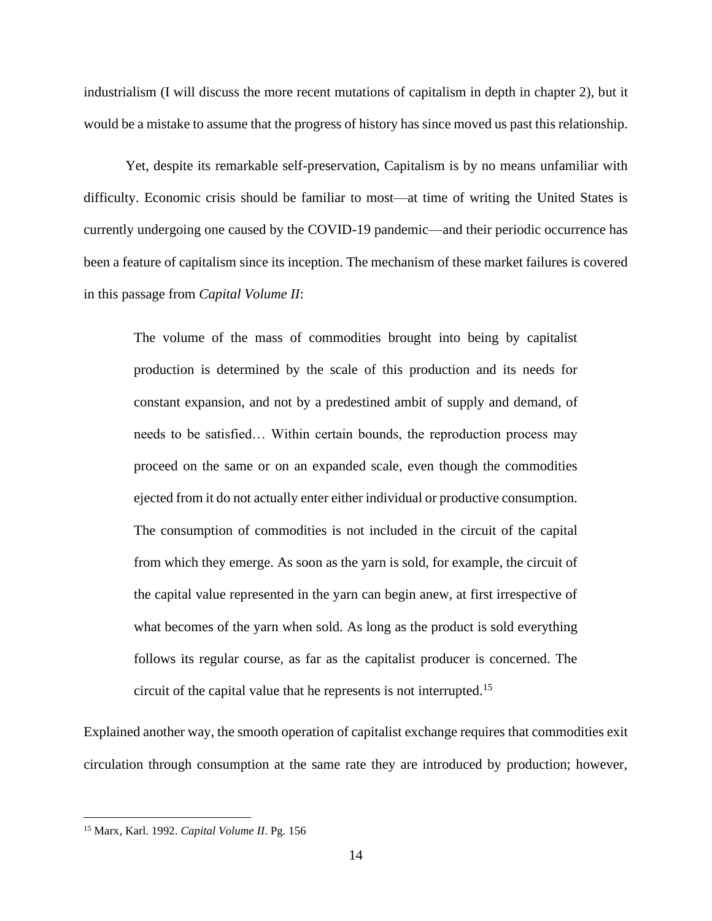industrialism (I will discuss the more recent mutations of capitalism in depth in chapter 2), but it would be a mistake to assume that the progress of history has since moved us past this relationship.

Yet, despite its remarkable self-preservation, Capitalism is by no means unfamiliar with difficulty. Economic crisis should be familiar to most—at time of writing the United States is currently undergoing one caused by the COVID-19 pandemic—and their periodic occurrence has been a feature of capitalism since its inception. The mechanism of these market failures is covered in this passage from *Capital Volume II*:

The volume of the mass of commodities brought into being by capitalist production is determined by the scale of this production and its needs for constant expansion, and not by a predestined ambit of supply and demand, of needs to be satisfied… Within certain bounds, the reproduction process may proceed on the same or on an expanded scale, even though the commodities ejected from it do not actually enter either individual or productive consumption. The consumption of commodities is not included in the circuit of the capital from which they emerge. As soon as the yarn is sold, for example, the circuit of the capital value represented in the yarn can begin anew, at first irrespective of what becomes of the yarn when sold. As long as the product is sold everything follows its regular course, as far as the capitalist producer is concerned. The circuit of the capital value that he represents is not interrupted.<sup>15</sup>

Explained another way, the smooth operation of capitalist exchange requires that commodities exit circulation through consumption at the same rate they are introduced by production; however,

<sup>15</sup> Marx, Karl. 1992. *Capital Volume II*. Pg. 156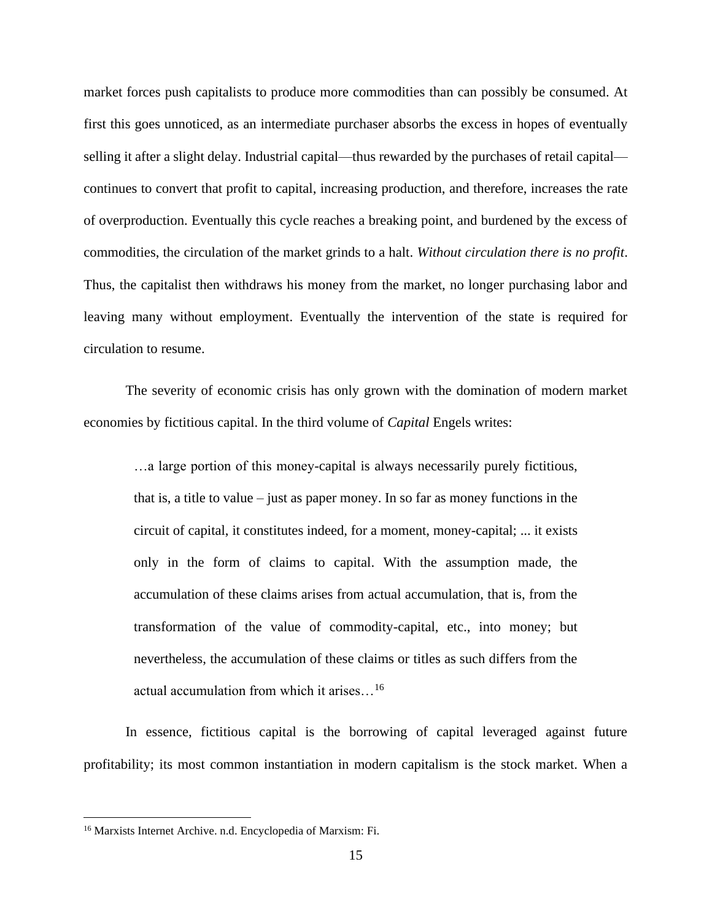market forces push capitalists to produce more commodities than can possibly be consumed. At first this goes unnoticed, as an intermediate purchaser absorbs the excess in hopes of eventually selling it after a slight delay. Industrial capital—thus rewarded by the purchases of retail capital continues to convert that profit to capital, increasing production, and therefore, increases the rate of overproduction. Eventually this cycle reaches a breaking point, and burdened by the excess of commodities, the circulation of the market grinds to a halt. *Without circulation there is no profit*. Thus, the capitalist then withdraws his money from the market, no longer purchasing labor and leaving many without employment. Eventually the intervention of the state is required for circulation to resume.

The severity of economic crisis has only grown with the domination of modern market economies by fictitious capital. In the third volume of *Capital* Engels writes:

…a large portion of this money-capital is always necessarily purely fictitious, that is, a title to value – just as paper money. In so far as money functions in the circuit of capital, it constitutes indeed, for a moment, money-capital; ... it exists only in the form of claims to capital. With the assumption made, the accumulation of these claims arises from actual accumulation, that is, from the transformation of the value of commodity-capital, etc., into money; but nevertheless, the accumulation of these claims or titles as such differs from the actual accumulation from which it arises…<sup>16</sup>

In essence, fictitious capital is the borrowing of capital leveraged against future profitability; its most common instantiation in modern capitalism is the stock market. When a

<sup>16</sup> Marxists Internet Archive. n.d. Encyclopedia of Marxism: Fi.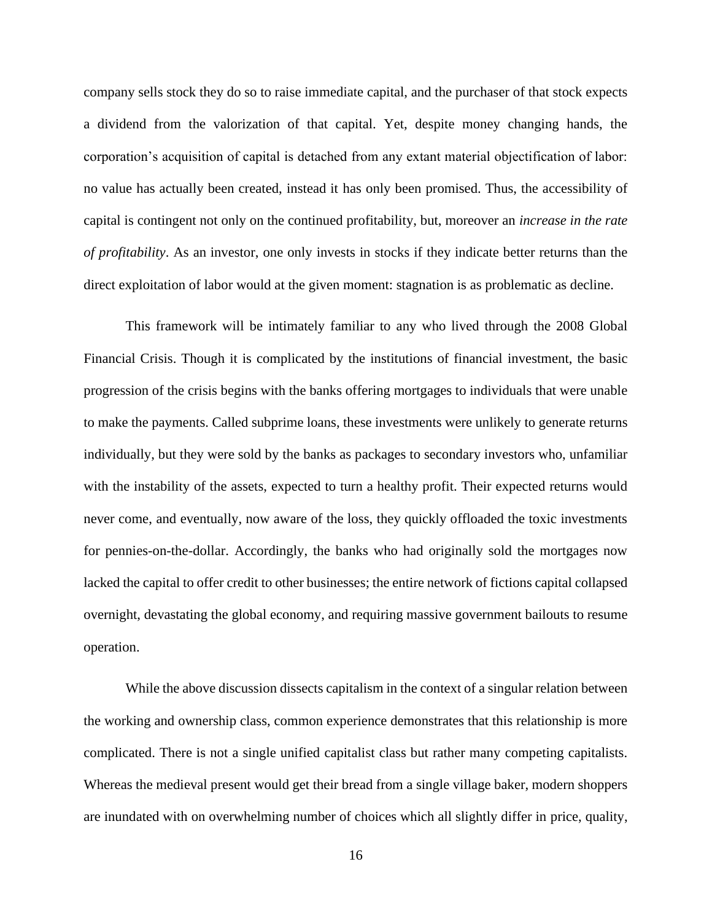company sells stock they do so to raise immediate capital, and the purchaser of that stock expects a dividend from the valorization of that capital. Yet, despite money changing hands, the corporation's acquisition of capital is detached from any extant material objectification of labor: no value has actually been created, instead it has only been promised. Thus, the accessibility of capital is contingent not only on the continued profitability, but, moreover an *increase in the rate of profitability*. As an investor, one only invests in stocks if they indicate better returns than the direct exploitation of labor would at the given moment: stagnation is as problematic as decline.

This framework will be intimately familiar to any who lived through the 2008 Global Financial Crisis. Though it is complicated by the institutions of financial investment, the basic progression of the crisis begins with the banks offering mortgages to individuals that were unable to make the payments. Called subprime loans, these investments were unlikely to generate returns individually, but they were sold by the banks as packages to secondary investors who, unfamiliar with the instability of the assets, expected to turn a healthy profit. Their expected returns would never come, and eventually, now aware of the loss, they quickly offloaded the toxic investments for pennies-on-the-dollar. Accordingly, the banks who had originally sold the mortgages now lacked the capital to offer credit to other businesses; the entire network of fictions capital collapsed overnight, devastating the global economy, and requiring massive government bailouts to resume operation.

While the above discussion dissects capitalism in the context of a singular relation between the working and ownership class, common experience demonstrates that this relationship is more complicated. There is not a single unified capitalist class but rather many competing capitalists. Whereas the medieval present would get their bread from a single village baker, modern shoppers are inundated with on overwhelming number of choices which all slightly differ in price, quality,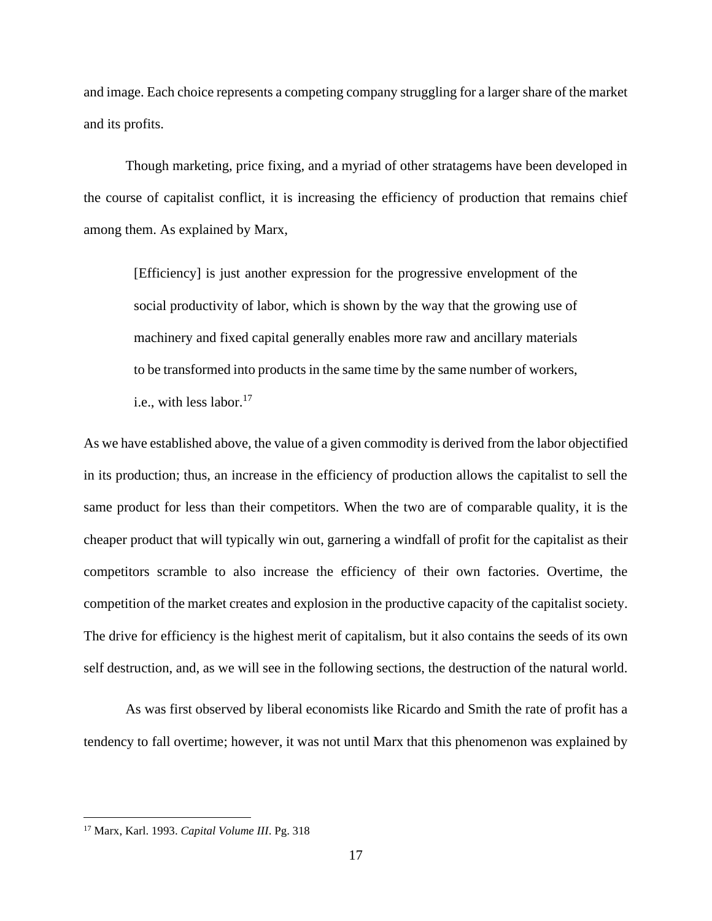and image. Each choice represents a competing company struggling for a larger share of the market and its profits.

Though marketing, price fixing, and a myriad of other stratagems have been developed in the course of capitalist conflict, it is increasing the efficiency of production that remains chief among them. As explained by Marx,

[Efficiency] is just another expression for the progressive envelopment of the social productivity of labor, which is shown by the way that the growing use of machinery and fixed capital generally enables more raw and ancillary materials to be transformed into products in the same time by the same number of workers, i.e., with less labor. $17$ 

As we have established above, the value of a given commodity is derived from the labor objectified in its production; thus, an increase in the efficiency of production allows the capitalist to sell the same product for less than their competitors. When the two are of comparable quality, it is the cheaper product that will typically win out, garnering a windfall of profit for the capitalist as their competitors scramble to also increase the efficiency of their own factories. Overtime, the competition of the market creates and explosion in the productive capacity of the capitalist society. The drive for efficiency is the highest merit of capitalism, but it also contains the seeds of its own self destruction, and, as we will see in the following sections, the destruction of the natural world.

As was first observed by liberal economists like Ricardo and Smith the rate of profit has a tendency to fall overtime; however, it was not until Marx that this phenomenon was explained by

<sup>17</sup> Marx, Karl. 1993. *Capital Volume III*. Pg. 318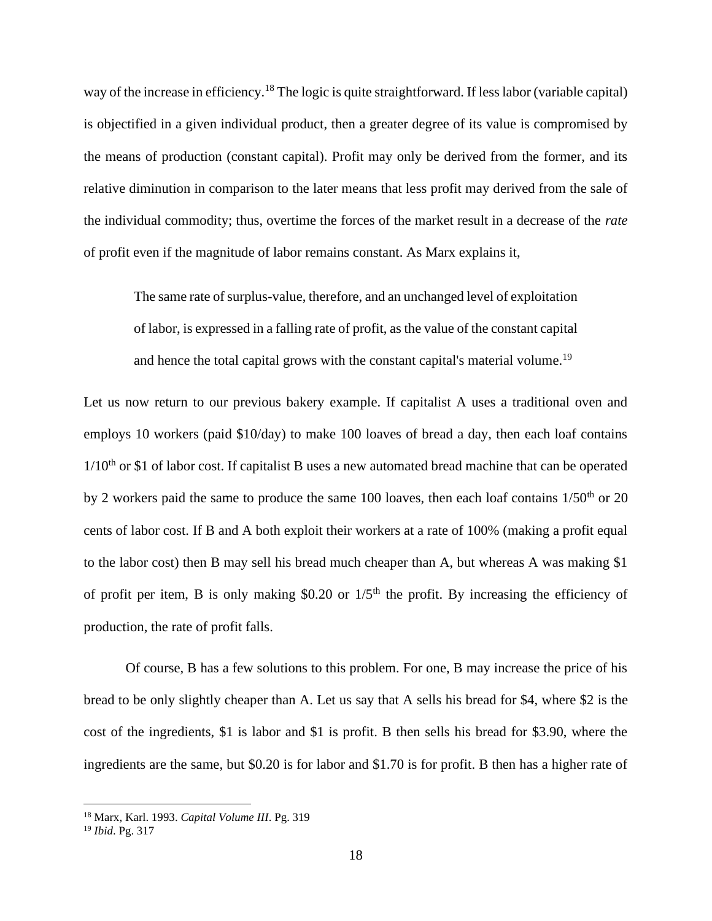way of the increase in efficiency.<sup>18</sup> The logic is quite straightforward. If less labor (variable capital) is objectified in a given individual product, then a greater degree of its value is compromised by the means of production (constant capital). Profit may only be derived from the former, and its relative diminution in comparison to the later means that less profit may derived from the sale of the individual commodity; thus, overtime the forces of the market result in a decrease of the *rate*  of profit even if the magnitude of labor remains constant. As Marx explains it,

The same rate of surplus-value, therefore, and an unchanged level of exploitation of labor, is expressed in a falling rate of profit, as the value of the constant capital and hence the total capital grows with the constant capital's material volume.<sup>19</sup>

Let us now return to our previous bakery example. If capitalist A uses a traditional oven and employs 10 workers (paid \$10/day) to make 100 loaves of bread a day, then each loaf contains  $1/10<sup>th</sup>$  or \$1 of labor cost. If capitalist B uses a new automated bread machine that can be operated by 2 workers paid the same to produce the same 100 loaves, then each loaf contains  $1/50<sup>th</sup>$  or 20 cents of labor cost. If B and A both exploit their workers at a rate of 100% (making a profit equal to the labor cost) then B may sell his bread much cheaper than A, but whereas A was making \$1 of profit per item, B is only making \$0.20 or  $1/5<sup>th</sup>$  the profit. By increasing the efficiency of production, the rate of profit falls.

Of course, B has a few solutions to this problem. For one, B may increase the price of his bread to be only slightly cheaper than A. Let us say that A sells his bread for \$4, where \$2 is the cost of the ingredients, \$1 is labor and \$1 is profit. B then sells his bread for \$3.90, where the ingredients are the same, but \$0.20 is for labor and \$1.70 is for profit. B then has a higher rate of

<sup>18</sup> Marx, Karl. 1993. *Capital Volume III*. Pg. 319

<sup>19</sup> *Ibid*. Pg. 317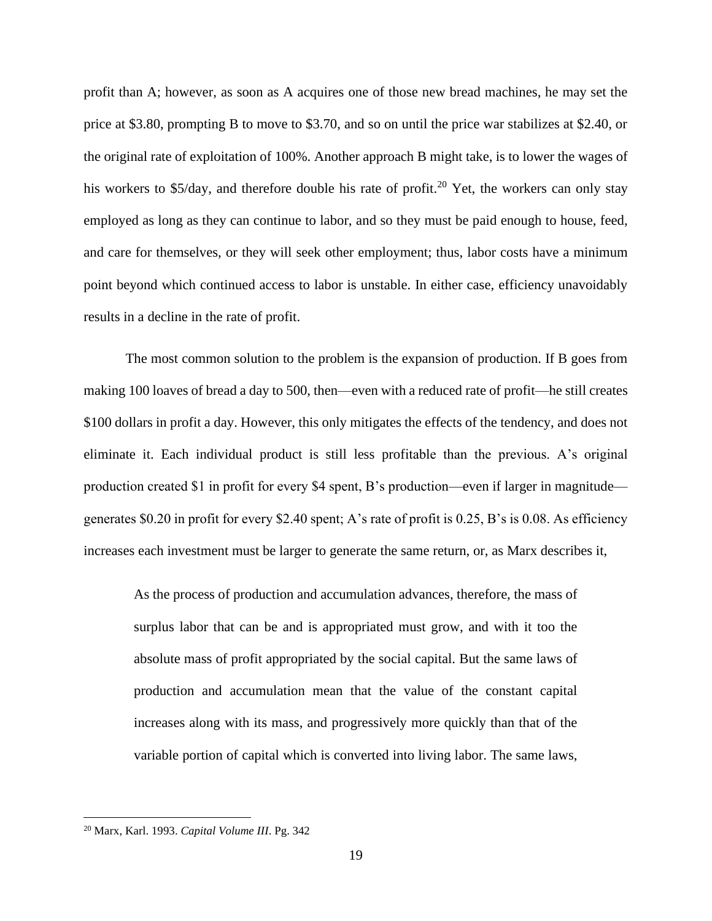profit than A; however, as soon as A acquires one of those new bread machines, he may set the price at \$3.80, prompting B to move to \$3.70, and so on until the price war stabilizes at \$2.40, or the original rate of exploitation of 100%. Another approach B might take, is to lower the wages of his workers to \$5/day, and therefore double his rate of profit.<sup>20</sup> Yet, the workers can only stay employed as long as they can continue to labor, and so they must be paid enough to house, feed, and care for themselves, or they will seek other employment; thus, labor costs have a minimum point beyond which continued access to labor is unstable. In either case, efficiency unavoidably results in a decline in the rate of profit.

The most common solution to the problem is the expansion of production. If B goes from making 100 loaves of bread a day to 500, then—even with a reduced rate of profit—he still creates \$100 dollars in profit a day. However, this only mitigates the effects of the tendency, and does not eliminate it. Each individual product is still less profitable than the previous. A's original production created \$1 in profit for every \$4 spent, B's production—even if larger in magnitude generates \$0.20 in profit for every \$2.40 spent; A's rate of profit is 0.25, B's is 0.08. As efficiency increases each investment must be larger to generate the same return, or, as Marx describes it,

As the process of production and accumulation advances, therefore, the mass of surplus labor that can be and is appropriated must grow, and with it too the absolute mass of profit appropriated by the social capital. But the same laws of production and accumulation mean that the value of the constant capital increases along with its mass, and progressively more quickly than that of the variable portion of capital which is converted into living labor. The same laws,

<sup>20</sup> Marx, Karl. 1993. *Capital Volume III*. Pg. 342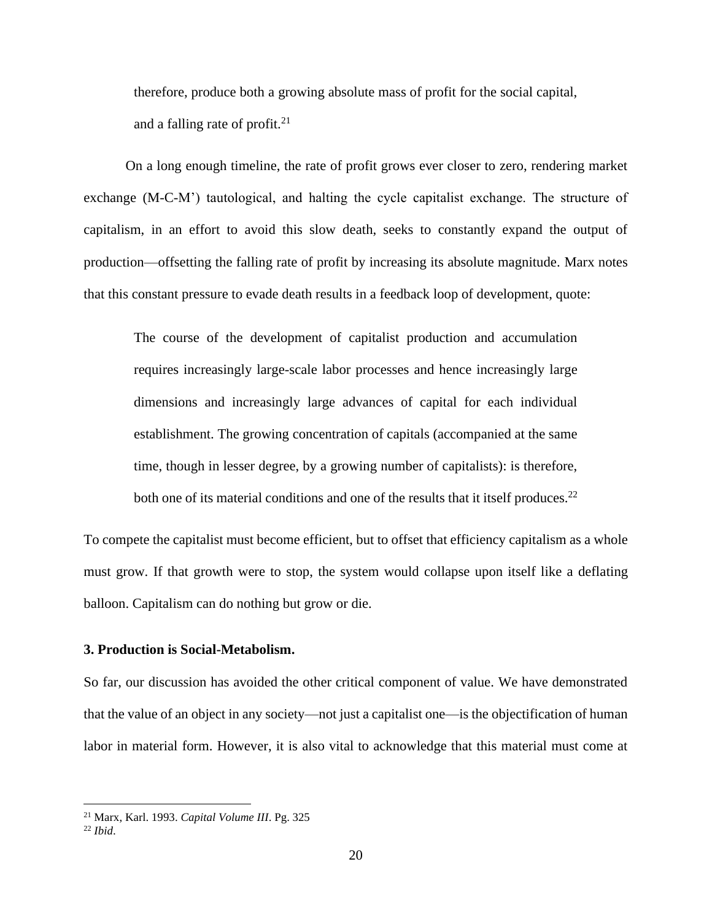therefore, produce both a growing absolute mass of profit for the social capital, and a falling rate of profit. $2<sup>1</sup>$ 

On a long enough timeline, the rate of profit grows ever closer to zero, rendering market exchange (M-C-M') tautological, and halting the cycle capitalist exchange. The structure of capitalism, in an effort to avoid this slow death, seeks to constantly expand the output of production—offsetting the falling rate of profit by increasing its absolute magnitude. Marx notes that this constant pressure to evade death results in a feedback loop of development, quote:

The course of the development of capitalist production and accumulation requires increasingly large-scale labor processes and hence increasingly large dimensions and increasingly large advances of capital for each individual establishment. The growing concentration of capitals (accompanied at the same time, though in lesser degree, by a growing number of capitalists): is therefore, both one of its material conditions and one of the results that it itself produces.<sup>22</sup>

To compete the capitalist must become efficient, but to offset that efficiency capitalism as a whole must grow. If that growth were to stop, the system would collapse upon itself like a deflating balloon. Capitalism can do nothing but grow or die.

### **3. Production is Social-Metabolism.**

So far, our discussion has avoided the other critical component of value. We have demonstrated that the value of an object in any society—not just a capitalist one—is the objectification of human labor in material form. However, it is also vital to acknowledge that this material must come at

<sup>21</sup> Marx, Karl. 1993. *Capital Volume III*. Pg. 325

<sup>22</sup> *Ibid*.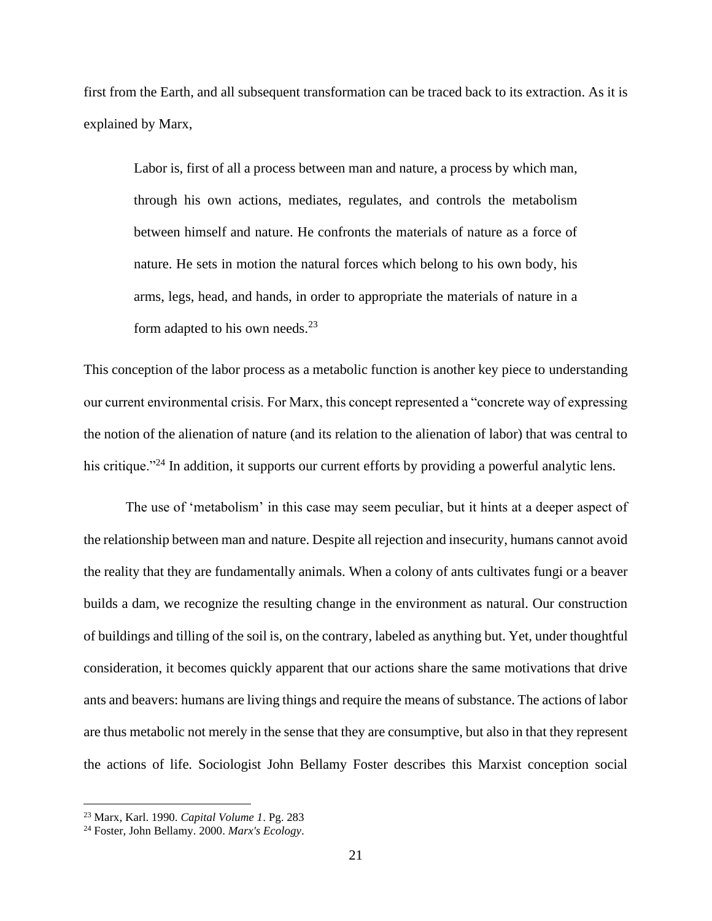first from the Earth, and all subsequent transformation can be traced back to its extraction. As it is explained by Marx,

Labor is, first of all a process between man and nature, a process by which man, through his own actions, mediates, regulates, and controls the metabolism between himself and nature. He confronts the materials of nature as a force of nature. He sets in motion the natural forces which belong to his own body, his arms, legs, head, and hands, in order to appropriate the materials of nature in a form adapted to his own needs.<sup>23</sup>

This conception of the labor process as a metabolic function is another key piece to understanding our current environmental crisis. For Marx, this concept represented a "concrete way of expressing the notion of the alienation of nature (and its relation to the alienation of labor) that was central to his critique."<sup>24</sup> In addition, it supports our current efforts by providing a powerful analytic lens.

The use of 'metabolism' in this case may seem peculiar, but it hints at a deeper aspect of the relationship between man and nature. Despite all rejection and insecurity, humans cannot avoid the reality that they are fundamentally animals. When a colony of ants cultivates fungi or a beaver builds a dam, we recognize the resulting change in the environment as natural. Our construction of buildings and tilling of the soil is, on the contrary, labeled as anything but. Yet, under thoughtful consideration, it becomes quickly apparent that our actions share the same motivations that drive ants and beavers: humans are living things and require the means of substance. The actions of labor are thus metabolic not merely in the sense that they are consumptive, but also in that they represent the actions of life. Sociologist John Bellamy Foster describes this Marxist conception social

<sup>23</sup> Marx, Karl. 1990. *Capital Volume 1*. Pg. 283

<sup>24</sup> Foster, John Bellamy. 2000. *Marx's Ecology*.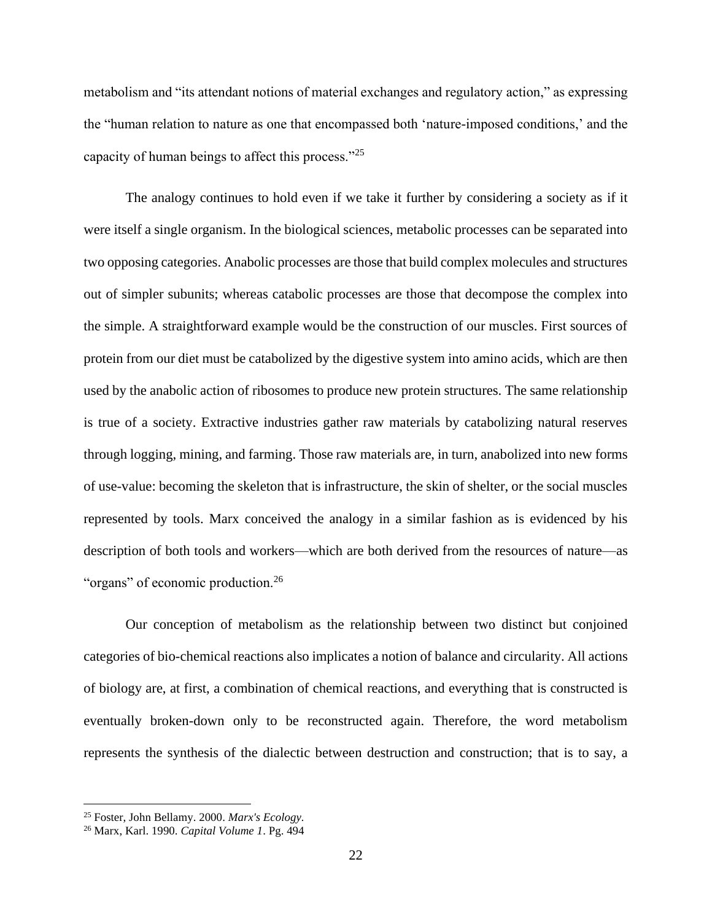metabolism and "its attendant notions of material exchanges and regulatory action," as expressing the "human relation to nature as one that encompassed both 'nature-imposed conditions,' and the capacity of human beings to affect this process."<sup>25</sup>

The analogy continues to hold even if we take it further by considering a society as if it were itself a single organism. In the biological sciences, metabolic processes can be separated into two opposing categories. Anabolic processes are those that build complex molecules and structures out of simpler subunits; whereas catabolic processes are those that decompose the complex into the simple. A straightforward example would be the construction of our muscles. First sources of protein from our diet must be catabolized by the digestive system into amino acids, which are then used by the anabolic action of ribosomes to produce new protein structures. The same relationship is true of a society. Extractive industries gather raw materials by catabolizing natural reserves through logging, mining, and farming. Those raw materials are, in turn, anabolized into new forms of use-value: becoming the skeleton that is infrastructure, the skin of shelter, or the social muscles represented by tools. Marx conceived the analogy in a similar fashion as is evidenced by his description of both tools and workers—which are both derived from the resources of nature—as "organs" of economic production.<sup>26</sup>

Our conception of metabolism as the relationship between two distinct but conjoined categories of bio-chemical reactions also implicates a notion of balance and circularity. All actions of biology are, at first, a combination of chemical reactions, and everything that is constructed is eventually broken-down only to be reconstructed again. Therefore, the word metabolism represents the synthesis of the dialectic between destruction and construction; that is to say, a

<sup>25</sup> Foster, John Bellamy. 2000. *Marx's Ecology.*

<sup>26</sup> Marx, Karl. 1990. *Capital Volume 1*. Pg. 494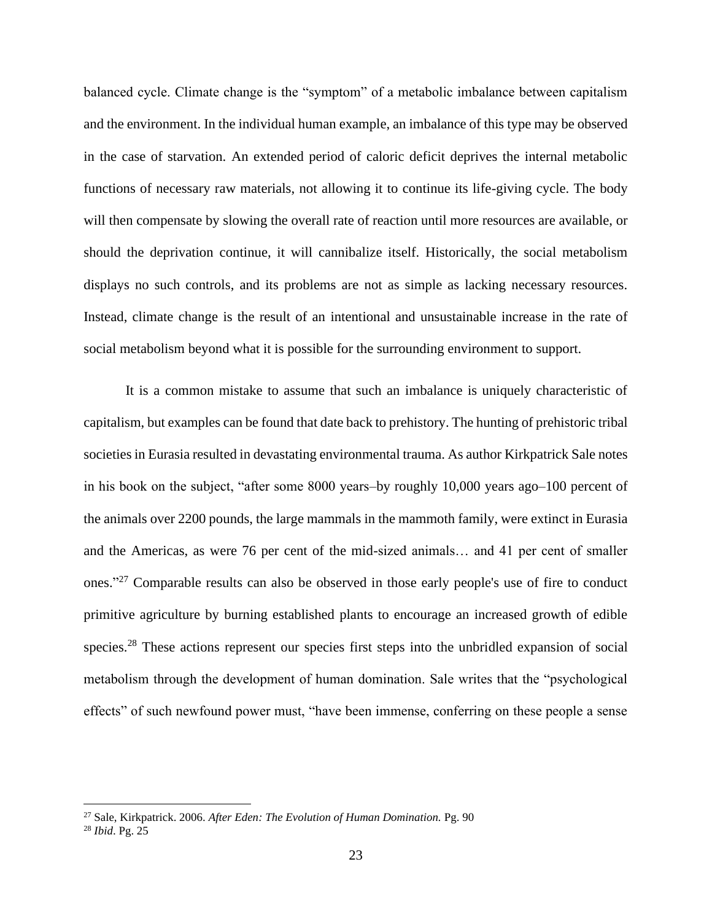balanced cycle. Climate change is the "symptom" of a metabolic imbalance between capitalism and the environment. In the individual human example, an imbalance of this type may be observed in the case of starvation. An extended period of caloric deficit deprives the internal metabolic functions of necessary raw materials, not allowing it to continue its life-giving cycle. The body will then compensate by slowing the overall rate of reaction until more resources are available, or should the deprivation continue, it will cannibalize itself. Historically, the social metabolism displays no such controls, and its problems are not as simple as lacking necessary resources. Instead, climate change is the result of an intentional and unsustainable increase in the rate of social metabolism beyond what it is possible for the surrounding environment to support.

It is a common mistake to assume that such an imbalance is uniquely characteristic of capitalism, but examples can be found that date back to prehistory. The hunting of prehistoric tribal societies in Eurasia resulted in devastating environmental trauma. As author Kirkpatrick Sale notes in his book on the subject, "after some 8000 years–by roughly 10,000 years ago–100 percent of the animals over 2200 pounds, the large mammals in the mammoth family, were extinct in Eurasia and the Americas, as were 76 per cent of the mid-sized animals… and 41 per cent of smaller ones."<sup>27</sup> Comparable results can also be observed in those early people's use of fire to conduct primitive agriculture by burning established plants to encourage an increased growth of edible species.<sup>28</sup> These actions represent our species first steps into the unbridled expansion of social metabolism through the development of human domination. Sale writes that the "psychological effects" of such newfound power must, "have been immense, conferring on these people a sense

<sup>27</sup> Sale, Kirkpatrick. 2006. *After Eden: The Evolution of Human Domination.* Pg. 90 <sup>28</sup> *Ibid*. Pg. 25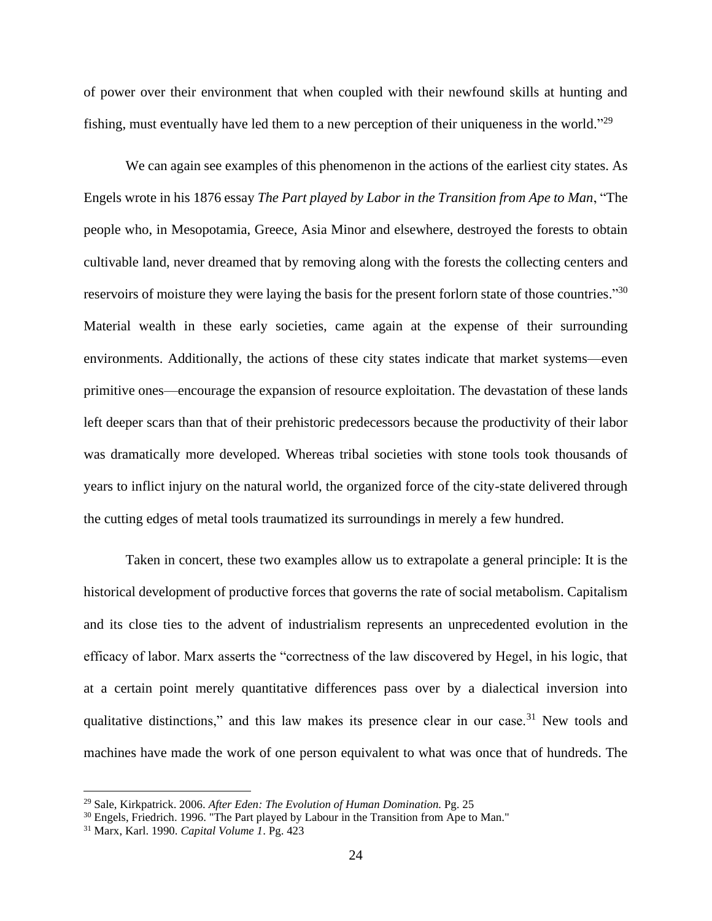of power over their environment that when coupled with their newfound skills at hunting and fishing, must eventually have led them to a new perception of their uniqueness in the world."<sup>29</sup>

We can again see examples of this phenomenon in the actions of the earliest city states. As Engels wrote in his 1876 essay *The Part played by Labor in the Transition from Ape to Man*, "The people who, in Mesopotamia, Greece, Asia Minor and elsewhere, destroyed the forests to obtain cultivable land, never dreamed that by removing along with the forests the collecting centers and reservoirs of moisture they were laying the basis for the present forlorn state of those countries."<sup>30</sup> Material wealth in these early societies, came again at the expense of their surrounding environments. Additionally, the actions of these city states indicate that market systems—even primitive ones—encourage the expansion of resource exploitation. The devastation of these lands left deeper scars than that of their prehistoric predecessors because the productivity of their labor was dramatically more developed. Whereas tribal societies with stone tools took thousands of years to inflict injury on the natural world, the organized force of the city-state delivered through the cutting edges of metal tools traumatized its surroundings in merely a few hundred.

Taken in concert, these two examples allow us to extrapolate a general principle: It is the historical development of productive forces that governs the rate of social metabolism. Capitalism and its close ties to the advent of industrialism represents an unprecedented evolution in the efficacy of labor. Marx asserts the "correctness of the law discovered by Hegel, in his logic, that at a certain point merely quantitative differences pass over by a dialectical inversion into qualitative distinctions," and this law makes its presence clear in our case.<sup>31</sup> New tools and machines have made the work of one person equivalent to what was once that of hundreds. The

<sup>29</sup> Sale, Kirkpatrick. 2006. *After Eden: The Evolution of Human Domination.* Pg. 25

 $30$  Engels, Friedrich. 1996. "The Part played by Labour in the Transition from Ape to Man."

<sup>31</sup> Marx, Karl. 1990. *Capital Volume 1*. Pg. 423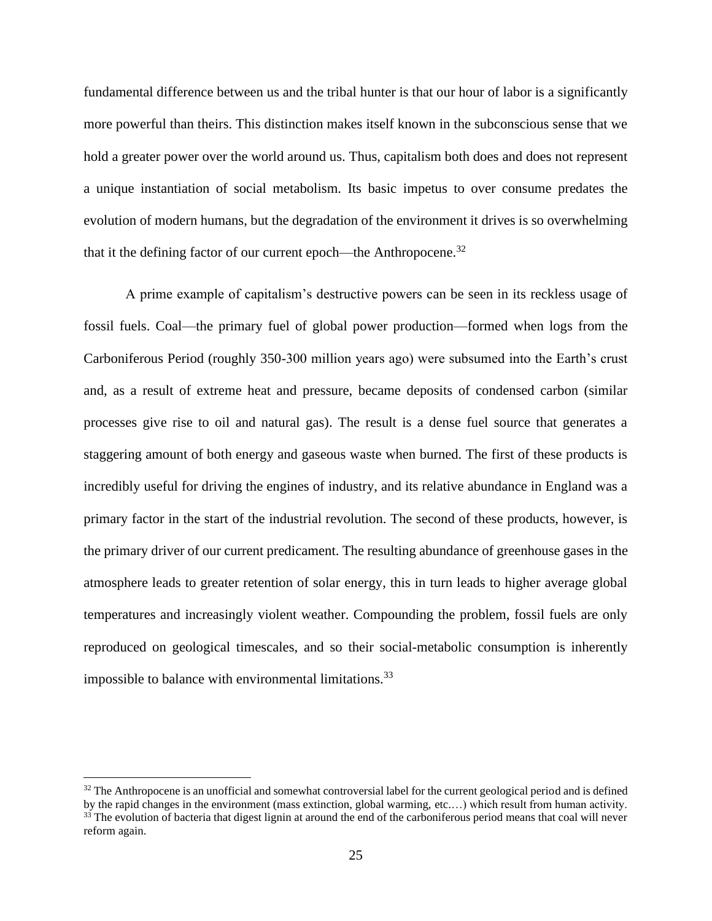fundamental difference between us and the tribal hunter is that our hour of labor is a significantly more powerful than theirs. This distinction makes itself known in the subconscious sense that we hold a greater power over the world around us. Thus, capitalism both does and does not represent a unique instantiation of social metabolism. Its basic impetus to over consume predates the evolution of modern humans, but the degradation of the environment it drives is so overwhelming that it the defining factor of our current epoch—the Anthropocene.<sup>32</sup>

A prime example of capitalism's destructive powers can be seen in its reckless usage of fossil fuels. Coal—the primary fuel of global power production—formed when logs from the Carboniferous Period (roughly 350-300 million years ago) were subsumed into the Earth's crust and, as a result of extreme heat and pressure, became deposits of condensed carbon (similar processes give rise to oil and natural gas). The result is a dense fuel source that generates a staggering amount of both energy and gaseous waste when burned. The first of these products is incredibly useful for driving the engines of industry, and its relative abundance in England was a primary factor in the start of the industrial revolution. The second of these products, however, is the primary driver of our current predicament. The resulting abundance of greenhouse gases in the atmosphere leads to greater retention of solar energy, this in turn leads to higher average global temperatures and increasingly violent weather. Compounding the problem, fossil fuels are only reproduced on geological timescales, and so their social-metabolic consumption is inherently impossible to balance with environmental limitations.<sup>33</sup>

 $32$  The Anthropocene is an unofficial and somewhat controversial label for the current geological period and is defined

by the rapid changes in the environment (mass extinction, global warming, etc.…) which result from human activity. <sup>33</sup> The evolution of bacteria that digest lignin at around the end of the carboniferous period means that coal will never reform again.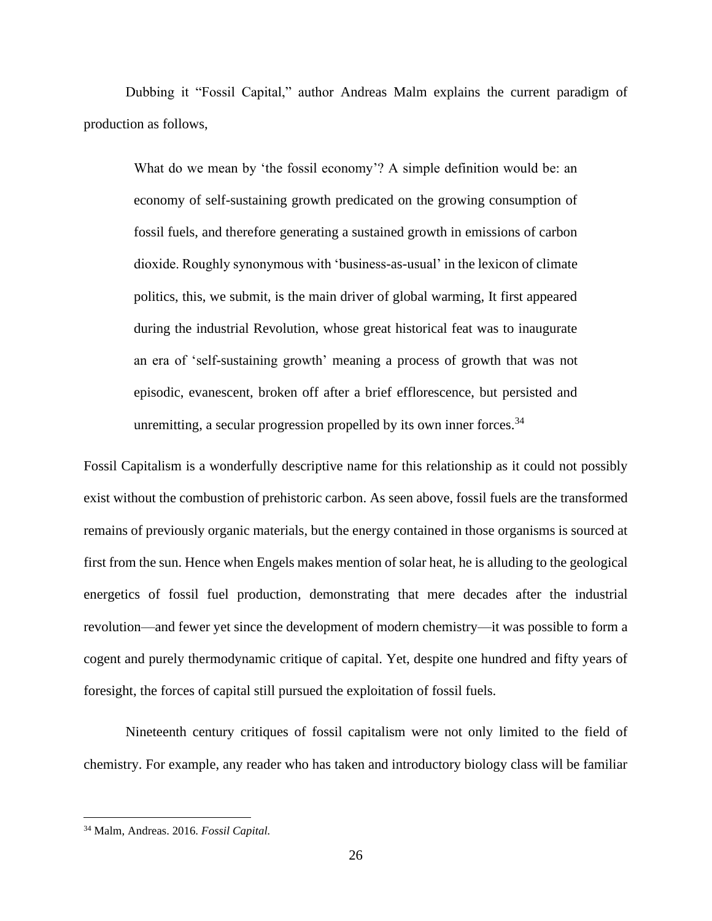Dubbing it "Fossil Capital," author Andreas Malm explains the current paradigm of production as follows,

What do we mean by 'the fossil economy'? A simple definition would be: an economy of self-sustaining growth predicated on the growing consumption of fossil fuels, and therefore generating a sustained growth in emissions of carbon dioxide. Roughly synonymous with 'business-as-usual' in the lexicon of climate politics, this, we submit, is the main driver of global warming, It first appeared during the industrial Revolution, whose great historical feat was to inaugurate an era of 'self-sustaining growth' meaning a process of growth that was not episodic, evanescent, broken off after a brief efflorescence, but persisted and unremitting, a secular progression propelled by its own inner forces. $34$ 

Fossil Capitalism is a wonderfully descriptive name for this relationship as it could not possibly exist without the combustion of prehistoric carbon. As seen above, fossil fuels are the transformed remains of previously organic materials, but the energy contained in those organisms is sourced at first from the sun. Hence when Engels makes mention of solar heat, he is alluding to the geological energetics of fossil fuel production, demonstrating that mere decades after the industrial revolution—and fewer yet since the development of modern chemistry—it was possible to form a cogent and purely thermodynamic critique of capital. Yet, despite one hundred and fifty years of foresight, the forces of capital still pursued the exploitation of fossil fuels.

Nineteenth century critiques of fossil capitalism were not only limited to the field of chemistry. For example, any reader who has taken and introductory biology class will be familiar

<sup>34</sup> Malm, Andreas. 2016. *Fossil Capital.*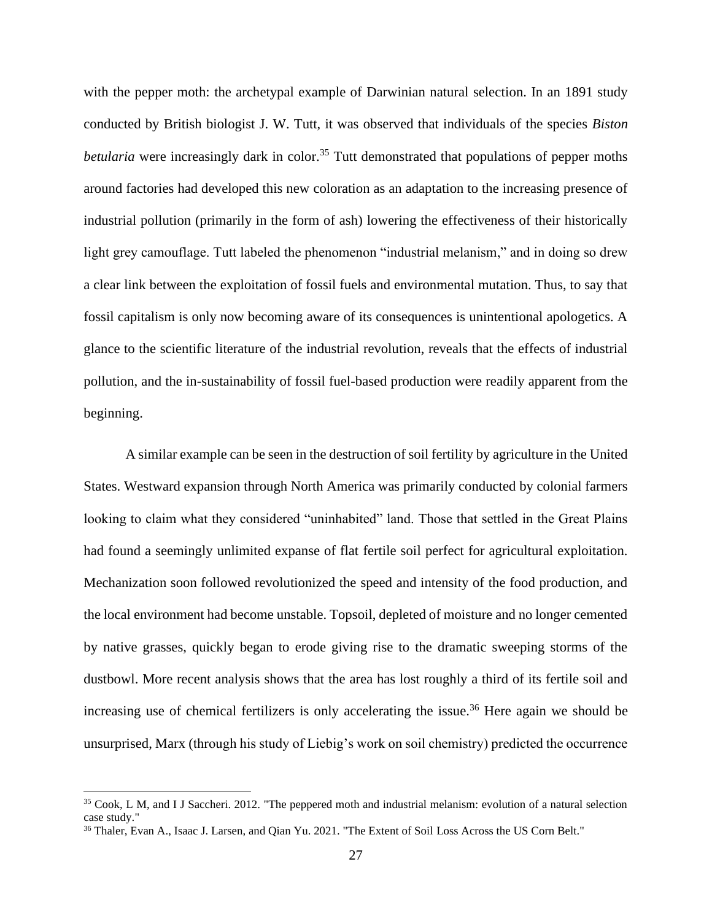with the pepper moth: the archetypal example of Darwinian natural selection. In an 1891 study conducted by British biologist J. W. Tutt, it was observed that individuals of the species *Biston betularia* were increasingly dark in color.<sup>35</sup> Tutt demonstrated that populations of pepper moths around factories had developed this new coloration as an adaptation to the increasing presence of industrial pollution (primarily in the form of ash) lowering the effectiveness of their historically light grey camouflage. Tutt labeled the phenomenon "industrial melanism," and in doing so drew a clear link between the exploitation of fossil fuels and environmental mutation. Thus, to say that fossil capitalism is only now becoming aware of its consequences is unintentional apologetics. A glance to the scientific literature of the industrial revolution, reveals that the effects of industrial pollution, and the in-sustainability of fossil fuel-based production were readily apparent from the beginning.

A similar example can be seen in the destruction of soil fertility by agriculture in the United States. Westward expansion through North America was primarily conducted by colonial farmers looking to claim what they considered "uninhabited" land. Those that settled in the Great Plains had found a seemingly unlimited expanse of flat fertile soil perfect for agricultural exploitation. Mechanization soon followed revolutionized the speed and intensity of the food production, and the local environment had become unstable. Topsoil, depleted of moisture and no longer cemented by native grasses, quickly began to erode giving rise to the dramatic sweeping storms of the dustbowl. More recent analysis shows that the area has lost roughly a third of its fertile soil and increasing use of chemical fertilizers is only accelerating the issue.<sup>36</sup> Here again we should be unsurprised, Marx (through his study of Liebig's work on soil chemistry) predicted the occurrence

<sup>&</sup>lt;sup>35</sup> Cook, L M, and I J Saccheri. 2012. "The peppered moth and industrial melanism: evolution of a natural selection case study."

<sup>&</sup>lt;sup>36</sup> Thaler, Evan A., Isaac J. Larsen, and Qian Yu. 2021. "The Extent of Soil Loss Across the US Corn Belt."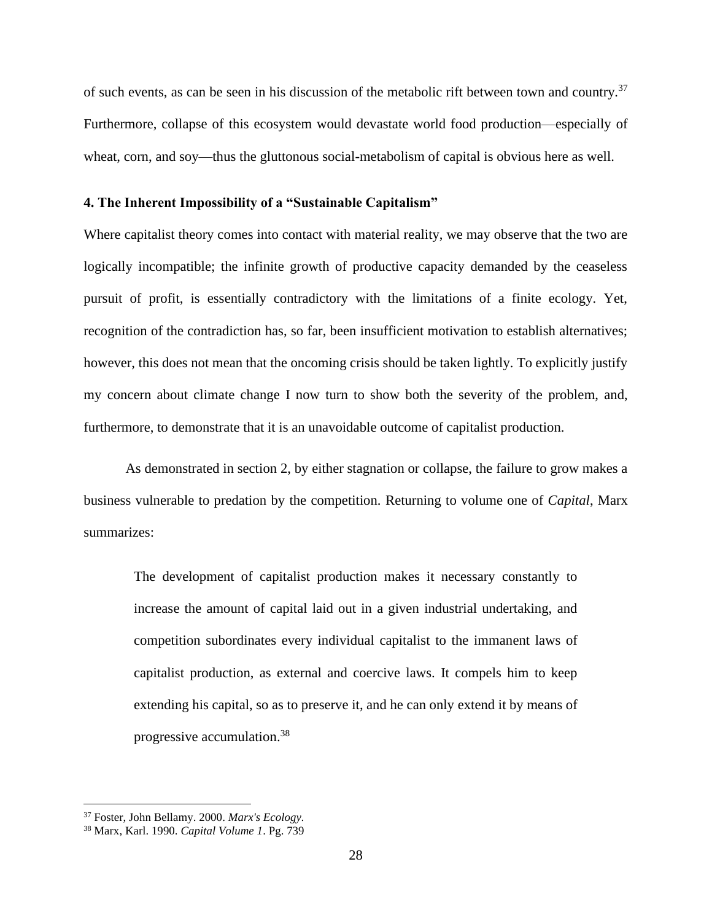of such events, as can be seen in his discussion of the metabolic rift between town and country.<sup>37</sup> Furthermore, collapse of this ecosystem would devastate world food production—especially of wheat, corn, and soy—thus the gluttonous social-metabolism of capital is obvious here as well.

### **4. The Inherent Impossibility of a "Sustainable Capitalism"**

Where capitalist theory comes into contact with material reality, we may observe that the two are logically incompatible; the infinite growth of productive capacity demanded by the ceaseless pursuit of profit, is essentially contradictory with the limitations of a finite ecology. Yet, recognition of the contradiction has, so far, been insufficient motivation to establish alternatives; however, this does not mean that the oncoming crisis should be taken lightly. To explicitly justify my concern about climate change I now turn to show both the severity of the problem, and, furthermore, to demonstrate that it is an unavoidable outcome of capitalist production.

As demonstrated in section 2, by either stagnation or collapse, the failure to grow makes a business vulnerable to predation by the competition. Returning to volume one of *Capital*, Marx summarizes:

The development of capitalist production makes it necessary constantly to increase the amount of capital laid out in a given industrial undertaking, and competition subordinates every individual capitalist to the immanent laws of capitalist production, as external and coercive laws. It compels him to keep extending his capital, so as to preserve it, and he can only extend it by means of progressive accumulation.<sup>38</sup>

<sup>37</sup> Foster, John Bellamy. 2000. *Marx's Ecology.*

<sup>38</sup> Marx, Karl. 1990. *Capital Volume 1*. Pg. 739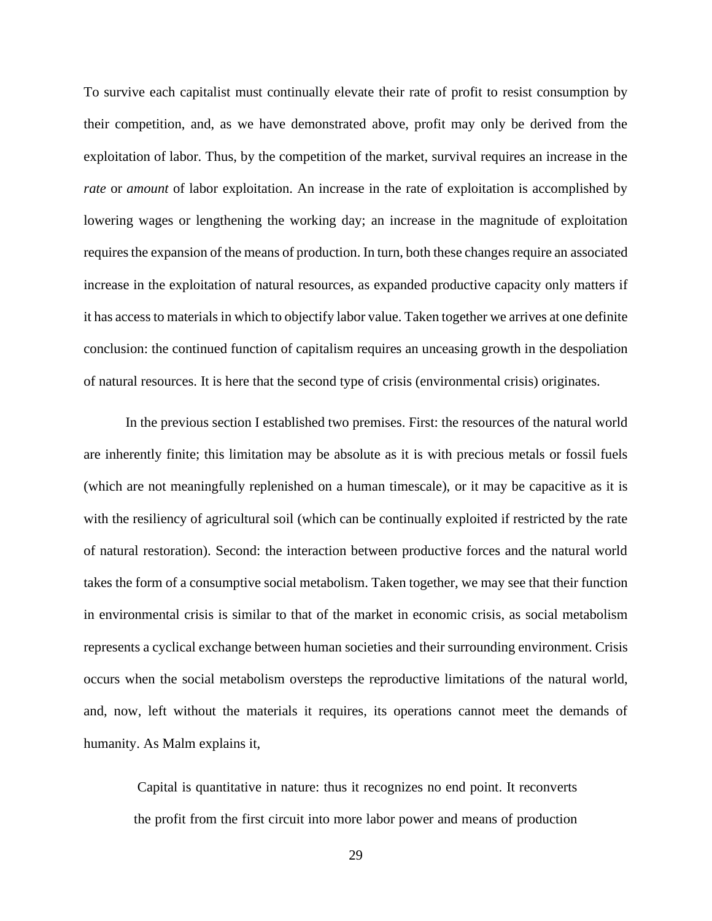To survive each capitalist must continually elevate their rate of profit to resist consumption by their competition, and, as we have demonstrated above, profit may only be derived from the exploitation of labor. Thus, by the competition of the market, survival requires an increase in the *rate* or *amount* of labor exploitation. An increase in the rate of exploitation is accomplished by lowering wages or lengthening the working day; an increase in the magnitude of exploitation requires the expansion of the means of production. In turn, both these changes require an associated increase in the exploitation of natural resources, as expanded productive capacity only matters if it has access to materials in which to objectify labor value. Taken together we arrives at one definite conclusion: the continued function of capitalism requires an unceasing growth in the despoliation of natural resources. It is here that the second type of crisis (environmental crisis) originates.

In the previous section I established two premises. First: the resources of the natural world are inherently finite; this limitation may be absolute as it is with precious metals or fossil fuels (which are not meaningfully replenished on a human timescale), or it may be capacitive as it is with the resiliency of agricultural soil (which can be continually exploited if restricted by the rate of natural restoration). Second: the interaction between productive forces and the natural world takes the form of a consumptive social metabolism. Taken together, we may see that their function in environmental crisis is similar to that of the market in economic crisis, as social metabolism represents a cyclical exchange between human societies and their surrounding environment. Crisis occurs when the social metabolism oversteps the reproductive limitations of the natural world, and, now, left without the materials it requires, its operations cannot meet the demands of humanity. As Malm explains it,

Capital is quantitative in nature: thus it recognizes no end point. It reconverts the profit from the first circuit into more labor power and means of production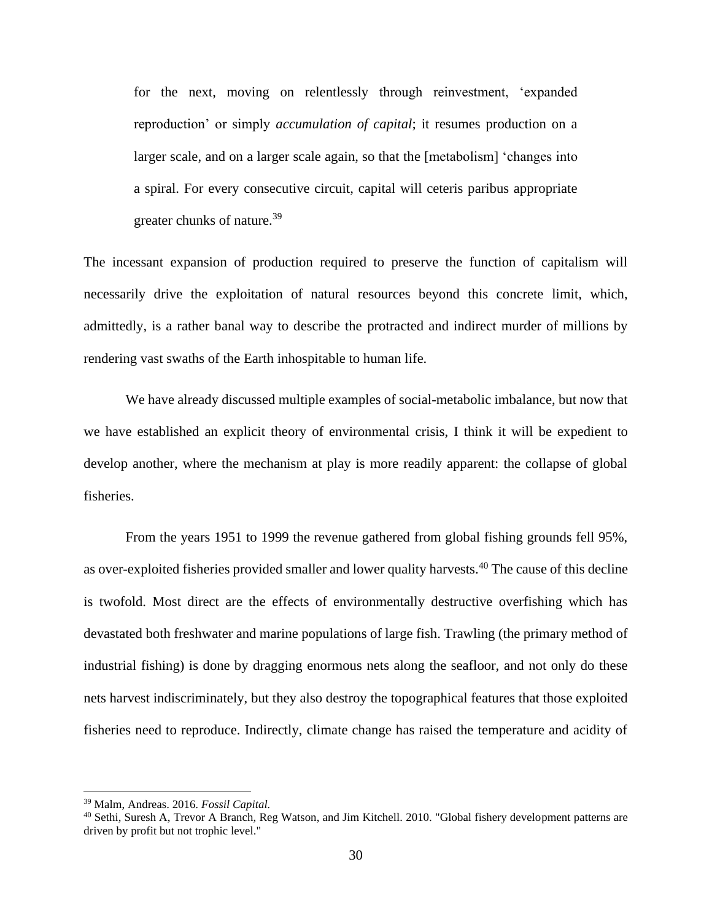for the next, moving on relentlessly through reinvestment, 'expanded reproduction' or simply *accumulation of capital*; it resumes production on a larger scale, and on a larger scale again, so that the [metabolism] 'changes into a spiral. For every consecutive circuit, capital will ceteris paribus appropriate greater chunks of nature.<sup>39</sup>

The incessant expansion of production required to preserve the function of capitalism will necessarily drive the exploitation of natural resources beyond this concrete limit, which, admittedly, is a rather banal way to describe the protracted and indirect murder of millions by rendering vast swaths of the Earth inhospitable to human life.

We have already discussed multiple examples of social-metabolic imbalance, but now that we have established an explicit theory of environmental crisis, I think it will be expedient to develop another, where the mechanism at play is more readily apparent: the collapse of global fisheries.

From the years 1951 to 1999 the revenue gathered from global fishing grounds fell 95%, as over-exploited fisheries provided smaller and lower quality harvests.<sup>40</sup> The cause of this decline is twofold. Most direct are the effects of environmentally destructive overfishing which has devastated both freshwater and marine populations of large fish. Trawling (the primary method of industrial fishing) is done by dragging enormous nets along the seafloor, and not only do these nets harvest indiscriminately, but they also destroy the topographical features that those exploited fisheries need to reproduce. Indirectly, climate change has raised the temperature and acidity of

<sup>39</sup> Malm, Andreas. 2016. *Fossil Capital.*

<sup>&</sup>lt;sup>40</sup> Sethi, Suresh A, Trevor A Branch, Reg Watson, and Jim Kitchell. 2010. "Global fishery development patterns are driven by profit but not trophic level."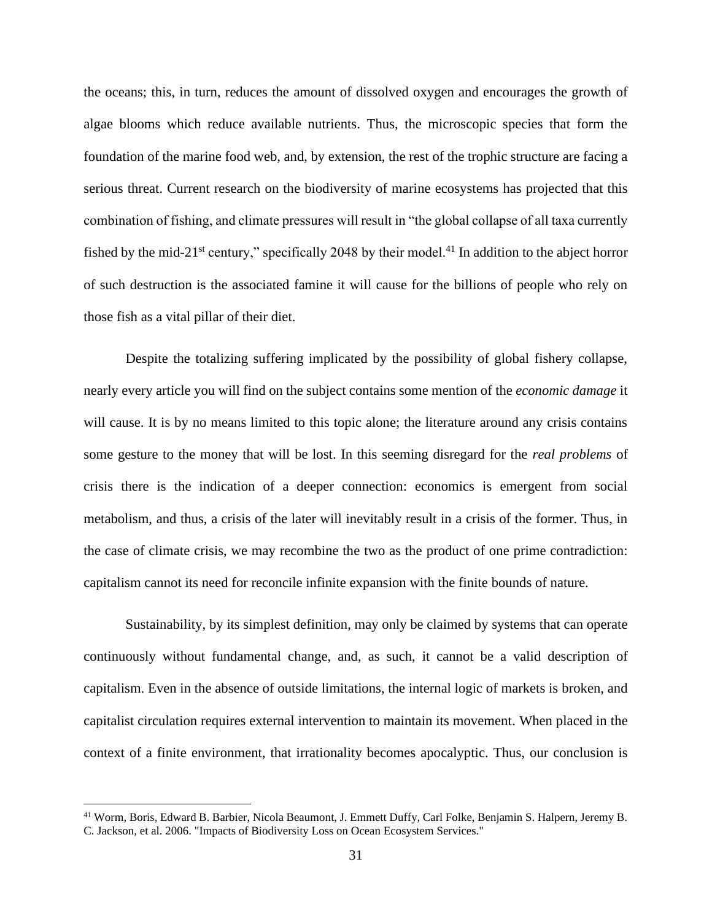the oceans; this, in turn, reduces the amount of dissolved oxygen and encourages the growth of algae blooms which reduce available nutrients. Thus, the microscopic species that form the foundation of the marine food web, and, by extension, the rest of the trophic structure are facing a serious threat. Current research on the biodiversity of marine ecosystems has projected that this combination of fishing, and climate pressures will result in "the global collapse of all taxa currently fished by the mid-21<sup>st</sup> century," specifically 2048 by their model.<sup>41</sup> In addition to the abject horror of such destruction is the associated famine it will cause for the billions of people who rely on those fish as a vital pillar of their diet.

Despite the totalizing suffering implicated by the possibility of global fishery collapse, nearly every article you will find on the subject contains some mention of the *economic damage* it will cause. It is by no means limited to this topic alone; the literature around any crisis contains some gesture to the money that will be lost. In this seeming disregard for the *real problems* of crisis there is the indication of a deeper connection: economics is emergent from social metabolism, and thus, a crisis of the later will inevitably result in a crisis of the former. Thus, in the case of climate crisis, we may recombine the two as the product of one prime contradiction: capitalism cannot its need for reconcile infinite expansion with the finite bounds of nature.

Sustainability, by its simplest definition, may only be claimed by systems that can operate continuously without fundamental change, and, as such, it cannot be a valid description of capitalism. Even in the absence of outside limitations, the internal logic of markets is broken, and capitalist circulation requires external intervention to maintain its movement. When placed in the context of a finite environment, that irrationality becomes apocalyptic. Thus, our conclusion is

<sup>41</sup> Worm, Boris, Edward B. Barbier, Nicola Beaumont, J. Emmett Duffy, Carl Folke, Benjamin S. Halpern, Jeremy B. C. Jackson, et al. 2006. "Impacts of Biodiversity Loss on Ocean Ecosystem Services."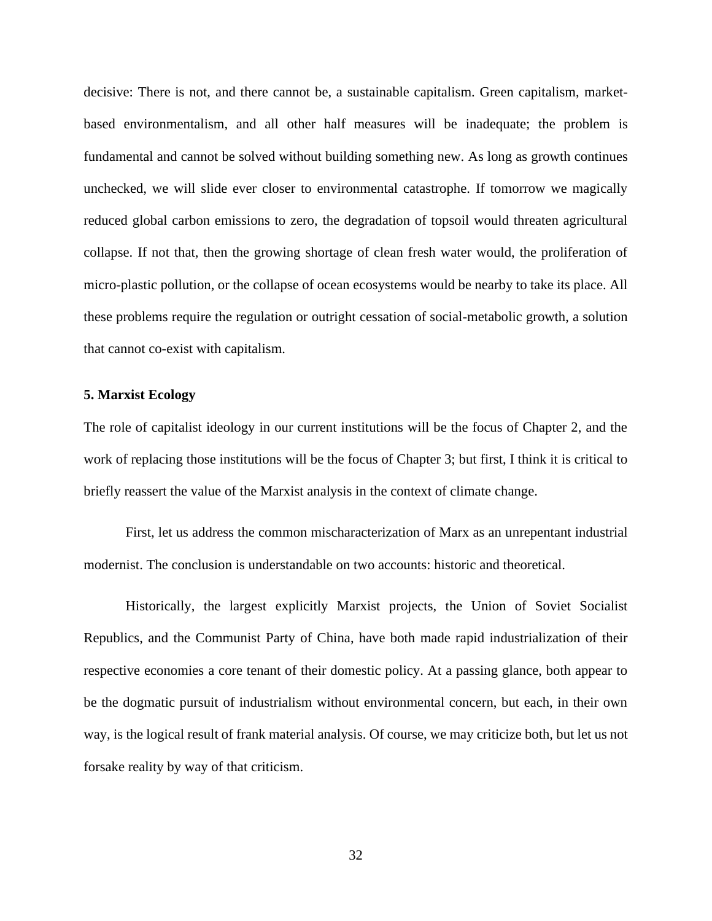decisive: There is not, and there cannot be, a sustainable capitalism. Green capitalism, marketbased environmentalism, and all other half measures will be inadequate; the problem is fundamental and cannot be solved without building something new. As long as growth continues unchecked, we will slide ever closer to environmental catastrophe. If tomorrow we magically reduced global carbon emissions to zero, the degradation of topsoil would threaten agricultural collapse. If not that, then the growing shortage of clean fresh water would, the proliferation of micro-plastic pollution, or the collapse of ocean ecosystems would be nearby to take its place. All these problems require the regulation or outright cessation of social-metabolic growth, a solution that cannot co-exist with capitalism.

#### **5. Marxist Ecology**

The role of capitalist ideology in our current institutions will be the focus of Chapter 2, and the work of replacing those institutions will be the focus of Chapter 3; but first, I think it is critical to briefly reassert the value of the Marxist analysis in the context of climate change.

First, let us address the common mischaracterization of Marx as an unrepentant industrial modernist. The conclusion is understandable on two accounts: historic and theoretical.

Historically, the largest explicitly Marxist projects, the Union of Soviet Socialist Republics, and the Communist Party of China, have both made rapid industrialization of their respective economies a core tenant of their domestic policy. At a passing glance, both appear to be the dogmatic pursuit of industrialism without environmental concern, but each, in their own way, is the logical result of frank material analysis. Of course, we may criticize both, but let us not forsake reality by way of that criticism.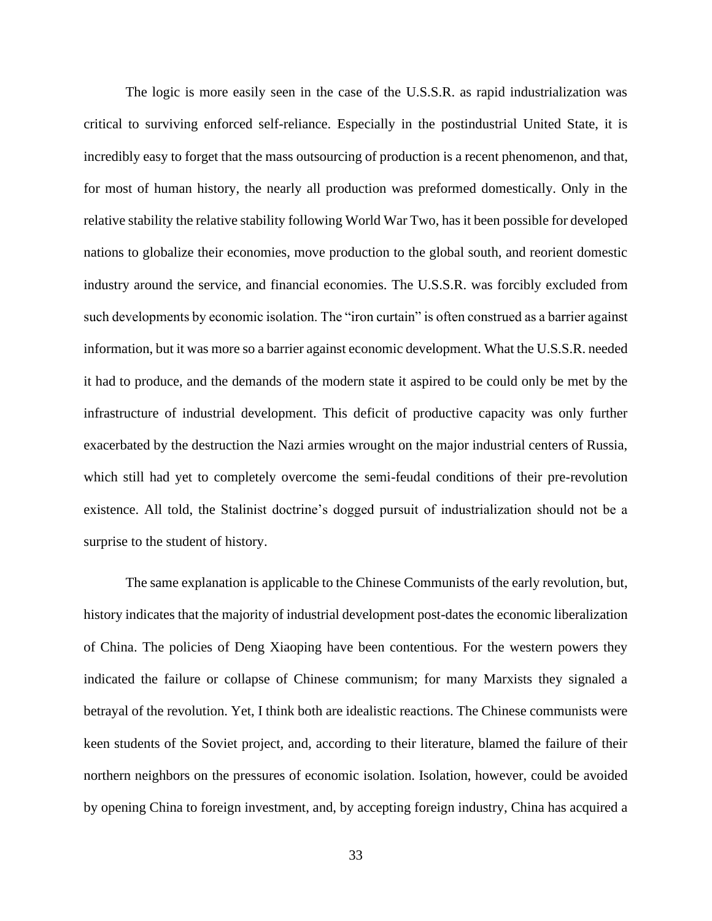The logic is more easily seen in the case of the U.S.S.R. as rapid industrialization was critical to surviving enforced self-reliance. Especially in the postindustrial United State, it is incredibly easy to forget that the mass outsourcing of production is a recent phenomenon, and that, for most of human history, the nearly all production was preformed domestically. Only in the relative stability the relative stability following World War Two, has it been possible for developed nations to globalize their economies, move production to the global south, and reorient domestic industry around the service, and financial economies. The U.S.S.R. was forcibly excluded from such developments by economic isolation. The "iron curtain" is often construed as a barrier against information, but it was more so a barrier against economic development. What the U.S.S.R. needed it had to produce, and the demands of the modern state it aspired to be could only be met by the infrastructure of industrial development. This deficit of productive capacity was only further exacerbated by the destruction the Nazi armies wrought on the major industrial centers of Russia, which still had yet to completely overcome the semi-feudal conditions of their pre-revolution existence. All told, the Stalinist doctrine's dogged pursuit of industrialization should not be a surprise to the student of history.

The same explanation is applicable to the Chinese Communists of the early revolution, but, history indicates that the majority of industrial development post-dates the economic liberalization of China. The policies of Deng Xiaoping have been contentious. For the western powers they indicated the failure or collapse of Chinese communism; for many Marxists they signaled a betrayal of the revolution. Yet, I think both are idealistic reactions. The Chinese communists were keen students of the Soviet project, and, according to their literature, blamed the failure of their northern neighbors on the pressures of economic isolation. Isolation, however, could be avoided by opening China to foreign investment, and, by accepting foreign industry, China has acquired a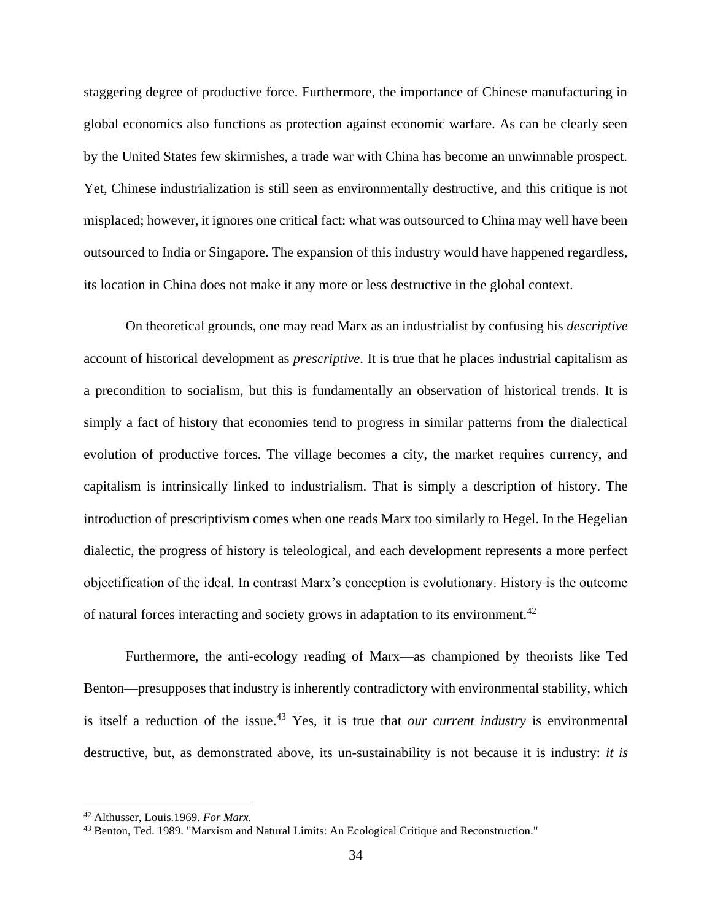staggering degree of productive force. Furthermore, the importance of Chinese manufacturing in global economics also functions as protection against economic warfare. As can be clearly seen by the United States few skirmishes, a trade war with China has become an unwinnable prospect. Yet, Chinese industrialization is still seen as environmentally destructive, and this critique is not misplaced; however, it ignores one critical fact: what was outsourced to China may well have been outsourced to India or Singapore. The expansion of this industry would have happened regardless, its location in China does not make it any more or less destructive in the global context.

On theoretical grounds, one may read Marx as an industrialist by confusing his *descriptive*  account of historical development as *prescriptive*. It is true that he places industrial capitalism as a precondition to socialism, but this is fundamentally an observation of historical trends. It is simply a fact of history that economies tend to progress in similar patterns from the dialectical evolution of productive forces. The village becomes a city, the market requires currency, and capitalism is intrinsically linked to industrialism. That is simply a description of history. The introduction of prescriptivism comes when one reads Marx too similarly to Hegel. In the Hegelian dialectic, the progress of history is teleological, and each development represents a more perfect objectification of the ideal. In contrast Marx's conception is evolutionary. History is the outcome of natural forces interacting and society grows in adaptation to its environment.<sup>42</sup>

Furthermore, the anti-ecology reading of Marx—as championed by theorists like Ted Benton—presupposes that industry is inherently contradictory with environmental stability, which is itself a reduction of the issue. <sup>43</sup> Yes, it is true that *our current industry* is environmental destructive, but, as demonstrated above, its un-sustainability is not because it is industry: *it is* 

<sup>42</sup> Althusser, Louis.1969. *For Marx.*

<sup>43</sup> Benton, Ted. 1989. "Marxism and Natural Limits: An Ecological Critique and Reconstruction."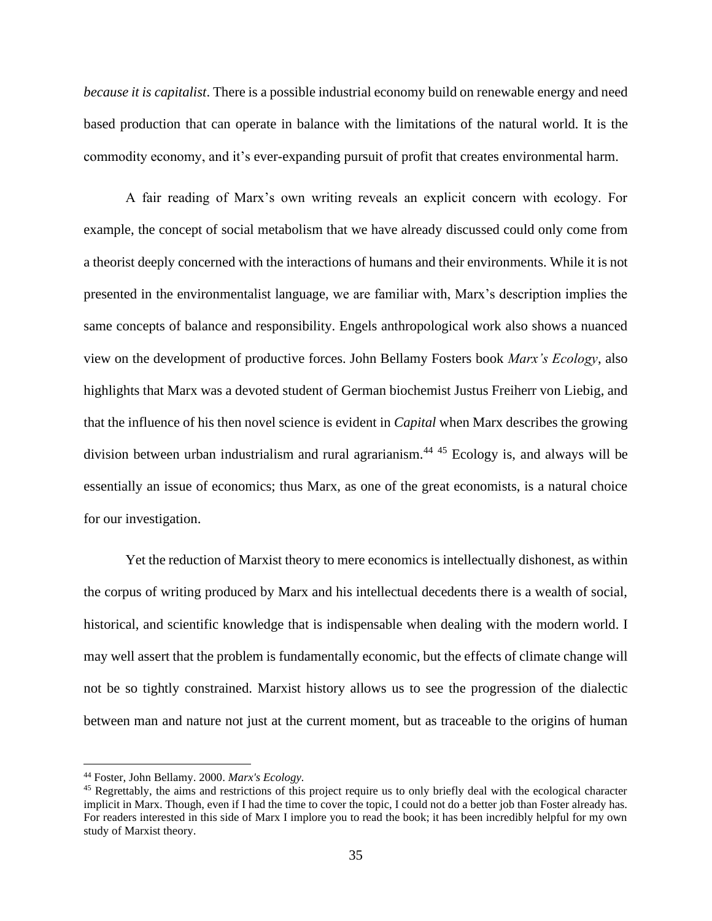*because it is capitalist*. There is a possible industrial economy build on renewable energy and need based production that can operate in balance with the limitations of the natural world. It is the commodity economy, and it's ever-expanding pursuit of profit that creates environmental harm.

A fair reading of Marx's own writing reveals an explicit concern with ecology. For example, the concept of social metabolism that we have already discussed could only come from a theorist deeply concerned with the interactions of humans and their environments. While it is not presented in the environmentalist language, we are familiar with, Marx's description implies the same concepts of balance and responsibility. Engels anthropological work also shows a nuanced view on the development of productive forces. John Bellamy Fosters book *Marx's Ecology*, also highlights that Marx was a devoted student of German biochemist Justus Freiherr von Liebig, and that the influence of his then novel science is evident in *Capital* when Marx describes the growing division between urban industrialism and rural agrarianism.<sup>44 45</sup> Ecology is, and always will be essentially an issue of economics; thus Marx, as one of the great economists, is a natural choice for our investigation.

Yet the reduction of Marxist theory to mere economics is intellectually dishonest, as within the corpus of writing produced by Marx and his intellectual decedents there is a wealth of social, historical, and scientific knowledge that is indispensable when dealing with the modern world. I may well assert that the problem is fundamentally economic, but the effects of climate change will not be so tightly constrained. Marxist history allows us to see the progression of the dialectic between man and nature not just at the current moment, but as traceable to the origins of human

<sup>44</sup> Foster, John Bellamy. 2000. *Marx's Ecology.*

<sup>&</sup>lt;sup>45</sup> Regrettably, the aims and restrictions of this project require us to only briefly deal with the ecological character implicit in Marx. Though, even if I had the time to cover the topic, I could not do a better job than Foster already has. For readers interested in this side of Marx I implore you to read the book; it has been incredibly helpful for my own study of Marxist theory.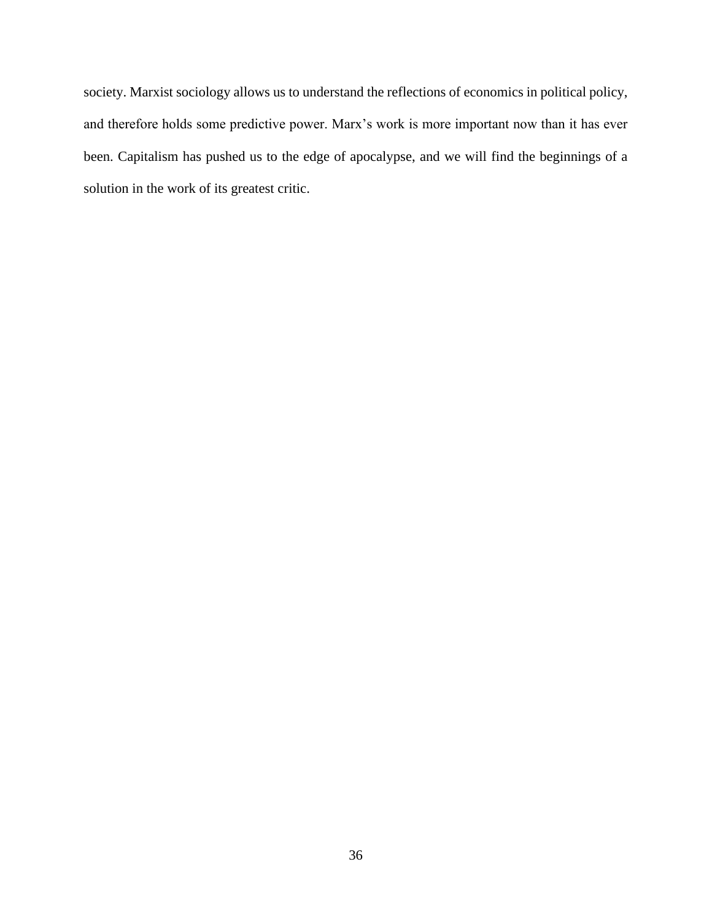society. Marxist sociology allows us to understand the reflections of economics in political policy, and therefore holds some predictive power. Marx's work is more important now than it has ever been. Capitalism has pushed us to the edge of apocalypse, and we will find the beginnings of a solution in the work of its greatest critic.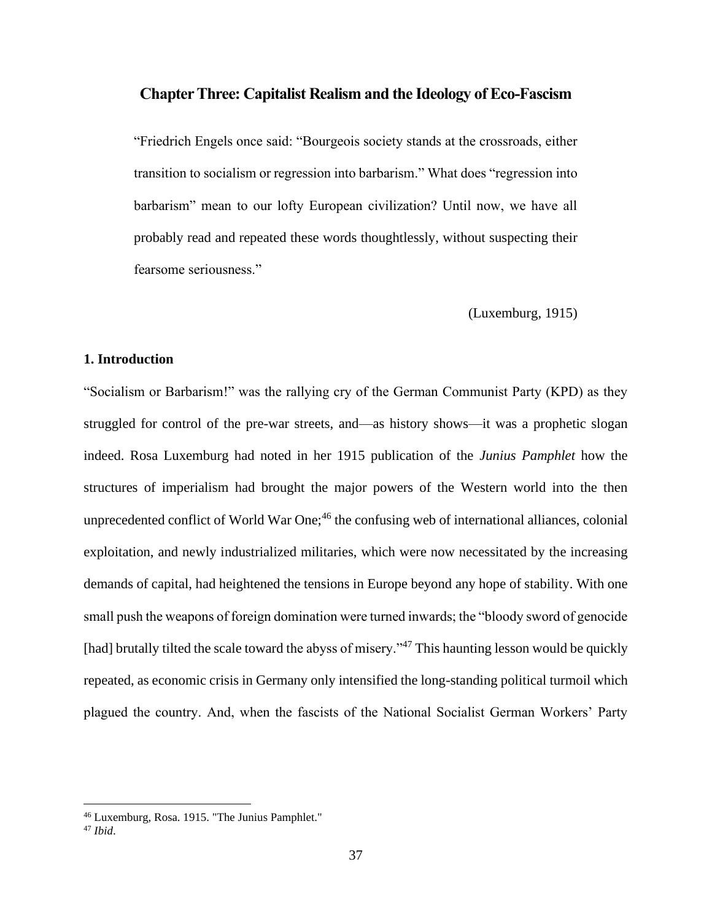### **Chapter Three: Capitalist Realism and the Ideology of Eco-Fascism**

"Friedrich Engels once said: "Bourgeois society stands at the crossroads, either transition to socialism or regression into barbarism." What does "regression into barbarism" mean to our lofty European civilization? Until now, we have all probably read and repeated these words thoughtlessly, without suspecting their fearsome seriousness."

(Luxemburg, 1915)

### **1. Introduction**

"Socialism or Barbarism!" was the rallying cry of the German Communist Party (KPD) as they struggled for control of the pre-war streets, and—as history shows—it was a prophetic slogan indeed. Rosa Luxemburg had noted in her 1915 publication of the *Junius Pamphlet* how the structures of imperialism had brought the major powers of the Western world into the then unprecedented conflict of World War  $One;^{46}$  the confusing web of international alliances, colonial exploitation, and newly industrialized militaries, which were now necessitated by the increasing demands of capital, had heightened the tensions in Europe beyond any hope of stability. With one small push the weapons of foreign domination were turned inwards; the "bloody sword of genocide [had] brutally tilted the scale toward the abyss of misery."<sup>47</sup> This haunting lesson would be quickly repeated, as economic crisis in Germany only intensified the long-standing political turmoil which plagued the country. And, when the fascists of the National Socialist German Workers' Party

<sup>46</sup> Luxemburg, Rosa. 1915. "The Junius Pamphlet."

<sup>47</sup> *Ibid*.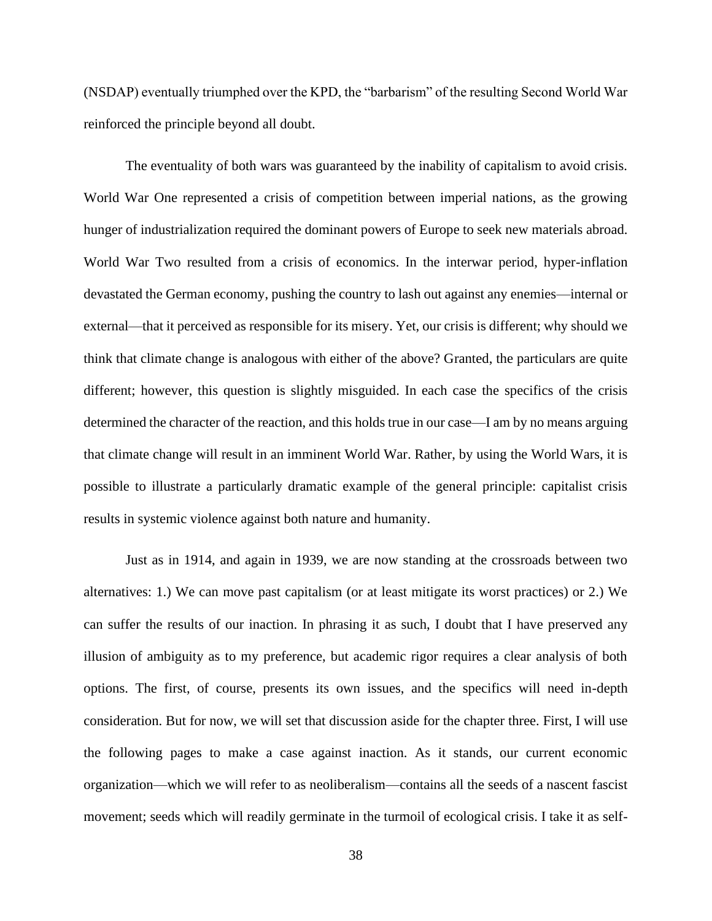(NSDAP) eventually triumphed over the KPD, the "barbarism" of the resulting Second World War reinforced the principle beyond all doubt.

The eventuality of both wars was guaranteed by the inability of capitalism to avoid crisis. World War One represented a crisis of competition between imperial nations, as the growing hunger of industrialization required the dominant powers of Europe to seek new materials abroad. World War Two resulted from a crisis of economics. In the interwar period, hyper-inflation devastated the German economy, pushing the country to lash out against any enemies—internal or external—that it perceived as responsible for its misery. Yet, our crisis is different; why should we think that climate change is analogous with either of the above? Granted, the particulars are quite different; however, this question is slightly misguided. In each case the specifics of the crisis determined the character of the reaction, and this holds true in our case—I am by no means arguing that climate change will result in an imminent World War. Rather, by using the World Wars, it is possible to illustrate a particularly dramatic example of the general principle: capitalist crisis results in systemic violence against both nature and humanity.

Just as in 1914, and again in 1939, we are now standing at the crossroads between two alternatives: 1.) We can move past capitalism (or at least mitigate its worst practices) or 2.) We can suffer the results of our inaction. In phrasing it as such, I doubt that I have preserved any illusion of ambiguity as to my preference, but academic rigor requires a clear analysis of both options. The first, of course, presents its own issues, and the specifics will need in-depth consideration. But for now, we will set that discussion aside for the chapter three. First, I will use the following pages to make a case against inaction. As it stands, our current economic organization—which we will refer to as neoliberalism—contains all the seeds of a nascent fascist movement; seeds which will readily germinate in the turmoil of ecological crisis. I take it as self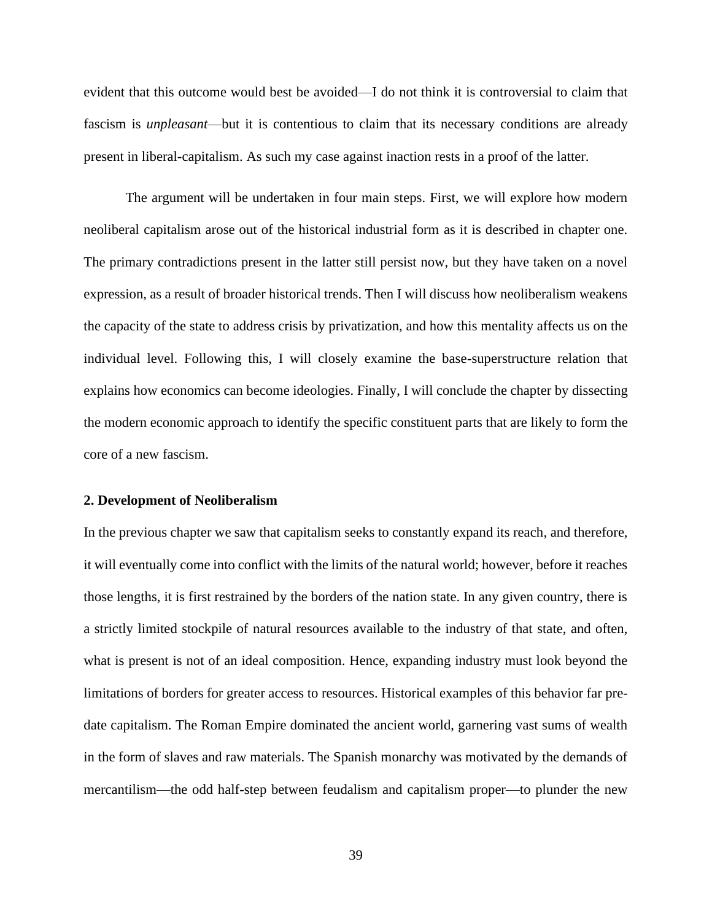evident that this outcome would best be avoided—I do not think it is controversial to claim that fascism is *unpleasant*—but it is contentious to claim that its necessary conditions are already present in liberal-capitalism. As such my case against inaction rests in a proof of the latter.

The argument will be undertaken in four main steps. First, we will explore how modern neoliberal capitalism arose out of the historical industrial form as it is described in chapter one. The primary contradictions present in the latter still persist now, but they have taken on a novel expression, as a result of broader historical trends. Then I will discuss how neoliberalism weakens the capacity of the state to address crisis by privatization, and how this mentality affects us on the individual level. Following this, I will closely examine the base-superstructure relation that explains how economics can become ideologies. Finally, I will conclude the chapter by dissecting the modern economic approach to identify the specific constituent parts that are likely to form the core of a new fascism.

### **2. Development of Neoliberalism**

In the previous chapter we saw that capitalism seeks to constantly expand its reach, and therefore, it will eventually come into conflict with the limits of the natural world; however, before it reaches those lengths, it is first restrained by the borders of the nation state. In any given country, there is a strictly limited stockpile of natural resources available to the industry of that state, and often, what is present is not of an ideal composition. Hence, expanding industry must look beyond the limitations of borders for greater access to resources. Historical examples of this behavior far predate capitalism. The Roman Empire dominated the ancient world, garnering vast sums of wealth in the form of slaves and raw materials. The Spanish monarchy was motivated by the demands of mercantilism—the odd half-step between feudalism and capitalism proper—to plunder the new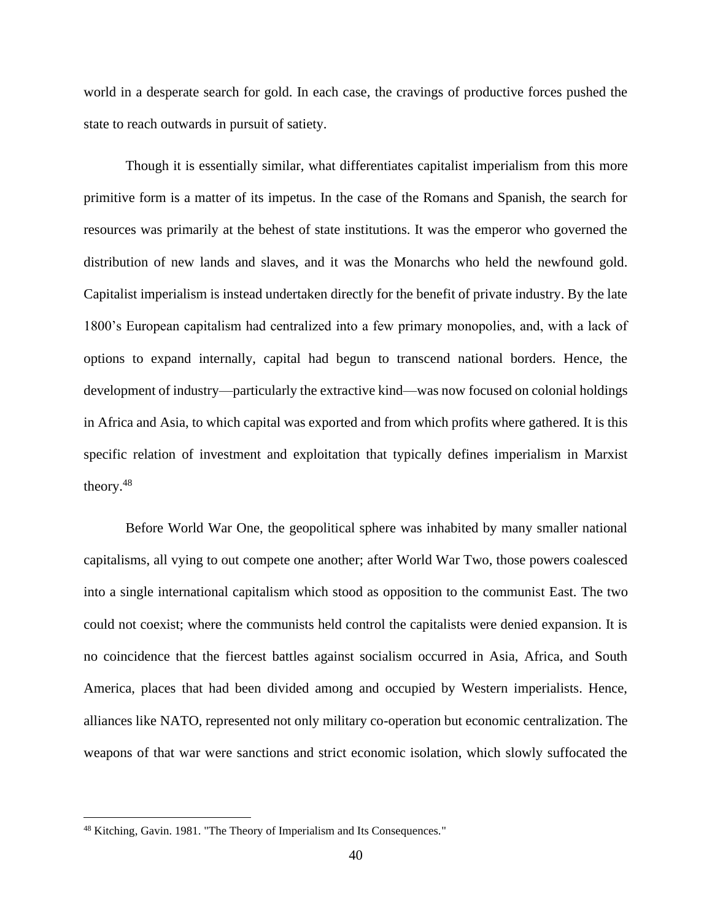world in a desperate search for gold. In each case, the cravings of productive forces pushed the state to reach outwards in pursuit of satiety.

Though it is essentially similar, what differentiates capitalist imperialism from this more primitive form is a matter of its impetus. In the case of the Romans and Spanish, the search for resources was primarily at the behest of state institutions. It was the emperor who governed the distribution of new lands and slaves, and it was the Monarchs who held the newfound gold. Capitalist imperialism is instead undertaken directly for the benefit of private industry. By the late 1800's European capitalism had centralized into a few primary monopolies, and, with a lack of options to expand internally, capital had begun to transcend national borders. Hence, the development of industry—particularly the extractive kind—was now focused on colonial holdings in Africa and Asia, to which capital was exported and from which profits where gathered. It is this specific relation of investment and exploitation that typically defines imperialism in Marxist theory.<sup>48</sup>

Before World War One, the geopolitical sphere was inhabited by many smaller national capitalisms, all vying to out compete one another; after World War Two, those powers coalesced into a single international capitalism which stood as opposition to the communist East. The two could not coexist; where the communists held control the capitalists were denied expansion. It is no coincidence that the fiercest battles against socialism occurred in Asia, Africa, and South America, places that had been divided among and occupied by Western imperialists. Hence, alliances like NATO, represented not only military co-operation but economic centralization. The weapons of that war were sanctions and strict economic isolation, which slowly suffocated the

<sup>48</sup> Kitching, Gavin. 1981. "The Theory of Imperialism and Its Consequences."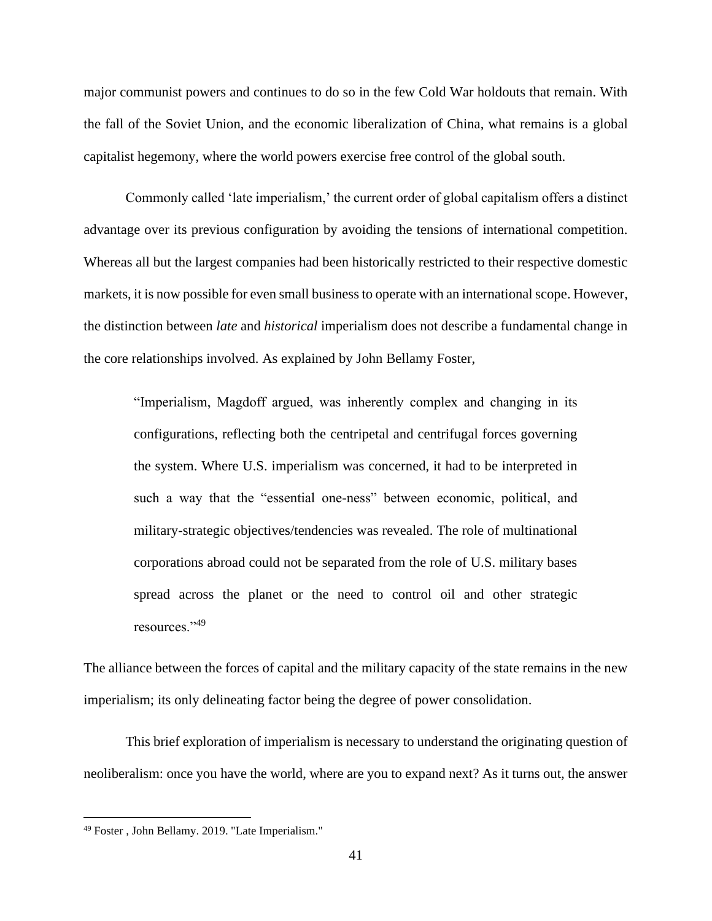major communist powers and continues to do so in the few Cold War holdouts that remain. With the fall of the Soviet Union, and the economic liberalization of China, what remains is a global capitalist hegemony, where the world powers exercise free control of the global south.

Commonly called 'late imperialism,' the current order of global capitalism offers a distinct advantage over its previous configuration by avoiding the tensions of international competition. Whereas all but the largest companies had been historically restricted to their respective domestic markets, it is now possible for even small business to operate with an international scope. However, the distinction between *late* and *historical* imperialism does not describe a fundamental change in the core relationships involved. As explained by John Bellamy Foster,

"Imperialism, Magdoff argued, was inherently complex and changing in its configurations, reflecting both the centripetal and centrifugal forces governing the system. Where U.S. imperialism was concerned, it had to be interpreted in such a way that the "essential one-ness" between economic, political, and military-strategic objectives/tendencies was revealed. The role of multinational corporations abroad could not be separated from the role of U.S. military bases spread across the planet or the need to control oil and other strategic resources."<sup>49</sup>

The alliance between the forces of capital and the military capacity of the state remains in the new imperialism; its only delineating factor being the degree of power consolidation.

This brief exploration of imperialism is necessary to understand the originating question of neoliberalism: once you have the world, where are you to expand next? As it turns out, the answer

<sup>49</sup> Foster , John Bellamy. 2019. "Late Imperialism."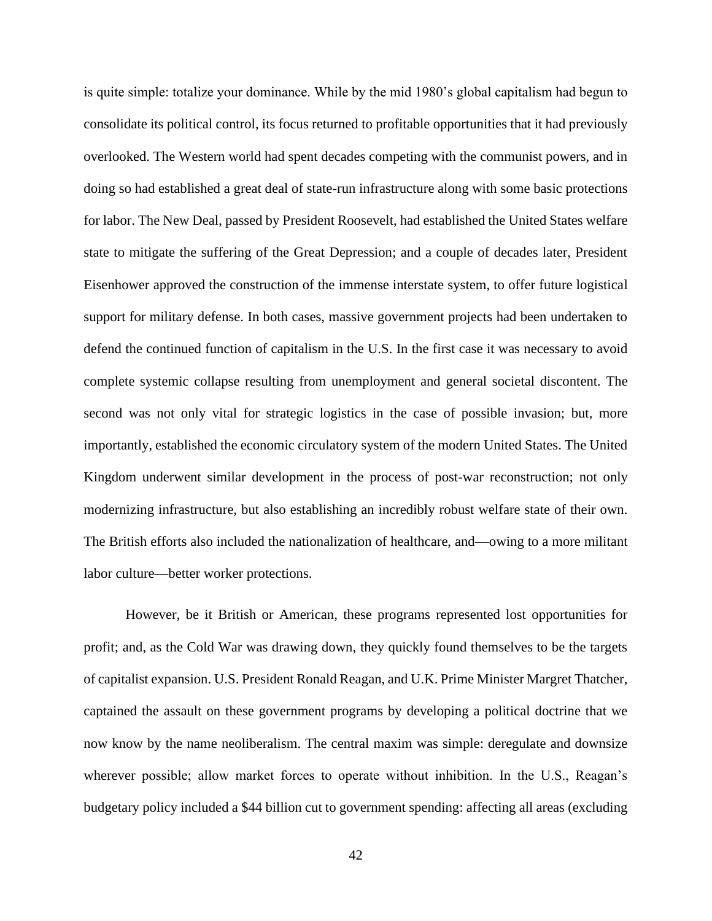is quite simple: totalize your dominance. While by the mid 1980's global capitalism had begun to consolidate its political control, its focus returned to profitable opportunities that it had previously overlooked. The Western world had spent decades competing with the communist powers, and in doing so had established a great deal of state-run infrastructure along with some basic protections for labor. The New Deal, passed by President Roosevelt, had established the United States welfare state to mitigate the suffering of the Great Depression; and a couple of decades later, President Eisenhower approved the construction of the immense interstate system, to offer future logistical support for military defense. In both cases, massive government projects had been undertaken to defend the continued function of capitalism in the U.S. In the first case it was necessary to avoid complete systemic collapse resulting from unemployment and general societal discontent. The second was not only vital for strategic logistics in the case of possible invasion; but, more importantly, established the economic circulatory system of the modern United States. The United Kingdom underwent similar development in the process of post-war reconstruction; not only modernizing infrastructure, but also establishing an incredibly robust welfare state of their own. The British efforts also included the nationalization of healthcare, and—owing to a more militant labor culture—better worker protections.

However, be it British or American, these programs represented lost opportunities for profit; and, as the Cold War was drawing down, they quickly found themselves to be the targets of capitalist expansion. U.S. President Ronald Reagan, and U.K. Prime Minister Margret Thatcher, captained the assault on these government programs by developing a political doctrine that we now know by the name neoliberalism. The central maxim was simple: deregulate and downsize wherever possible; allow market forces to operate without inhibition. In the U.S., Reagan's budgetary policy included a \$44 billion cut to government spending: affecting all areas (excluding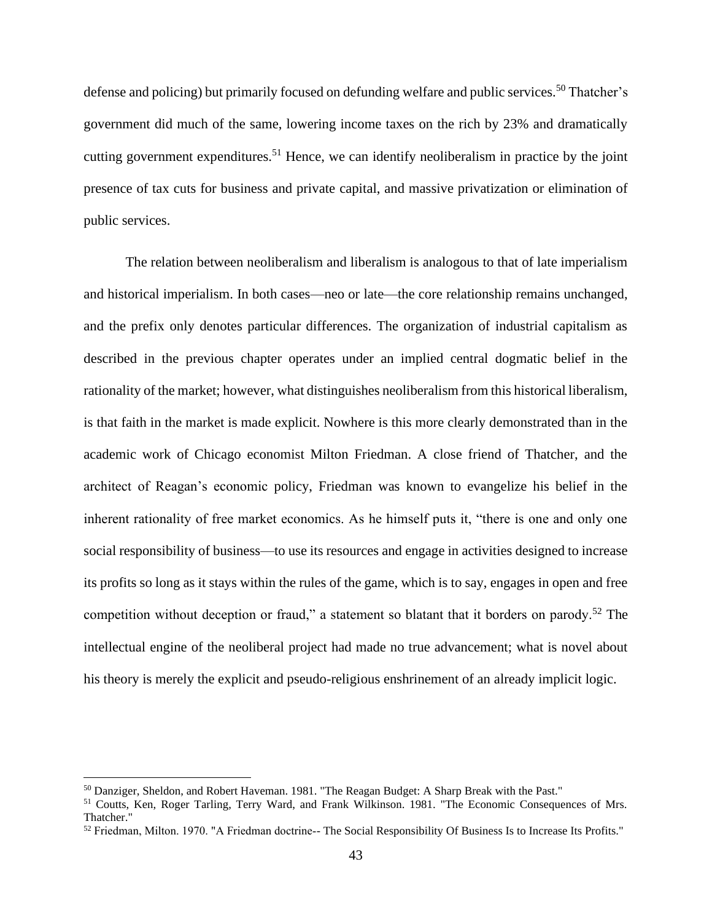defense and policing) but primarily focused on defunding welfare and public services.<sup>50</sup> Thatcher's government did much of the same, lowering income taxes on the rich by 23% and dramatically cutting government expenditures.<sup>51</sup> Hence, we can identify neoliberalism in practice by the joint presence of tax cuts for business and private capital, and massive privatization or elimination of public services.

The relation between neoliberalism and liberalism is analogous to that of late imperialism and historical imperialism. In both cases—neo or late—the core relationship remains unchanged, and the prefix only denotes particular differences. The organization of industrial capitalism as described in the previous chapter operates under an implied central dogmatic belief in the rationality of the market; however, what distinguishes neoliberalism from this historical liberalism, is that faith in the market is made explicit. Nowhere is this more clearly demonstrated than in the academic work of Chicago economist Milton Friedman. A close friend of Thatcher, and the architect of Reagan's economic policy, Friedman was known to evangelize his belief in the inherent rationality of free market economics. As he himself puts it, "there is one and only one social responsibility of business—to use its resources and engage in activities designed to increase its profits so long as it stays within the rules of the game, which is to say, engages in open and free competition without deception or fraud," a statement so blatant that it borders on parody.<sup>52</sup> The intellectual engine of the neoliberal project had made no true advancement; what is novel about his theory is merely the explicit and pseudo-religious enshrinement of an already implicit logic.

<sup>&</sup>lt;sup>50</sup> Danziger, Sheldon, and Robert Haveman. 1981. "The Reagan Budget: A Sharp Break with the Past."

<sup>&</sup>lt;sup>51</sup> Coutts, Ken, Roger Tarling, Terry Ward, and Frank Wilkinson. 1981. "The Economic Consequences of Mrs. Thatcher."

<sup>52</sup> Friedman, Milton. 1970. "A Friedman doctrine-- The Social Responsibility Of Business Is to Increase Its Profits."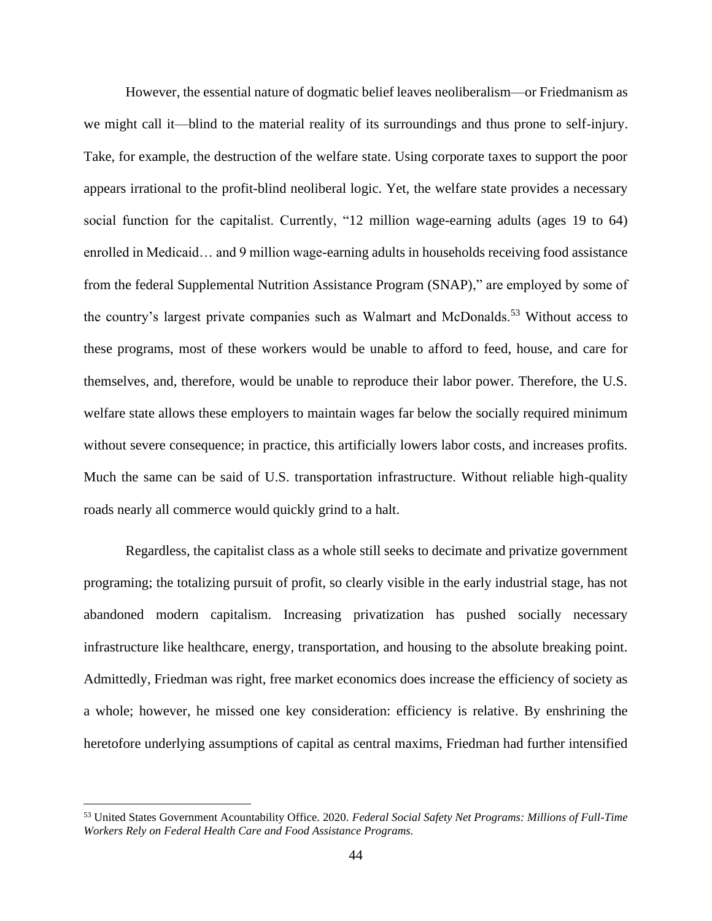However, the essential nature of dogmatic belief leaves neoliberalism—or Friedmanism as we might call it—blind to the material reality of its surroundings and thus prone to self-injury. Take, for example, the destruction of the welfare state. Using corporate taxes to support the poor appears irrational to the profit-blind neoliberal logic. Yet, the welfare state provides a necessary social function for the capitalist. Currently, "12 million wage-earning adults (ages 19 to 64) enrolled in Medicaid… and 9 million wage-earning adults in households receiving food assistance from the federal Supplemental Nutrition Assistance Program (SNAP)," are employed by some of the country's largest private companies such as Walmart and McDonalds.<sup>53</sup> Without access to these programs, most of these workers would be unable to afford to feed, house, and care for themselves, and, therefore, would be unable to reproduce their labor power. Therefore, the U.S. welfare state allows these employers to maintain wages far below the socially required minimum without severe consequence; in practice, this artificially lowers labor costs, and increases profits. Much the same can be said of U.S. transportation infrastructure. Without reliable high-quality roads nearly all commerce would quickly grind to a halt.

Regardless, the capitalist class as a whole still seeks to decimate and privatize government programing; the totalizing pursuit of profit, so clearly visible in the early industrial stage, has not abandoned modern capitalism. Increasing privatization has pushed socially necessary infrastructure like healthcare, energy, transportation, and housing to the absolute breaking point. Admittedly, Friedman was right, free market economics does increase the efficiency of society as a whole; however, he missed one key consideration: efficiency is relative. By enshrining the heretofore underlying assumptions of capital as central maxims, Friedman had further intensified

<sup>53</sup> United States Government Acountability Office. 2020. *Federal Social Safety Net Programs: Millions of Full-Time Workers Rely on Federal Health Care and Food Assistance Programs.*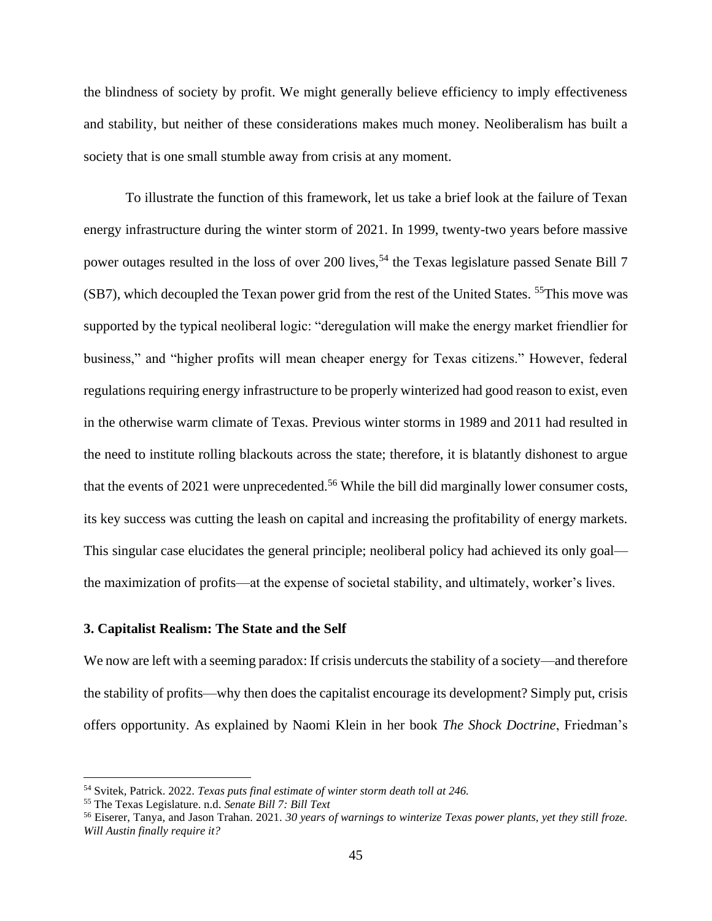the blindness of society by profit. We might generally believe efficiency to imply effectiveness and stability, but neither of these considerations makes much money. Neoliberalism has built a society that is one small stumble away from crisis at any moment.

To illustrate the function of this framework, let us take a brief look at the failure of Texan energy infrastructure during the winter storm of 2021. In 1999, twenty-two years before massive power outages resulted in the loss of over 200 lives,<sup>54</sup> the Texas legislature passed Senate Bill 7 (SB7), which decoupled the Texan power grid from the rest of the United States. <sup>55</sup>This move was supported by the typical neoliberal logic: "deregulation will make the energy market friendlier for business," and "higher profits will mean cheaper energy for Texas citizens." However, federal regulations requiring energy infrastructure to be properly winterized had good reason to exist, even in the otherwise warm climate of Texas. Previous winter storms in 1989 and 2011 had resulted in the need to institute rolling blackouts across the state; therefore, it is blatantly dishonest to argue that the events of 2021 were unprecedented.<sup>56</sup> While the bill did marginally lower consumer costs, its key success was cutting the leash on capital and increasing the profitability of energy markets. This singular case elucidates the general principle; neoliberal policy had achieved its only goal the maximization of profits—at the expense of societal stability, and ultimately, worker's lives.

# **3. Capitalist Realism: The State and the Self**

We now are left with a seeming paradox: If crisis undercuts the stability of a society—and therefore the stability of profits—why then does the capitalist encourage its development? Simply put, crisis offers opportunity. As explained by Naomi Klein in her book *The Shock Doctrine*, Friedman's

<sup>54</sup> Svitek, Patrick. 2022. *Texas puts final estimate of winter storm death toll at 246.*

<sup>55</sup> The Texas Legislature. n.d. *Senate Bill 7: Bill Text*

<sup>56</sup> Eiserer, Tanya, and Jason Trahan. 2021. *30 years of warnings to winterize Texas power plants, yet they still froze. Will Austin finally require it?*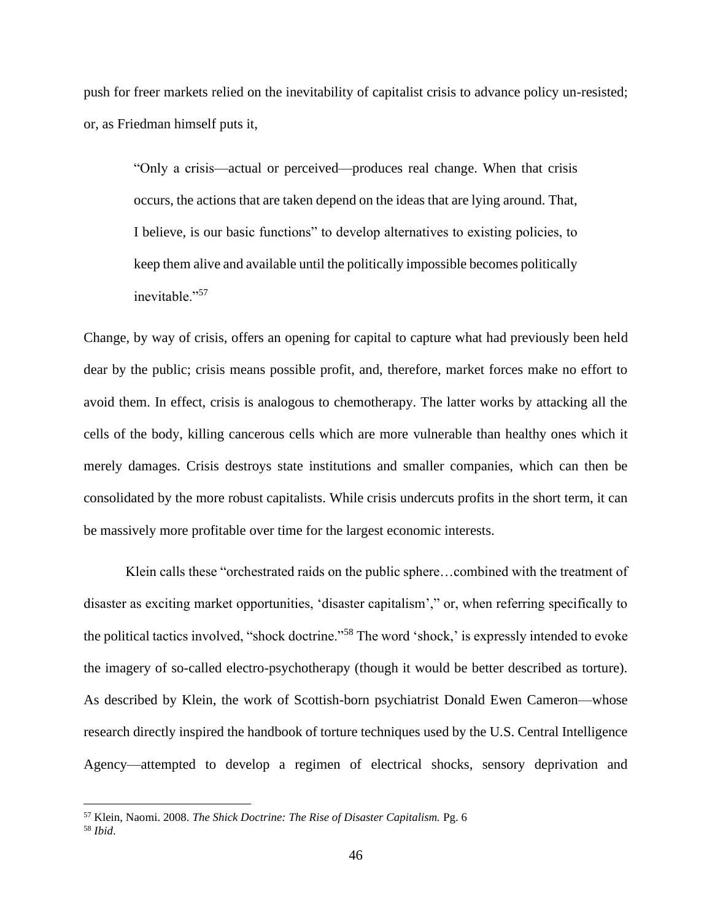push for freer markets relied on the inevitability of capitalist crisis to advance policy un-resisted; or, as Friedman himself puts it,

"Only a crisis—actual or perceived—produces real change. When that crisis occurs, the actions that are taken depend on the ideas that are lying around. That, I believe, is our basic functions" to develop alternatives to existing policies, to keep them alive and available until the politically impossible becomes politically inevitable."<sup>57</sup>

Change, by way of crisis, offers an opening for capital to capture what had previously been held dear by the public; crisis means possible profit, and, therefore, market forces make no effort to avoid them. In effect, crisis is analogous to chemotherapy. The latter works by attacking all the cells of the body, killing cancerous cells which are more vulnerable than healthy ones which it merely damages. Crisis destroys state institutions and smaller companies, which can then be consolidated by the more robust capitalists. While crisis undercuts profits in the short term, it can be massively more profitable over time for the largest economic interests.

Klein calls these "orchestrated raids on the public sphere…combined with the treatment of disaster as exciting market opportunities, 'disaster capitalism'," or, when referring specifically to the political tactics involved, "shock doctrine."<sup>58</sup> The word 'shock,' is expressly intended to evoke the imagery of so-called electro-psychotherapy (though it would be better described as torture). As described by Klein, the work of Scottish-born psychiatrist Donald Ewen Cameron—whose research directly inspired the handbook of torture techniques used by the U.S. Central Intelligence Agency—attempted to develop a regimen of electrical shocks, sensory deprivation and

<sup>57</sup> Klein, Naomi. 2008. *The Shick Doctrine: The Rise of Disaster Capitalism.* Pg. 6

<sup>58</sup> *Ibid*.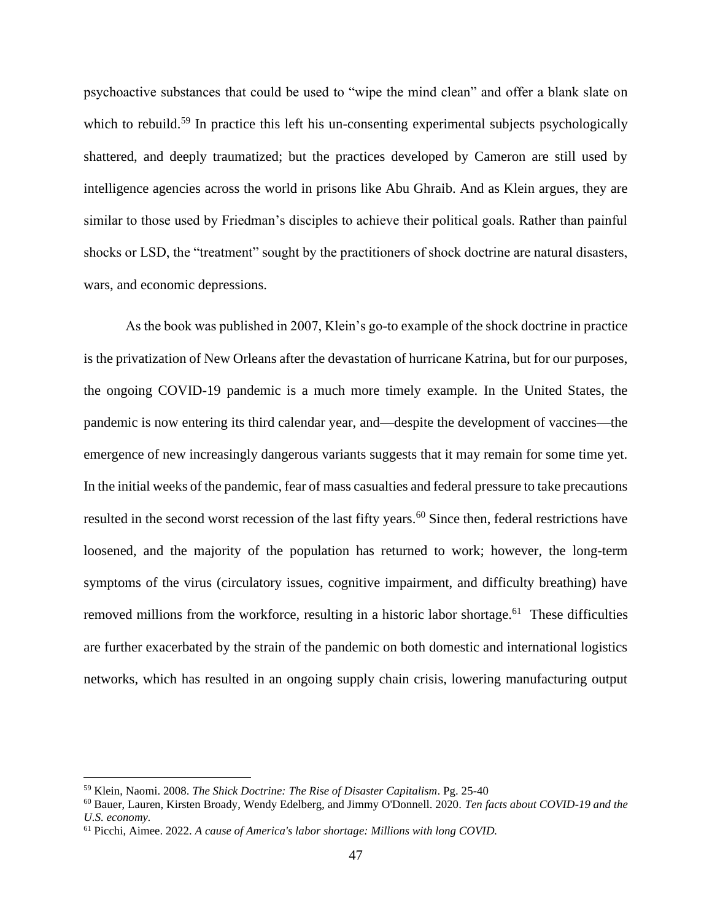psychoactive substances that could be used to "wipe the mind clean" and offer a blank slate on which to rebuild.<sup>59</sup> In practice this left his un-consenting experimental subjects psychologically shattered, and deeply traumatized; but the practices developed by Cameron are still used by intelligence agencies across the world in prisons like Abu Ghraib. And as Klein argues, they are similar to those used by Friedman's disciples to achieve their political goals. Rather than painful shocks or LSD, the "treatment" sought by the practitioners of shock doctrine are natural disasters, wars, and economic depressions.

As the book was published in 2007, Klein's go-to example of the shock doctrine in practice is the privatization of New Orleans after the devastation of hurricane Katrina, but for our purposes, the ongoing COVID-19 pandemic is a much more timely example. In the United States, the pandemic is now entering its third calendar year, and—despite the development of vaccines—the emergence of new increasingly dangerous variants suggests that it may remain for some time yet. In the initial weeks of the pandemic, fear of mass casualties and federal pressure to take precautions resulted in the second worst recession of the last fifty years.<sup>60</sup> Since then, federal restrictions have loosened, and the majority of the population has returned to work; however, the long-term symptoms of the virus (circulatory issues, cognitive impairment, and difficulty breathing) have removed millions from the workforce, resulting in a historic labor shortage.<sup>61</sup> These difficulties are further exacerbated by the strain of the pandemic on both domestic and international logistics networks, which has resulted in an ongoing supply chain crisis, lowering manufacturing output

<sup>59</sup> Klein, Naomi. 2008. *The Shick Doctrine: The Rise of Disaster Capitalism*. Pg. 25-40

<sup>60</sup> Bauer, Lauren, Kirsten Broady, Wendy Edelberg, and Jimmy O'Donnell. 2020. *Ten facts about COVID-19 and the U.S. economy.*

<sup>61</sup> Picchi, Aimee. 2022. *A cause of America's labor shortage: Millions with long COVID.*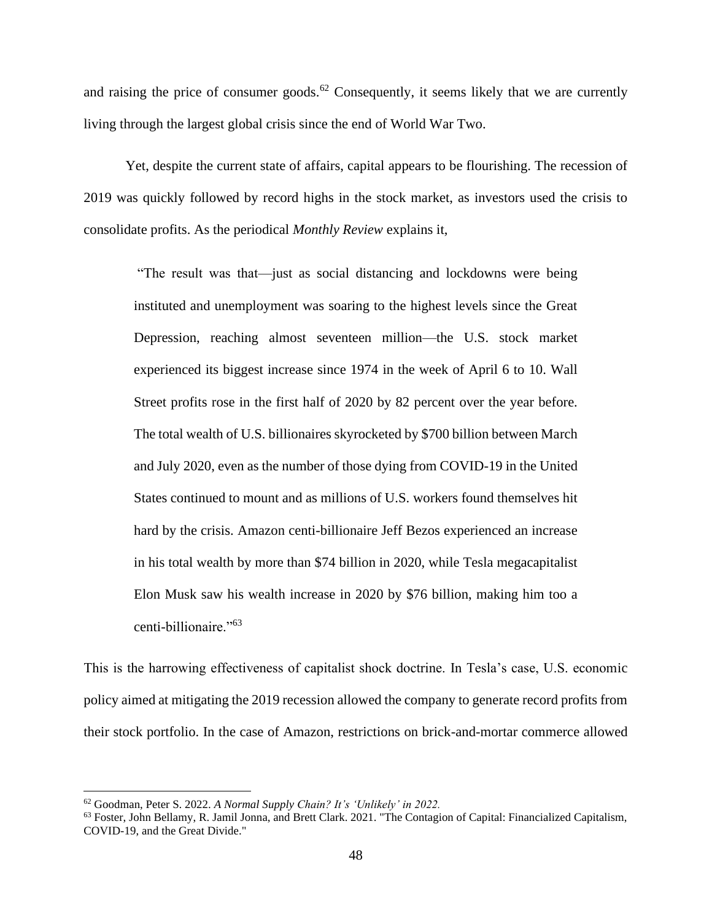and raising the price of consumer goods.<sup>62</sup> Consequently, it seems likely that we are currently living through the largest global crisis since the end of World War Two.

Yet, despite the current state of affairs, capital appears to be flourishing. The recession of 2019 was quickly followed by record highs in the stock market, as investors used the crisis to consolidate profits. As the periodical *Monthly Review* explains it,

"The result was that—just as social distancing and lockdowns were being instituted and unemployment was soaring to the highest levels since the Great Depression, reaching almost seventeen million—the U.S. stock market experienced its biggest increase since 1974 in the week of April 6 to 10. Wall Street profits rose in the first half of 2020 by 82 percent over the year before. The total wealth of U.S. billionaires skyrocketed by \$700 billion between March and July 2020, even as the number of those dying from COVID-19 in the United States continued to mount and as millions of U.S. workers found themselves hit hard by the crisis. Amazon centi-billionaire Jeff Bezos experienced an increase in his total wealth by more than \$74 billion in 2020, while Tesla megacapitalist Elon Musk saw his wealth increase in 2020 by \$76 billion, making him too a centi-billionaire."<sup>63</sup>

This is the harrowing effectiveness of capitalist shock doctrine. In Tesla's case, U.S. economic policy aimed at mitigating the 2019 recession allowed the company to generate record profits from their stock portfolio. In the case of Amazon, restrictions on brick-and-mortar commerce allowed

<sup>62</sup> Goodman, Peter S. 2022. *A Normal Supply Chain? It's 'Unlikely' in 2022.*

<sup>&</sup>lt;sup>63</sup> Foster, John Bellamy, R. Jamil Jonna, and Brett Clark. 2021. "The Contagion of Capital: Financialized Capitalism, COVID-19, and the Great Divide."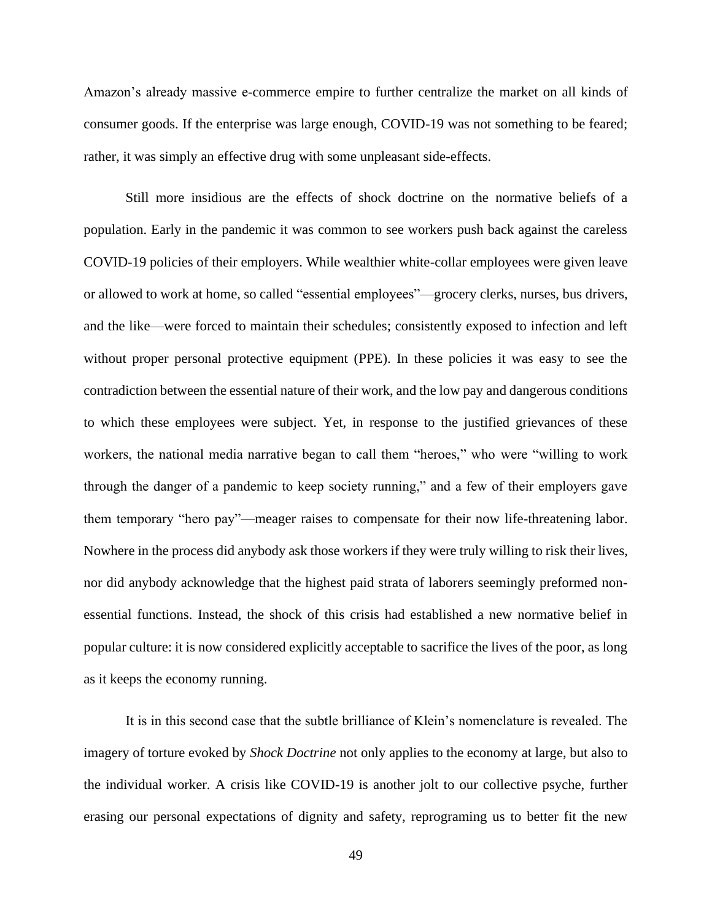Amazon's already massive e-commerce empire to further centralize the market on all kinds of consumer goods. If the enterprise was large enough, COVID-19 was not something to be feared; rather, it was simply an effective drug with some unpleasant side-effects.

Still more insidious are the effects of shock doctrine on the normative beliefs of a population. Early in the pandemic it was common to see workers push back against the careless COVID-19 policies of their employers. While wealthier white-collar employees were given leave or allowed to work at home, so called "essential employees"—grocery clerks, nurses, bus drivers, and the like—were forced to maintain their schedules; consistently exposed to infection and left without proper personal protective equipment (PPE). In these policies it was easy to see the contradiction between the essential nature of their work, and the low pay and dangerous conditions to which these employees were subject. Yet, in response to the justified grievances of these workers, the national media narrative began to call them "heroes," who were "willing to work through the danger of a pandemic to keep society running," and a few of their employers gave them temporary "hero pay"—meager raises to compensate for their now life-threatening labor. Nowhere in the process did anybody ask those workers if they were truly willing to risk their lives, nor did anybody acknowledge that the highest paid strata of laborers seemingly preformed nonessential functions. Instead, the shock of this crisis had established a new normative belief in popular culture: it is now considered explicitly acceptable to sacrifice the lives of the poor, as long as it keeps the economy running.

It is in this second case that the subtle brilliance of Klein's nomenclature is revealed. The imagery of torture evoked by *Shock Doctrine* not only applies to the economy at large, but also to the individual worker. A crisis like COVID-19 is another jolt to our collective psyche, further erasing our personal expectations of dignity and safety, reprograming us to better fit the new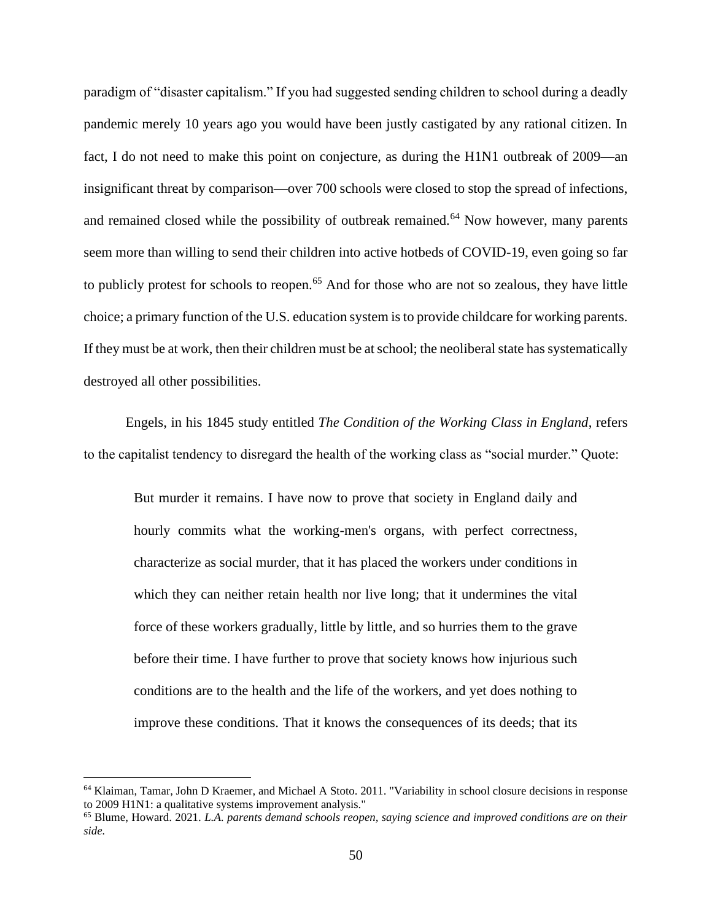paradigm of "disaster capitalism." If you had suggested sending children to school during a deadly pandemic merely 10 years ago you would have been justly castigated by any rational citizen. In fact, I do not need to make this point on conjecture, as during the H1N1 outbreak of 2009—an insignificant threat by comparison—over 700 schools were closed to stop the spread of infections, and remained closed while the possibility of outbreak remained.<sup>64</sup> Now however, many parents seem more than willing to send their children into active hotbeds of COVID-19, even going so far to publicly protest for schools to reopen.<sup>65</sup> And for those who are not so zealous, they have little choice; a primary function of the U.S. education system is to provide childcare for working parents. If they must be at work, then their children must be at school; the neoliberal state has systematically destroyed all other possibilities.

Engels, in his 1845 study entitled *The Condition of the Working Class in England*, refers to the capitalist tendency to disregard the health of the working class as "social murder." Quote:

But murder it remains. I have now to prove that society in England daily and hourly commits what the working-men's organs, with perfect correctness, characterize as social murder, that it has placed the workers under conditions in which they can neither retain health nor live long; that it undermines the vital force of these workers gradually, little by little, and so hurries them to the grave before their time. I have further to prove that society knows how injurious such conditions are to the health and the life of the workers, and yet does nothing to improve these conditions. That it knows the consequences of its deeds; that its

<sup>64</sup> Klaiman, Tamar, John D Kraemer, and Michael A Stoto. 2011. "Variability in school closure decisions in response to 2009 H1N1: a qualitative systems improvement analysis."

<sup>65</sup> Blume, Howard. 2021. *L.A. parents demand schools reopen, saying science and improved conditions are on their side.*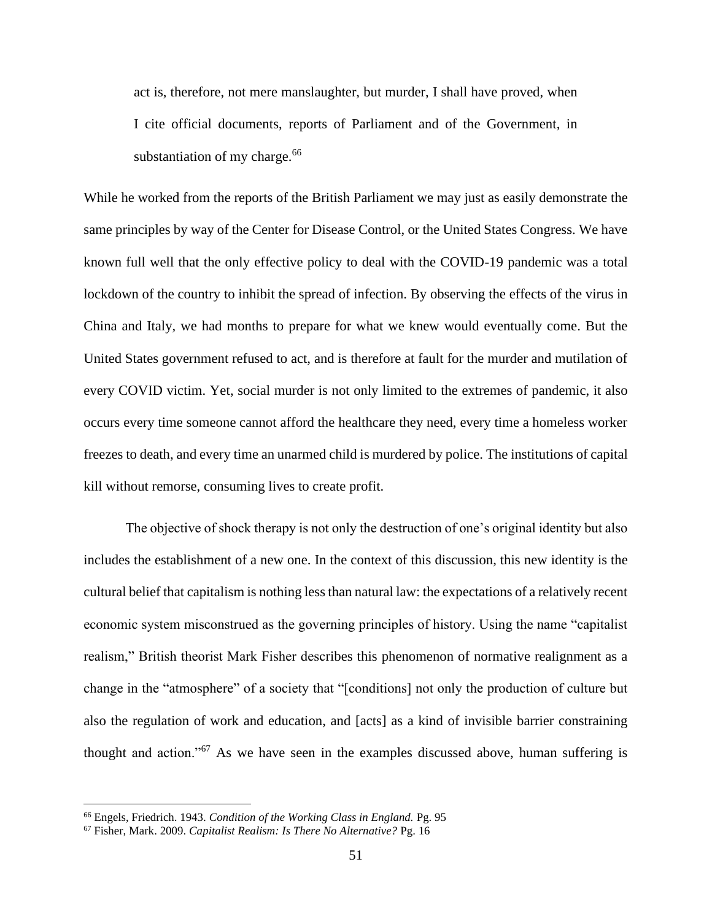act is, therefore, not mere manslaughter, but murder, I shall have proved, when I cite official documents, reports of Parliament and of the Government, in substantiation of my charge.<sup>66</sup>

While he worked from the reports of the British Parliament we may just as easily demonstrate the same principles by way of the Center for Disease Control, or the United States Congress. We have known full well that the only effective policy to deal with the COVID-19 pandemic was a total lockdown of the country to inhibit the spread of infection. By observing the effects of the virus in China and Italy, we had months to prepare for what we knew would eventually come. But the United States government refused to act, and is therefore at fault for the murder and mutilation of every COVID victim. Yet, social murder is not only limited to the extremes of pandemic, it also occurs every time someone cannot afford the healthcare they need, every time a homeless worker freezes to death, and every time an unarmed child is murdered by police. The institutions of capital kill without remorse, consuming lives to create profit.

The objective of shock therapy is not only the destruction of one's original identity but also includes the establishment of a new one. In the context of this discussion, this new identity is the cultural belief that capitalism is nothing less than natural law: the expectations of a relatively recent economic system misconstrued as the governing principles of history. Using the name "capitalist realism," British theorist Mark Fisher describes this phenomenon of normative realignment as a change in the "atmosphere" of a society that "[conditions] not only the production of culture but also the regulation of work and education, and [acts] as a kind of invisible barrier constraining thought and action."<sup>67</sup> As we have seen in the examples discussed above, human suffering is

<sup>66</sup> Engels, Friedrich. 1943. *Condition of the Working Class in England.* Pg. 95

<sup>67</sup> Fisher, Mark. 2009. *Capitalist Realism: Is There No Alternative?* Pg. 16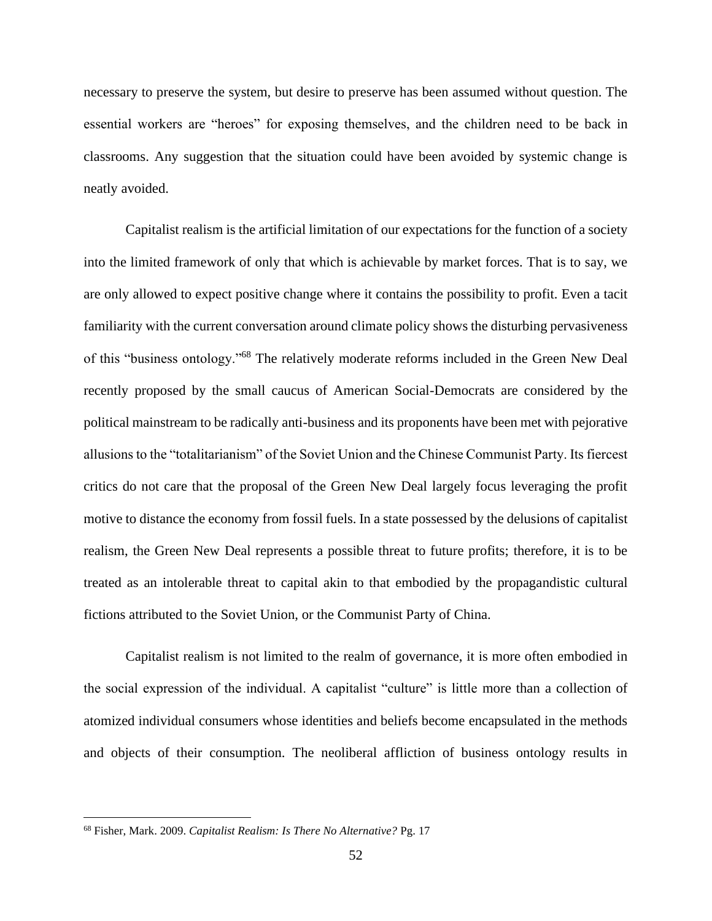necessary to preserve the system, but desire to preserve has been assumed without question. The essential workers are "heroes" for exposing themselves, and the children need to be back in classrooms. Any suggestion that the situation could have been avoided by systemic change is neatly avoided.

Capitalist realism is the artificial limitation of our expectations for the function of a society into the limited framework of only that which is achievable by market forces. That is to say, we are only allowed to expect positive change where it contains the possibility to profit. Even a tacit familiarity with the current conversation around climate policy shows the disturbing pervasiveness of this "business ontology."<sup>68</sup> The relatively moderate reforms included in the Green New Deal recently proposed by the small caucus of American Social-Democrats are considered by the political mainstream to be radically anti-business and its proponents have been met with pejorative allusions to the "totalitarianism" of the Soviet Union and the Chinese Communist Party. Its fiercest critics do not care that the proposal of the Green New Deal largely focus leveraging the profit motive to distance the economy from fossil fuels. In a state possessed by the delusions of capitalist realism, the Green New Deal represents a possible threat to future profits; therefore, it is to be treated as an intolerable threat to capital akin to that embodied by the propagandistic cultural fictions attributed to the Soviet Union, or the Communist Party of China.

Capitalist realism is not limited to the realm of governance, it is more often embodied in the social expression of the individual. A capitalist "culture" is little more than a collection of atomized individual consumers whose identities and beliefs become encapsulated in the methods and objects of their consumption. The neoliberal affliction of business ontology results in

<sup>68</sup> Fisher, Mark. 2009. *Capitalist Realism: Is There No Alternative?* Pg. 17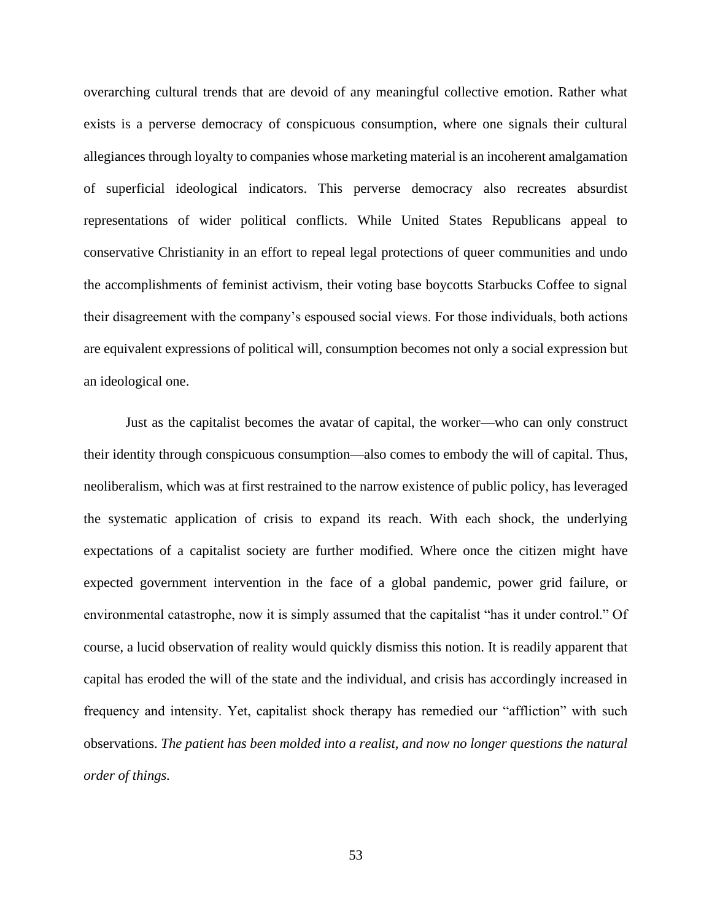overarching cultural trends that are devoid of any meaningful collective emotion. Rather what exists is a perverse democracy of conspicuous consumption, where one signals their cultural allegiances through loyalty to companies whose marketing material is an incoherent amalgamation of superficial ideological indicators. This perverse democracy also recreates absurdist representations of wider political conflicts. While United States Republicans appeal to conservative Christianity in an effort to repeal legal protections of queer communities and undo the accomplishments of feminist activism, their voting base boycotts Starbucks Coffee to signal their disagreement with the company's espoused social views. For those individuals, both actions are equivalent expressions of political will, consumption becomes not only a social expression but an ideological one.

Just as the capitalist becomes the avatar of capital, the worker—who can only construct their identity through conspicuous consumption—also comes to embody the will of capital. Thus, neoliberalism, which was at first restrained to the narrow existence of public policy, has leveraged the systematic application of crisis to expand its reach. With each shock, the underlying expectations of a capitalist society are further modified. Where once the citizen might have expected government intervention in the face of a global pandemic, power grid failure, or environmental catastrophe, now it is simply assumed that the capitalist "has it under control." Of course, a lucid observation of reality would quickly dismiss this notion. It is readily apparent that capital has eroded the will of the state and the individual, and crisis has accordingly increased in frequency and intensity. Yet, capitalist shock therapy has remedied our "affliction" with such observations. *The patient has been molded into a realist, and now no longer questions the natural order of things.*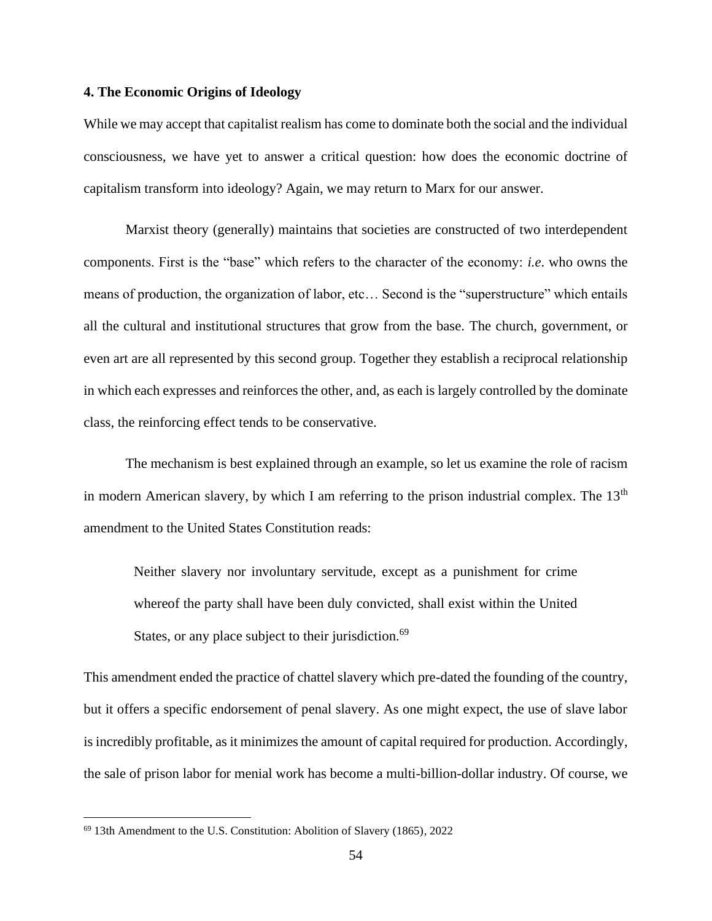### **4. The Economic Origins of Ideology**

While we may accept that capitalist realism has come to dominate both the social and the individual consciousness, we have yet to answer a critical question: how does the economic doctrine of capitalism transform into ideology? Again, we may return to Marx for our answer.

Marxist theory (generally) maintains that societies are constructed of two interdependent components. First is the "base" which refers to the character of the economy: *i.e*. who owns the means of production, the organization of labor, etc… Second is the "superstructure" which entails all the cultural and institutional structures that grow from the base. The church, government, or even art are all represented by this second group. Together they establish a reciprocal relationship in which each expresses and reinforces the other, and, as each is largely controlled by the dominate class, the reinforcing effect tends to be conservative.

The mechanism is best explained through an example, so let us examine the role of racism in modern American slavery, by which I am referring to the prison industrial complex. The 13<sup>th</sup> amendment to the United States Constitution reads:

Neither slavery nor involuntary servitude, except as a punishment for crime whereof the party shall have been duly convicted, shall exist within the United States, or any place subject to their jurisdiction.<sup>69</sup>

This amendment ended the practice of chattel slavery which pre-dated the founding of the country, but it offers a specific endorsement of penal slavery. As one might expect, the use of slave labor is incredibly profitable, as it minimizes the amount of capital required for production. Accordingly, the sale of prison labor for menial work has become a multi-billion-dollar industry. Of course, we

<sup>69</sup> 13th Amendment to the U.S. Constitution: Abolition of Slavery (1865), 2022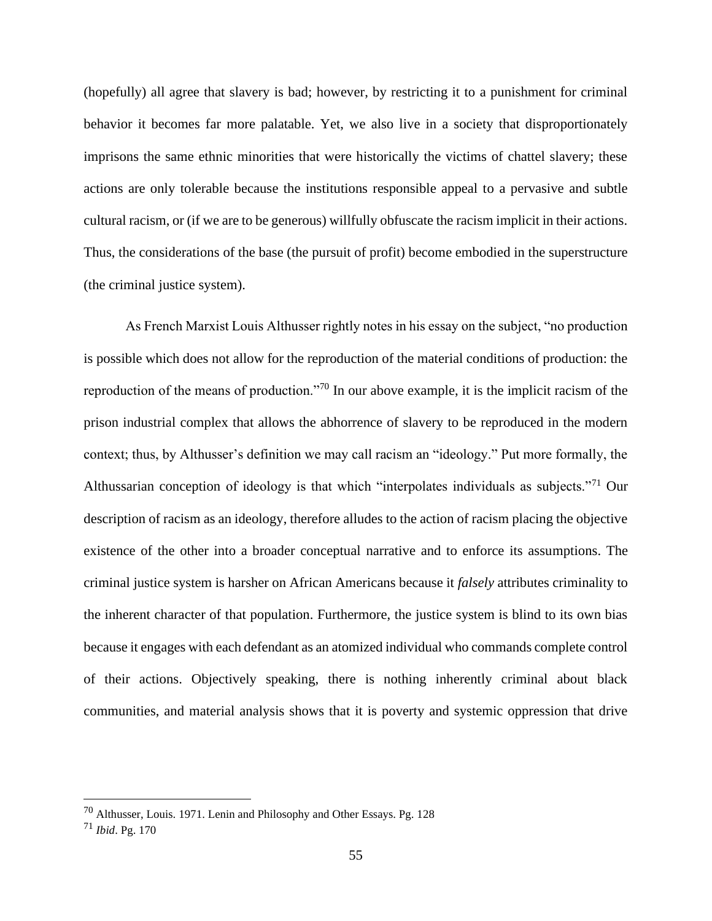(hopefully) all agree that slavery is bad; however, by restricting it to a punishment for criminal behavior it becomes far more palatable. Yet, we also live in a society that disproportionately imprisons the same ethnic minorities that were historically the victims of chattel slavery; these actions are only tolerable because the institutions responsible appeal to a pervasive and subtle cultural racism, or (if we are to be generous) willfully obfuscate the racism implicit in their actions. Thus, the considerations of the base (the pursuit of profit) become embodied in the superstructure (the criminal justice system).

As French Marxist Louis Althusser rightly notes in his essay on the subject, "no production is possible which does not allow for the reproduction of the material conditions of production: the reproduction of the means of production."<sup>70</sup> In our above example, it is the implicit racism of the prison industrial complex that allows the abhorrence of slavery to be reproduced in the modern context; thus, by Althusser's definition we may call racism an "ideology." Put more formally, the Althussarian conception of ideology is that which "interpolates individuals as subjects."<sup>71</sup> Our description of racism as an ideology, therefore alludes to the action of racism placing the objective existence of the other into a broader conceptual narrative and to enforce its assumptions. The criminal justice system is harsher on African Americans because it *falsely* attributes criminality to the inherent character of that population. Furthermore, the justice system is blind to its own bias because it engages with each defendant as an atomized individual who commands complete control of their actions. Objectively speaking, there is nothing inherently criminal about black communities, and material analysis shows that it is poverty and systemic oppression that drive

<sup>70</sup> Althusser, Louis. 1971. Lenin and Philosophy and Other Essays. Pg. 128

<sup>71</sup> *Ibid*. Pg. 170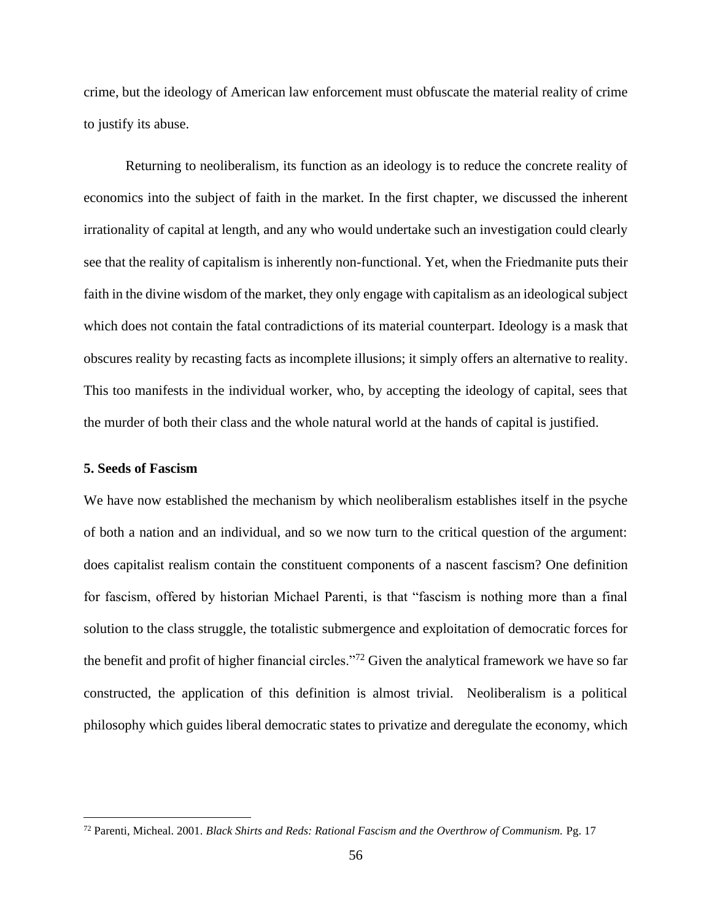crime, but the ideology of American law enforcement must obfuscate the material reality of crime to justify its abuse.

Returning to neoliberalism, its function as an ideology is to reduce the concrete reality of economics into the subject of faith in the market. In the first chapter, we discussed the inherent irrationality of capital at length, and any who would undertake such an investigation could clearly see that the reality of capitalism is inherently non-functional. Yet, when the Friedmanite puts their faith in the divine wisdom of the market, they only engage with capitalism as an ideological subject which does not contain the fatal contradictions of its material counterpart. Ideology is a mask that obscures reality by recasting facts as incomplete illusions; it simply offers an alternative to reality. This too manifests in the individual worker, who, by accepting the ideology of capital, sees that the murder of both their class and the whole natural world at the hands of capital is justified.

# **5. Seeds of Fascism**

We have now established the mechanism by which neoliberalism establishes itself in the psyche of both a nation and an individual, and so we now turn to the critical question of the argument: does capitalist realism contain the constituent components of a nascent fascism? One definition for fascism, offered by historian Michael Parenti, is that "fascism is nothing more than a final solution to the class struggle, the totalistic submergence and exploitation of democratic forces for the benefit and profit of higher financial circles."<sup>72</sup> Given the analytical framework we have so far constructed, the application of this definition is almost trivial. Neoliberalism is a political philosophy which guides liberal democratic states to privatize and deregulate the economy, which

<sup>72</sup> Parenti, Micheal. 2001. *Black Shirts and Reds: Rational Fascism and the Overthrow of Communism.* Pg. 17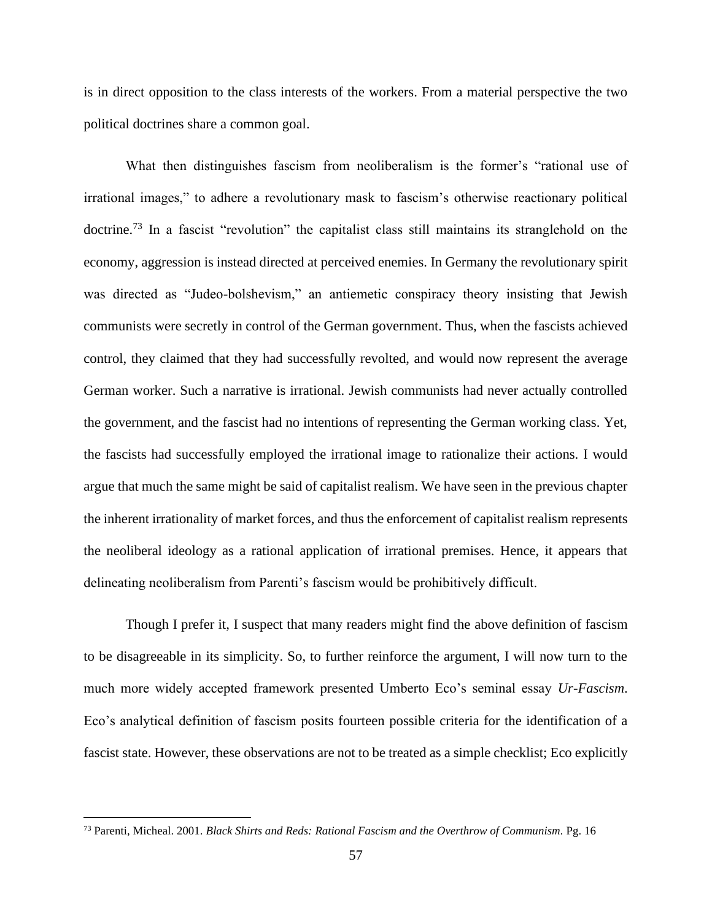is in direct opposition to the class interests of the workers. From a material perspective the two political doctrines share a common goal.

What then distinguishes fascism from neoliberalism is the former's "rational use of irrational images," to adhere a revolutionary mask to fascism's otherwise reactionary political doctrine.<sup>73</sup> In a fascist "revolution" the capitalist class still maintains its stranglehold on the economy, aggression is instead directed at perceived enemies. In Germany the revolutionary spirit was directed as "Judeo-bolshevism," an antiemetic conspiracy theory insisting that Jewish communists were secretly in control of the German government. Thus, when the fascists achieved control, they claimed that they had successfully revolted, and would now represent the average German worker. Such a narrative is irrational. Jewish communists had never actually controlled the government, and the fascist had no intentions of representing the German working class. Yet, the fascists had successfully employed the irrational image to rationalize their actions. I would argue that much the same might be said of capitalist realism. We have seen in the previous chapter the inherent irrationality of market forces, and thus the enforcement of capitalist realism represents the neoliberal ideology as a rational application of irrational premises. Hence, it appears that delineating neoliberalism from Parenti's fascism would be prohibitively difficult.

Though I prefer it, I suspect that many readers might find the above definition of fascism to be disagreeable in its simplicity. So, to further reinforce the argument, I will now turn to the much more widely accepted framework presented Umberto Eco's seminal essay *Ur-Fascism*. Eco's analytical definition of fascism posits fourteen possible criteria for the identification of a fascist state. However, these observations are not to be treated as a simple checklist; Eco explicitly

<sup>73</sup> Parenti, Micheal. 2001. *Black Shirts and Reds: Rational Fascism and the Overthrow of Communism.* Pg. 16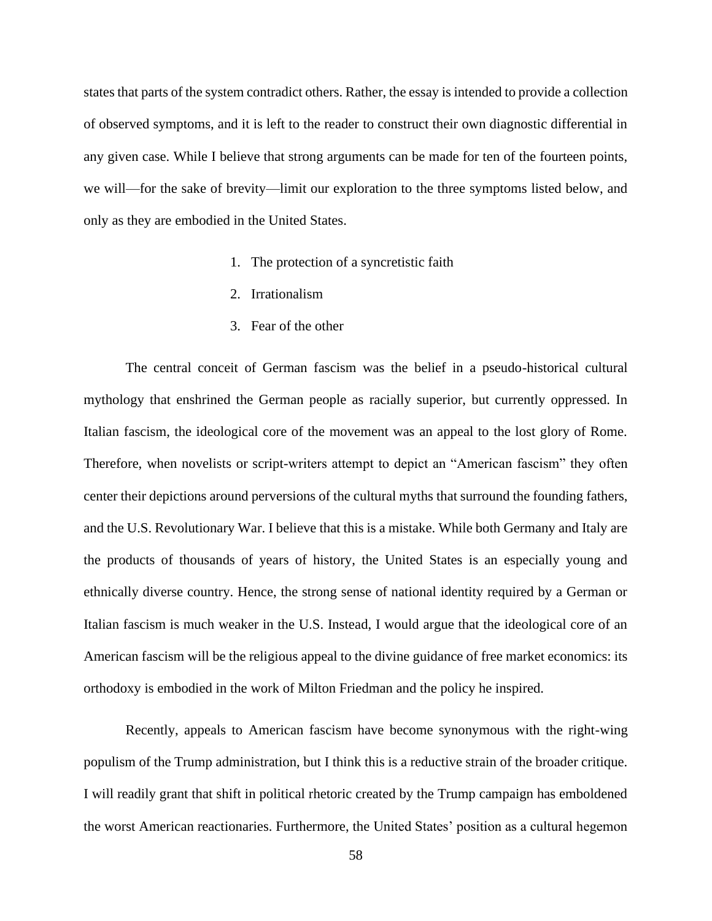states that parts of the system contradict others. Rather, the essay is intended to provide a collection of observed symptoms, and it is left to the reader to construct their own diagnostic differential in any given case. While I believe that strong arguments can be made for ten of the fourteen points, we will—for the sake of brevity—limit our exploration to the three symptoms listed below, and only as they are embodied in the United States.

- 1. The protection of a syncretistic faith
- 2. Irrationalism
- 3. Fear of the other

The central conceit of German fascism was the belief in a pseudo-historical cultural mythology that enshrined the German people as racially superior, but currently oppressed. In Italian fascism, the ideological core of the movement was an appeal to the lost glory of Rome. Therefore, when novelists or script-writers attempt to depict an "American fascism" they often center their depictions around perversions of the cultural myths that surround the founding fathers, and the U.S. Revolutionary War. I believe that this is a mistake. While both Germany and Italy are the products of thousands of years of history, the United States is an especially young and ethnically diverse country. Hence, the strong sense of national identity required by a German or Italian fascism is much weaker in the U.S. Instead, I would argue that the ideological core of an American fascism will be the religious appeal to the divine guidance of free market economics: its orthodoxy is embodied in the work of Milton Friedman and the policy he inspired.

Recently, appeals to American fascism have become synonymous with the right-wing populism of the Trump administration, but I think this is a reductive strain of the broader critique. I will readily grant that shift in political rhetoric created by the Trump campaign has emboldened the worst American reactionaries. Furthermore, the United States' position as a cultural hegemon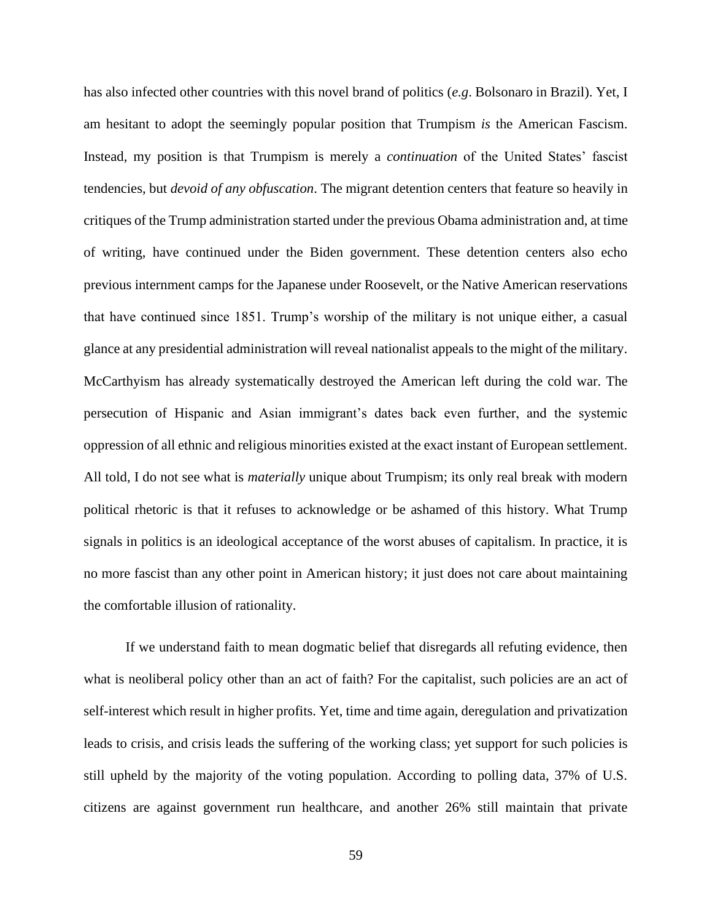has also infected other countries with this novel brand of politics (*e.g*. Bolsonaro in Brazil). Yet, I am hesitant to adopt the seemingly popular position that Trumpism *is* the American Fascism. Instead, my position is that Trumpism is merely a *continuation* of the United States' fascist tendencies, but *devoid of any obfuscation*. The migrant detention centers that feature so heavily in critiques of the Trump administration started under the previous Obama administration and, at time of writing, have continued under the Biden government. These detention centers also echo previous internment camps for the Japanese under Roosevelt, or the Native American reservations that have continued since 1851. Trump's worship of the military is not unique either, a casual glance at any presidential administration will reveal nationalist appeals to the might of the military. McCarthyism has already systematically destroyed the American left during the cold war. The persecution of Hispanic and Asian immigrant's dates back even further, and the systemic oppression of all ethnic and religious minorities existed at the exact instant of European settlement. All told, I do not see what is *materially* unique about Trumpism; its only real break with modern political rhetoric is that it refuses to acknowledge or be ashamed of this history. What Trump signals in politics is an ideological acceptance of the worst abuses of capitalism. In practice, it is no more fascist than any other point in American history; it just does not care about maintaining the comfortable illusion of rationality.

If we understand faith to mean dogmatic belief that disregards all refuting evidence, then what is neoliberal policy other than an act of faith? For the capitalist, such policies are an act of self-interest which result in higher profits. Yet, time and time again, deregulation and privatization leads to crisis, and crisis leads the suffering of the working class; yet support for such policies is still upheld by the majority of the voting population. According to polling data, 37% of U.S. citizens are against government run healthcare, and another 26% still maintain that private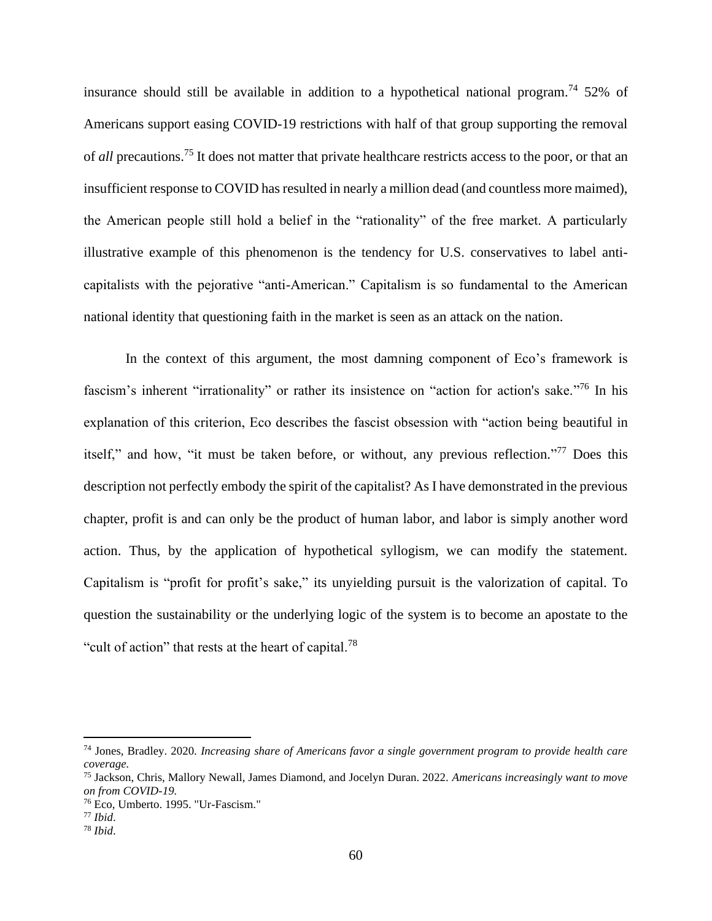insurance should still be available in addition to a hypothetical national program.<sup>74</sup> 52% of Americans support easing COVID-19 restrictions with half of that group supporting the removal of *all* precautions.<sup>75</sup> It does not matter that private healthcare restricts access to the poor, or that an insufficient response to COVID has resulted in nearly a million dead (and countless more maimed), the American people still hold a belief in the "rationality" of the free market. A particularly illustrative example of this phenomenon is the tendency for U.S. conservatives to label anticapitalists with the pejorative "anti-American." Capitalism is so fundamental to the American national identity that questioning faith in the market is seen as an attack on the nation.

In the context of this argument, the most damning component of Eco's framework is fascism's inherent "irrationality" or rather its insistence on "action for action's sake."<sup>76</sup> In his explanation of this criterion, Eco describes the fascist obsession with "action being beautiful in itself," and how, "it must be taken before, or without, any previous reflection."<sup>77</sup> Does this description not perfectly embody the spirit of the capitalist? As I have demonstrated in the previous chapter, profit is and can only be the product of human labor, and labor is simply another word action. Thus, by the application of hypothetical syllogism, we can modify the statement. Capitalism is "profit for profit's sake," its unyielding pursuit is the valorization of capital. To question the sustainability or the underlying logic of the system is to become an apostate to the "cult of action" that rests at the heart of capital.<sup>78</sup>

<sup>74</sup> Jones, Bradley. 2020. *Increasing share of Americans favor a single government program to provide health care coverage.*

<sup>75</sup> Jackson, Chris, Mallory Newall, James Diamond, and Jocelyn Duran. 2022. *Americans increasingly want to move on from COVID-19.*

<sup>76</sup> Eco, Umberto. 1995. "Ur-Fascism."

<sup>77</sup> *Ibid*.

<sup>78</sup> *Ibid*.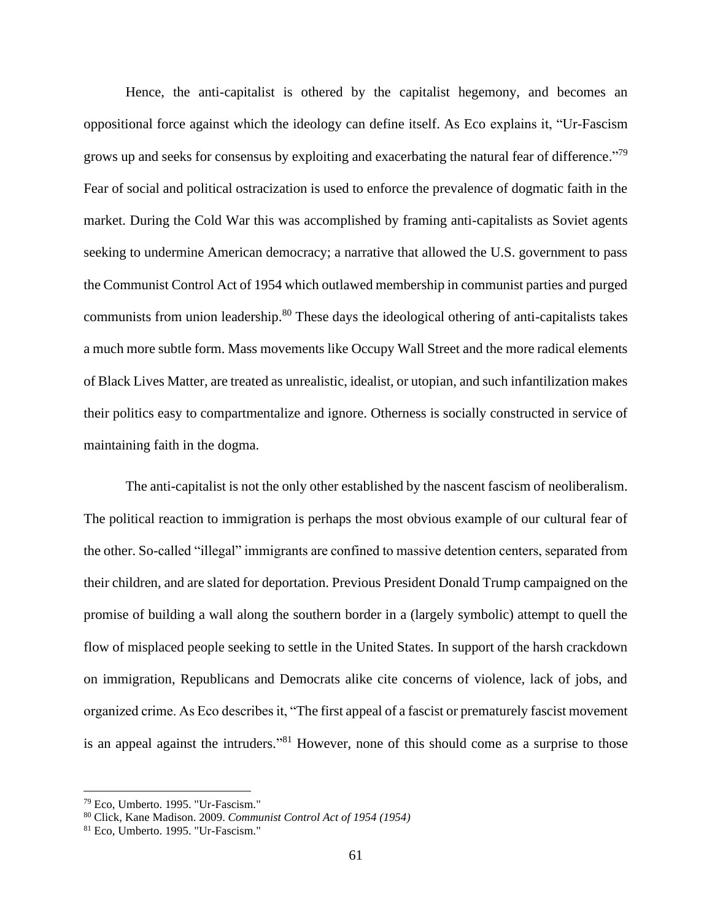Hence, the anti-capitalist is othered by the capitalist hegemony, and becomes an oppositional force against which the ideology can define itself. As Eco explains it, "Ur-Fascism grows up and seeks for consensus by exploiting and exacerbating the natural fear of difference."<sup>79</sup> Fear of social and political ostracization is used to enforce the prevalence of dogmatic faith in the market. During the Cold War this was accomplished by framing anti-capitalists as Soviet agents seeking to undermine American democracy; a narrative that allowed the U.S. government to pass the Communist Control Act of 1954 which outlawed membership in communist parties and purged communists from union leadership.<sup>80</sup> These days the ideological othering of anti-capitalists takes a much more subtle form. Mass movements like Occupy Wall Street and the more radical elements of Black Lives Matter, are treated as unrealistic, idealist, or utopian, and such infantilization makes their politics easy to compartmentalize and ignore. Otherness is socially constructed in service of maintaining faith in the dogma.

The anti-capitalist is not the only other established by the nascent fascism of neoliberalism. The political reaction to immigration is perhaps the most obvious example of our cultural fear of the other. So-called "illegal" immigrants are confined to massive detention centers, separated from their children, and are slated for deportation. Previous President Donald Trump campaigned on the promise of building a wall along the southern border in a (largely symbolic) attempt to quell the flow of misplaced people seeking to settle in the United States. In support of the harsh crackdown on immigration, Republicans and Democrats alike cite concerns of violence, lack of jobs, and organized crime. As Eco describes it, "The first appeal of a fascist or prematurely fascist movement is an appeal against the intruders."<sup>81</sup> However, none of this should come as a surprise to those

<sup>79</sup> Eco, Umberto. 1995. "Ur-Fascism."

<sup>80</sup> Click, Kane Madison. 2009. *Communist Control Act of 1954 (1954)*

<sup>81</sup> Eco, Umberto. 1995. "Ur-Fascism."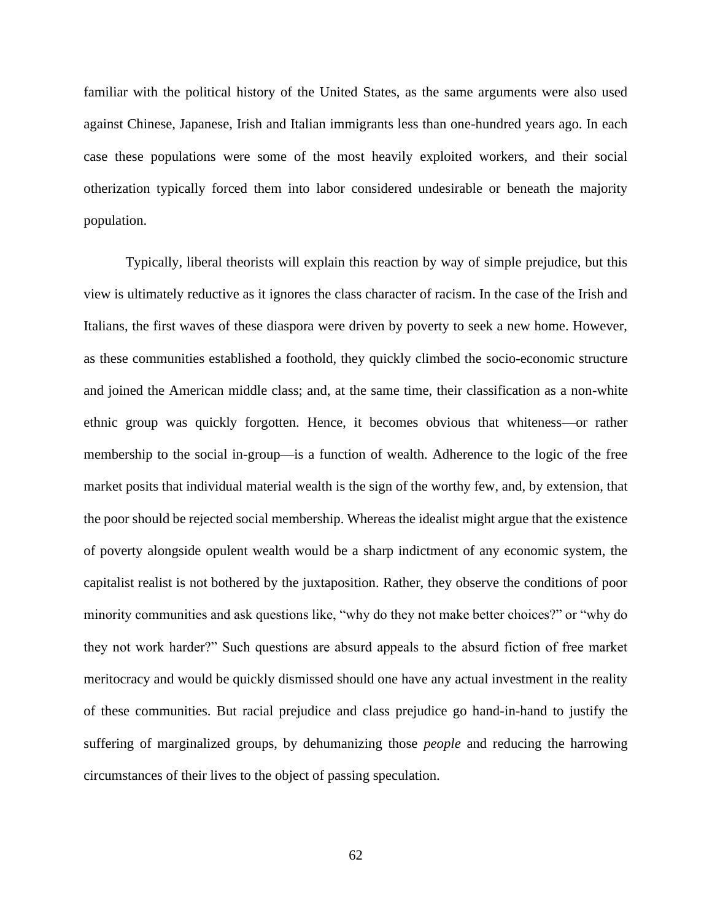familiar with the political history of the United States, as the same arguments were also used against Chinese, Japanese, Irish and Italian immigrants less than one-hundred years ago. In each case these populations were some of the most heavily exploited workers, and their social otherization typically forced them into labor considered undesirable or beneath the majority population.

Typically, liberal theorists will explain this reaction by way of simple prejudice, but this view is ultimately reductive as it ignores the class character of racism. In the case of the Irish and Italians, the first waves of these diaspora were driven by poverty to seek a new home. However, as these communities established a foothold, they quickly climbed the socio-economic structure and joined the American middle class; and, at the same time, their classification as a non-white ethnic group was quickly forgotten. Hence, it becomes obvious that whiteness—or rather membership to the social in-group—is a function of wealth. Adherence to the logic of the free market posits that individual material wealth is the sign of the worthy few, and, by extension, that the poor should be rejected social membership. Whereas the idealist might argue that the existence of poverty alongside opulent wealth would be a sharp indictment of any economic system, the capitalist realist is not bothered by the juxtaposition. Rather, they observe the conditions of poor minority communities and ask questions like, "why do they not make better choices?" or "why do they not work harder?" Such questions are absurd appeals to the absurd fiction of free market meritocracy and would be quickly dismissed should one have any actual investment in the reality of these communities. But racial prejudice and class prejudice go hand-in-hand to justify the suffering of marginalized groups, by dehumanizing those *people* and reducing the harrowing circumstances of their lives to the object of passing speculation.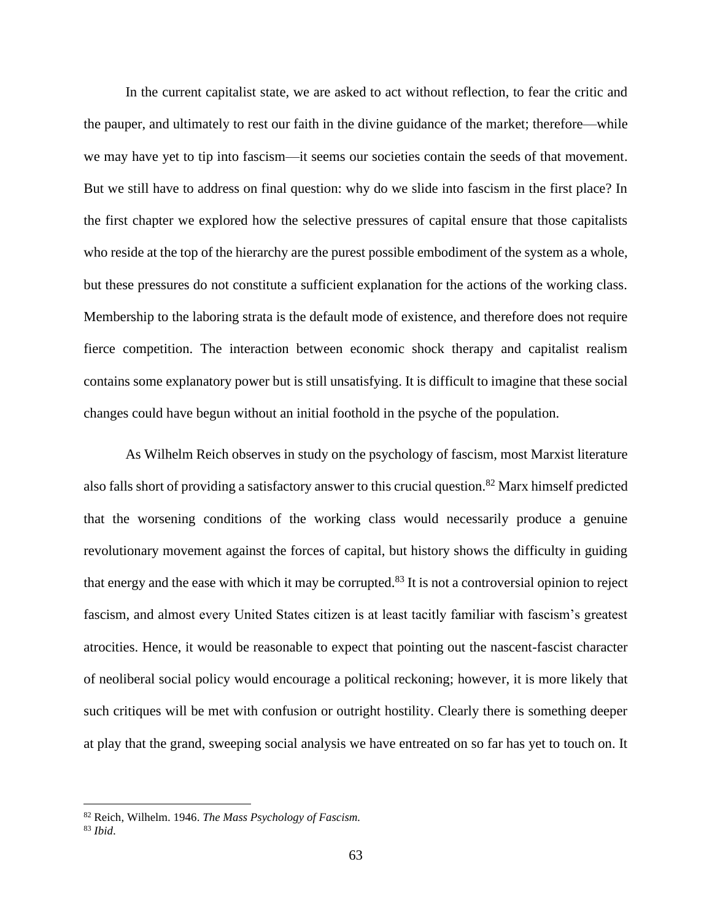In the current capitalist state, we are asked to act without reflection, to fear the critic and the pauper, and ultimately to rest our faith in the divine guidance of the market; therefore—while we may have yet to tip into fascism—it seems our societies contain the seeds of that movement. But we still have to address on final question: why do we slide into fascism in the first place? In the first chapter we explored how the selective pressures of capital ensure that those capitalists who reside at the top of the hierarchy are the purest possible embodiment of the system as a whole, but these pressures do not constitute a sufficient explanation for the actions of the working class. Membership to the laboring strata is the default mode of existence, and therefore does not require fierce competition. The interaction between economic shock therapy and capitalist realism contains some explanatory power but is still unsatisfying. It is difficult to imagine that these social changes could have begun without an initial foothold in the psyche of the population.

As Wilhelm Reich observes in study on the psychology of fascism, most Marxist literature also falls short of providing a satisfactory answer to this crucial question.<sup>82</sup> Marx himself predicted that the worsening conditions of the working class would necessarily produce a genuine revolutionary movement against the forces of capital, but history shows the difficulty in guiding that energy and the ease with which it may be corrupted.<sup>83</sup> It is not a controversial opinion to reject fascism, and almost every United States citizen is at least tacitly familiar with fascism's greatest atrocities. Hence, it would be reasonable to expect that pointing out the nascent-fascist character of neoliberal social policy would encourage a political reckoning; however, it is more likely that such critiques will be met with confusion or outright hostility. Clearly there is something deeper at play that the grand, sweeping social analysis we have entreated on so far has yet to touch on. It

<sup>82</sup> Reich, Wilhelm. 1946. *The Mass Psychology of Fascism.*

<sup>83</sup> *Ibid*.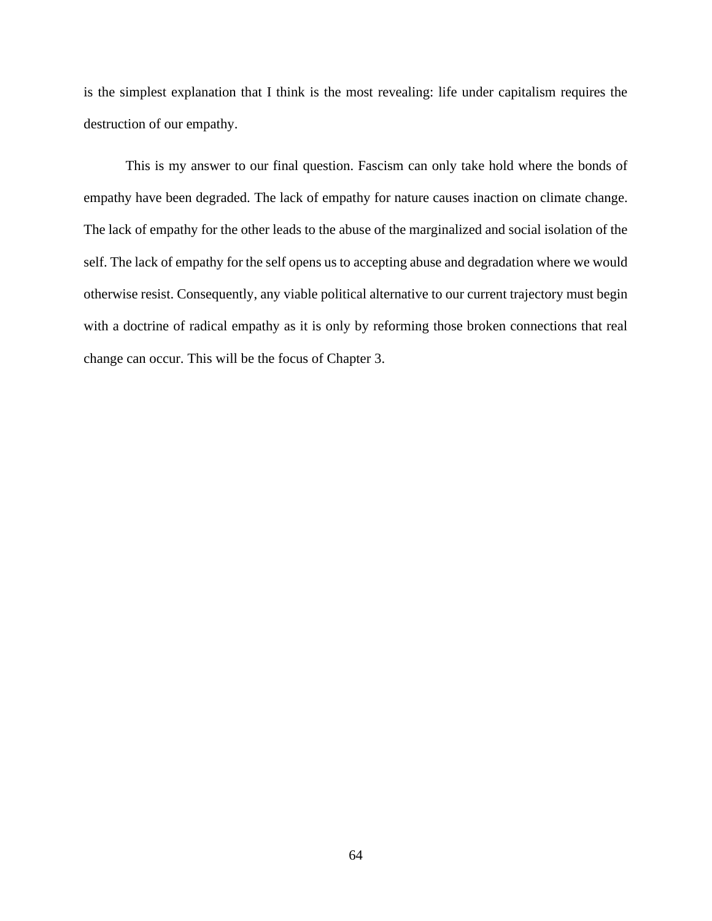is the simplest explanation that I think is the most revealing: life under capitalism requires the destruction of our empathy.

This is my answer to our final question. Fascism can only take hold where the bonds of empathy have been degraded. The lack of empathy for nature causes inaction on climate change. The lack of empathy for the other leads to the abuse of the marginalized and social isolation of the self. The lack of empathy for the self opens us to accepting abuse and degradation where we would otherwise resist. Consequently, any viable political alternative to our current trajectory must begin with a doctrine of radical empathy as it is only by reforming those broken connections that real change can occur. This will be the focus of Chapter 3.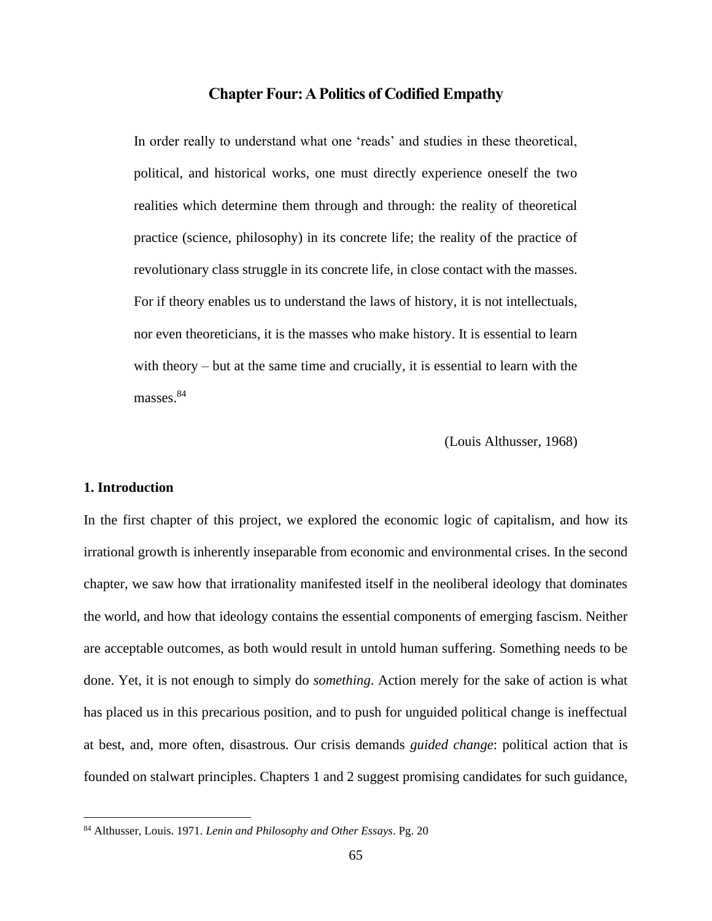# **Chapter Four: A Politics of Codified Empathy**

In order really to understand what one 'reads' and studies in these theoretical, political, and historical works, one must directly experience oneself the two realities which determine them through and through: the reality of theoretical practice (science, philosophy) in its concrete life; the reality of the practice of revolutionary class struggle in its concrete life, in close contact with the masses. For if theory enables us to understand the laws of history, it is not intellectuals, nor even theoreticians, it is the masses who make history. It is essential to learn with theory – but at the same time and crucially, it is essential to learn with the masses<sup>84</sup>

(Louis Althusser, 1968)

#### **1. Introduction**

In the first chapter of this project, we explored the economic logic of capitalism, and how its irrational growth is inherently inseparable from economic and environmental crises. In the second chapter, we saw how that irrationality manifested itself in the neoliberal ideology that dominates the world, and how that ideology contains the essential components of emerging fascism. Neither are acceptable outcomes, as both would result in untold human suffering. Something needs to be done. Yet, it is not enough to simply do *something*. Action merely for the sake of action is what has placed us in this precarious position, and to push for unguided political change is ineffectual at best, and, more often, disastrous. Our crisis demands *guided change*: political action that is founded on stalwart principles. Chapters 1 and 2 suggest promising candidates for such guidance,

<sup>84</sup> Althusser, Louis. 1971. *Lenin and Philosophy and Other Essays*. Pg. 20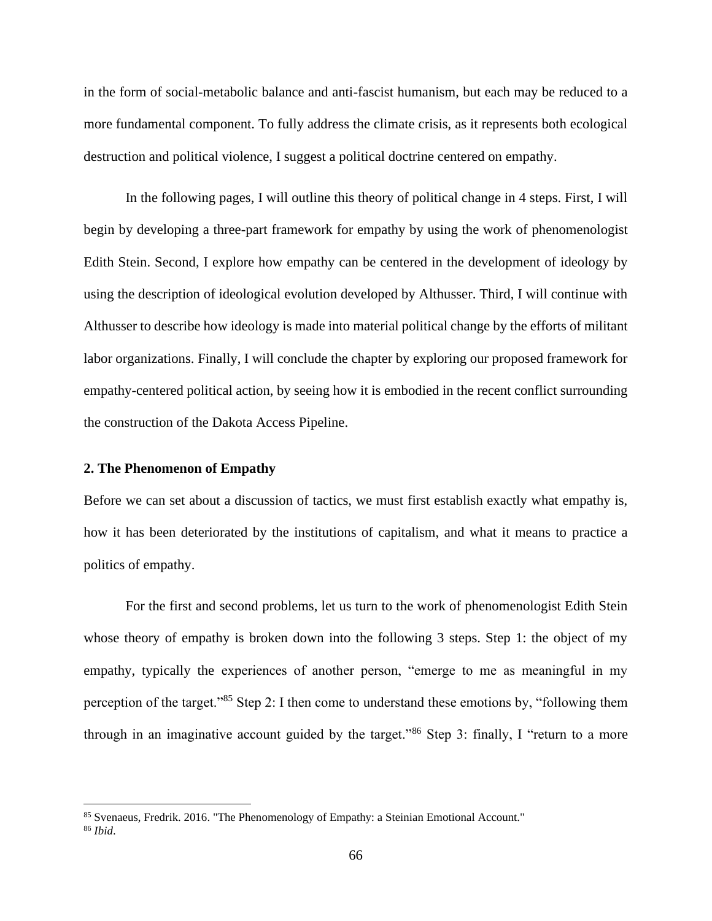in the form of social-metabolic balance and anti-fascist humanism, but each may be reduced to a more fundamental component. To fully address the climate crisis, as it represents both ecological destruction and political violence, I suggest a political doctrine centered on empathy.

In the following pages, I will outline this theory of political change in 4 steps. First, I will begin by developing a three-part framework for empathy by using the work of phenomenologist Edith Stein. Second, I explore how empathy can be centered in the development of ideology by using the description of ideological evolution developed by Althusser. Third, I will continue with Althusser to describe how ideology is made into material political change by the efforts of militant labor organizations. Finally, I will conclude the chapter by exploring our proposed framework for empathy-centered political action, by seeing how it is embodied in the recent conflict surrounding the construction of the Dakota Access Pipeline.

### **2. The Phenomenon of Empathy**

Before we can set about a discussion of tactics, we must first establish exactly what empathy is, how it has been deteriorated by the institutions of capitalism, and what it means to practice a politics of empathy.

For the first and second problems, let us turn to the work of phenomenologist Edith Stein whose theory of empathy is broken down into the following 3 steps. Step 1: the object of my empathy, typically the experiences of another person, "emerge to me as meaningful in my perception of the target."<sup>85</sup> Step 2: I then come to understand these emotions by, "following them through in an imaginative account guided by the target."<sup>86</sup> Step 3: finally, I "return to a more

<sup>85</sup> Svenaeus, Fredrik. 2016. "The Phenomenology of Empathy: a Steinian Emotional Account." <sup>86</sup> *Ibid*.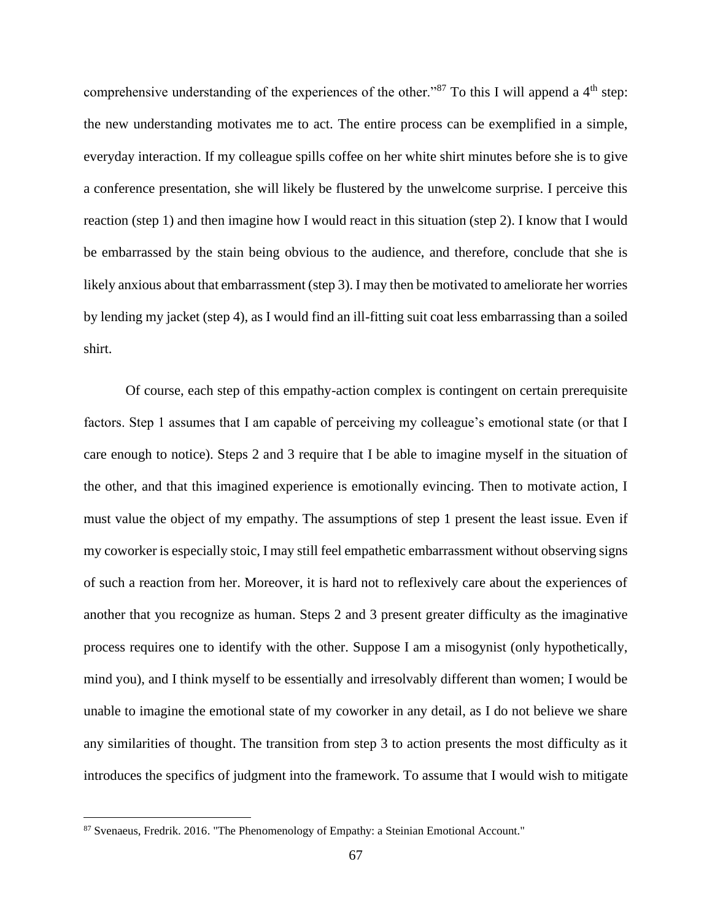comprehensive understanding of the experiences of the other."<sup>87</sup> To this I will append a  $4<sup>th</sup>$  step: the new understanding motivates me to act. The entire process can be exemplified in a simple, everyday interaction. If my colleague spills coffee on her white shirt minutes before she is to give a conference presentation, she will likely be flustered by the unwelcome surprise. I perceive this reaction (step 1) and then imagine how I would react in this situation (step 2). I know that I would be embarrassed by the stain being obvious to the audience, and therefore, conclude that she is likely anxious about that embarrassment (step 3). I may then be motivated to ameliorate her worries by lending my jacket (step 4), as I would find an ill-fitting suit coat less embarrassing than a soiled shirt.

Of course, each step of this empathy-action complex is contingent on certain prerequisite factors. Step 1 assumes that I am capable of perceiving my colleague's emotional state (or that I care enough to notice). Steps 2 and 3 require that I be able to imagine myself in the situation of the other, and that this imagined experience is emotionally evincing. Then to motivate action, I must value the object of my empathy. The assumptions of step 1 present the least issue. Even if my coworker is especially stoic, I may still feel empathetic embarrassment without observing signs of such a reaction from her. Moreover, it is hard not to reflexively care about the experiences of another that you recognize as human. Steps 2 and 3 present greater difficulty as the imaginative process requires one to identify with the other. Suppose I am a misogynist (only hypothetically, mind you), and I think myself to be essentially and irresolvably different than women; I would be unable to imagine the emotional state of my coworker in any detail, as I do not believe we share any similarities of thought. The transition from step 3 to action presents the most difficulty as it introduces the specifics of judgment into the framework. To assume that I would wish to mitigate

<sup>87</sup> Svenaeus, Fredrik. 2016. "The Phenomenology of Empathy: a Steinian Emotional Account."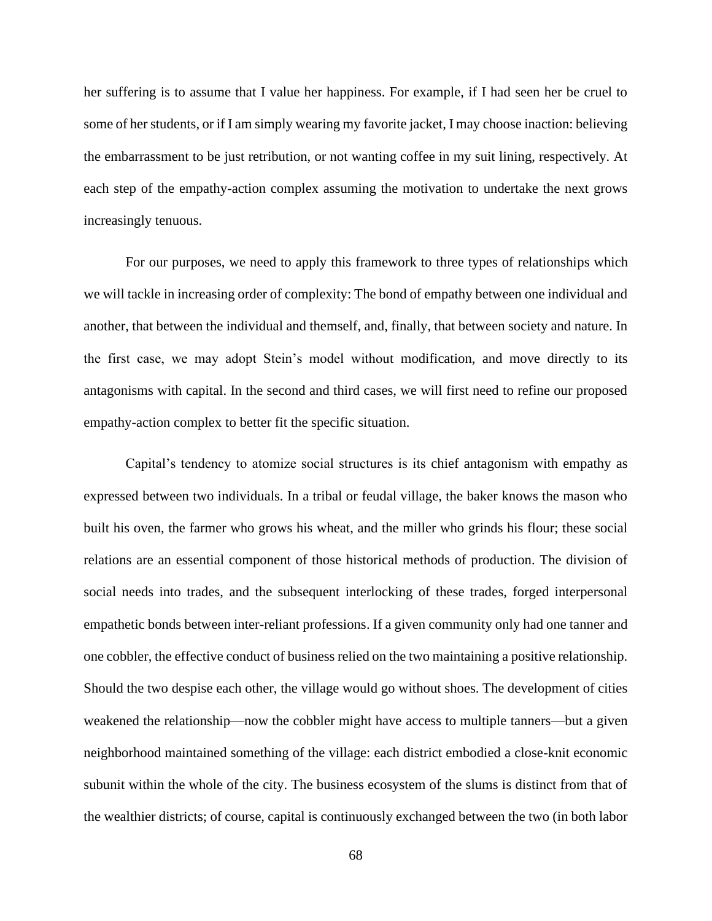her suffering is to assume that I value her happiness. For example, if I had seen her be cruel to some of her students, or if I am simply wearing my favorite jacket, I may choose inaction: believing the embarrassment to be just retribution, or not wanting coffee in my suit lining, respectively. At each step of the empathy-action complex assuming the motivation to undertake the next grows increasingly tenuous.

For our purposes, we need to apply this framework to three types of relationships which we will tackle in increasing order of complexity: The bond of empathy between one individual and another, that between the individual and themself, and, finally, that between society and nature. In the first case, we may adopt Stein's model without modification, and move directly to its antagonisms with capital. In the second and third cases, we will first need to refine our proposed empathy-action complex to better fit the specific situation.

Capital's tendency to atomize social structures is its chief antagonism with empathy as expressed between two individuals. In a tribal or feudal village, the baker knows the mason who built his oven, the farmer who grows his wheat, and the miller who grinds his flour; these social relations are an essential component of those historical methods of production. The division of social needs into trades, and the subsequent interlocking of these trades, forged interpersonal empathetic bonds between inter-reliant professions. If a given community only had one tanner and one cobbler, the effective conduct of business relied on the two maintaining a positive relationship. Should the two despise each other, the village would go without shoes. The development of cities weakened the relationship—now the cobbler might have access to multiple tanners—but a given neighborhood maintained something of the village: each district embodied a close-knit economic subunit within the whole of the city. The business ecosystem of the slums is distinct from that of the wealthier districts; of course, capital is continuously exchanged between the two (in both labor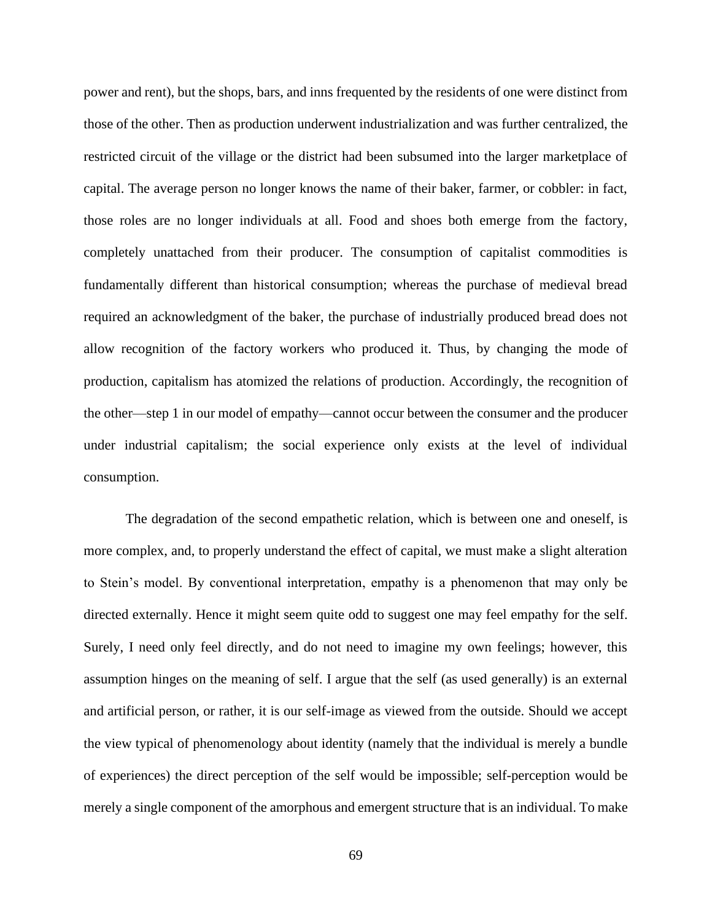power and rent), but the shops, bars, and inns frequented by the residents of one were distinct from those of the other. Then as production underwent industrialization and was further centralized, the restricted circuit of the village or the district had been subsumed into the larger marketplace of capital. The average person no longer knows the name of their baker, farmer, or cobbler: in fact, those roles are no longer individuals at all. Food and shoes both emerge from the factory, completely unattached from their producer. The consumption of capitalist commodities is fundamentally different than historical consumption; whereas the purchase of medieval bread required an acknowledgment of the baker, the purchase of industrially produced bread does not allow recognition of the factory workers who produced it. Thus, by changing the mode of production, capitalism has atomized the relations of production. Accordingly, the recognition of the other—step 1 in our model of empathy—cannot occur between the consumer and the producer under industrial capitalism; the social experience only exists at the level of individual consumption.

The degradation of the second empathetic relation, which is between one and oneself, is more complex, and, to properly understand the effect of capital, we must make a slight alteration to Stein's model. By conventional interpretation, empathy is a phenomenon that may only be directed externally. Hence it might seem quite odd to suggest one may feel empathy for the self. Surely, I need only feel directly, and do not need to imagine my own feelings; however, this assumption hinges on the meaning of self. I argue that the self (as used generally) is an external and artificial person, or rather, it is our self-image as viewed from the outside. Should we accept the view typical of phenomenology about identity (namely that the individual is merely a bundle of experiences) the direct perception of the self would be impossible; self-perception would be merely a single component of the amorphous and emergent structure that is an individual. To make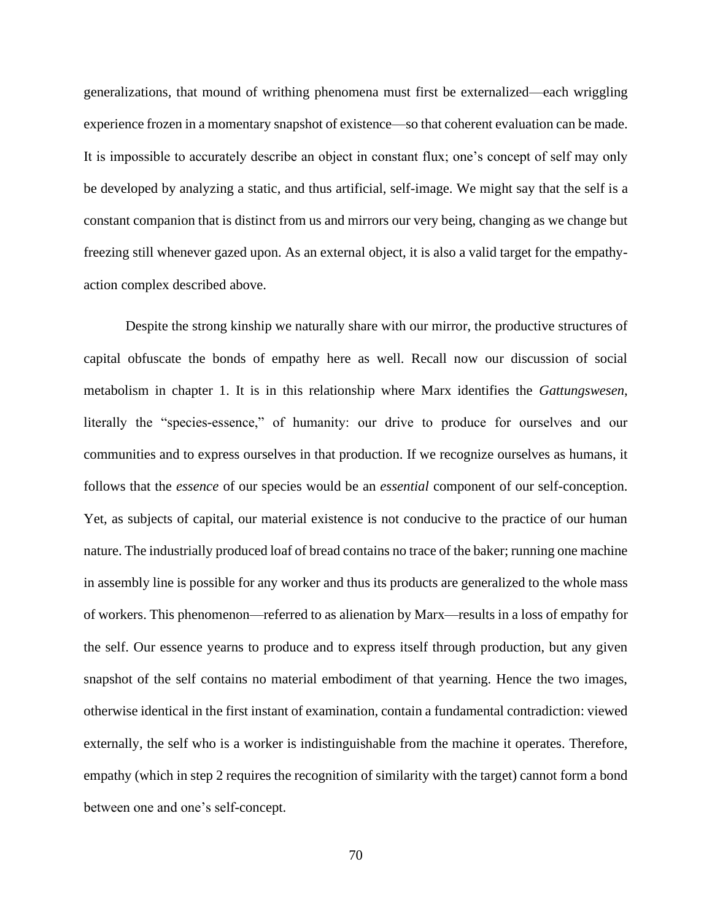generalizations, that mound of writhing phenomena must first be externalized—each wriggling experience frozen in a momentary snapshot of existence—so that coherent evaluation can be made. It is impossible to accurately describe an object in constant flux; one's concept of self may only be developed by analyzing a static, and thus artificial, self-image. We might say that the self is a constant companion that is distinct from us and mirrors our very being, changing as we change but freezing still whenever gazed upon. As an external object, it is also a valid target for the empathyaction complex described above.

Despite the strong kinship we naturally share with our mirror, the productive structures of capital obfuscate the bonds of empathy here as well. Recall now our discussion of social metabolism in chapter 1. It is in this relationship where Marx identifies the *Gattungswesen*, literally the "species-essence," of humanity: our drive to produce for ourselves and our communities and to express ourselves in that production. If we recognize ourselves as humans, it follows that the *essence* of our species would be an *essential* component of our self-conception. Yet, as subjects of capital, our material existence is not conducive to the practice of our human nature. The industrially produced loaf of bread contains no trace of the baker; running one machine in assembly line is possible for any worker and thus its products are generalized to the whole mass of workers. This phenomenon—referred to as alienation by Marx—results in a loss of empathy for the self. Our essence yearns to produce and to express itself through production, but any given snapshot of the self contains no material embodiment of that yearning. Hence the two images, otherwise identical in the first instant of examination, contain a fundamental contradiction: viewed externally, the self who is a worker is indistinguishable from the machine it operates. Therefore, empathy (which in step 2 requires the recognition of similarity with the target) cannot form a bond between one and one's self-concept.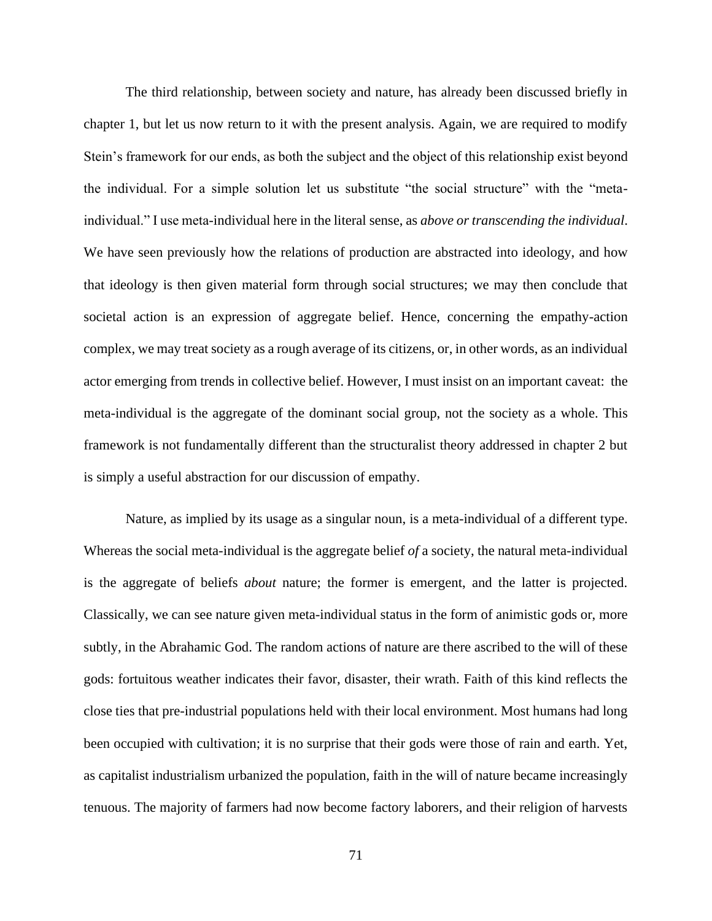The third relationship, between society and nature, has already been discussed briefly in chapter 1, but let us now return to it with the present analysis. Again, we are required to modify Stein's framework for our ends, as both the subject and the object of this relationship exist beyond the individual. For a simple solution let us substitute "the social structure" with the "metaindividual." I use meta-individual here in the literal sense, as *above or transcending the individual*. We have seen previously how the relations of production are abstracted into ideology, and how that ideology is then given material form through social structures; we may then conclude that societal action is an expression of aggregate belief. Hence, concerning the empathy-action complex, we may treat society as a rough average of its citizens, or, in other words, as an individual actor emerging from trends in collective belief. However, I must insist on an important caveat: the meta-individual is the aggregate of the dominant social group, not the society as a whole. This framework is not fundamentally different than the structuralist theory addressed in chapter 2 but is simply a useful abstraction for our discussion of empathy.

Nature, as implied by its usage as a singular noun, is a meta-individual of a different type. Whereas the social meta-individual is the aggregate belief *of* a society, the natural meta-individual is the aggregate of beliefs *about* nature; the former is emergent, and the latter is projected. Classically, we can see nature given meta-individual status in the form of animistic gods or, more subtly, in the Abrahamic God. The random actions of nature are there ascribed to the will of these gods: fortuitous weather indicates their favor, disaster, their wrath. Faith of this kind reflects the close ties that pre-industrial populations held with their local environment. Most humans had long been occupied with cultivation; it is no surprise that their gods were those of rain and earth. Yet, as capitalist industrialism urbanized the population, faith in the will of nature became increasingly tenuous. The majority of farmers had now become factory laborers, and their religion of harvests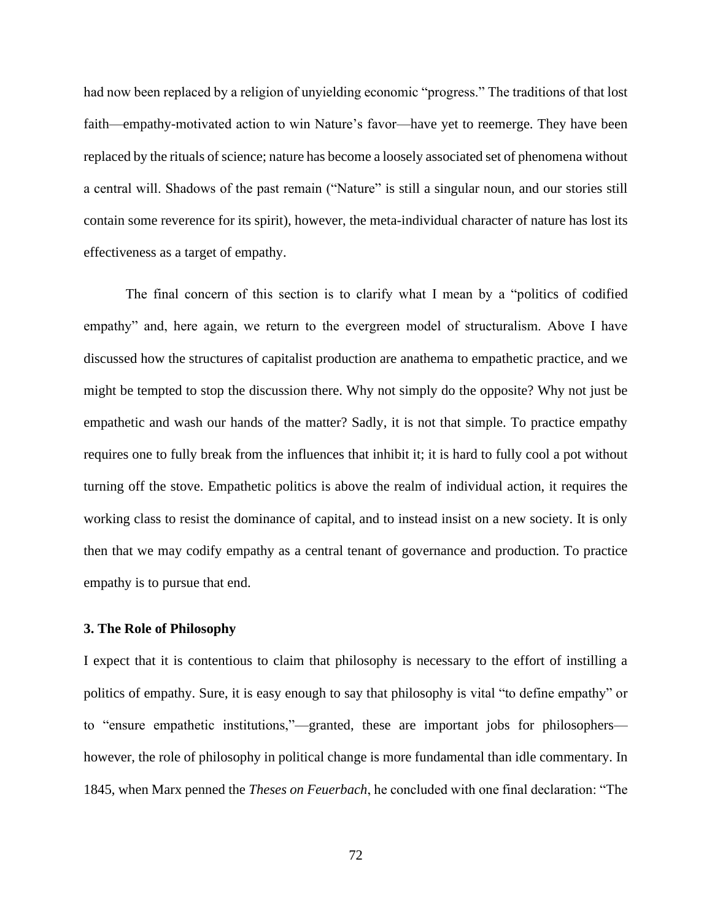had now been replaced by a religion of unyielding economic "progress." The traditions of that lost faith—empathy-motivated action to win Nature's favor—have yet to reemerge. They have been replaced by the rituals of science; nature has become a loosely associated set of phenomena without a central will. Shadows of the past remain ("Nature" is still a singular noun, and our stories still contain some reverence for its spirit), however, the meta-individual character of nature has lost its effectiveness as a target of empathy.

The final concern of this section is to clarify what I mean by a "politics of codified empathy" and, here again, we return to the evergreen model of structuralism. Above I have discussed how the structures of capitalist production are anathema to empathetic practice, and we might be tempted to stop the discussion there. Why not simply do the opposite? Why not just be empathetic and wash our hands of the matter? Sadly, it is not that simple. To practice empathy requires one to fully break from the influences that inhibit it; it is hard to fully cool a pot without turning off the stove. Empathetic politics is above the realm of individual action, it requires the working class to resist the dominance of capital, and to instead insist on a new society. It is only then that we may codify empathy as a central tenant of governance and production. To practice empathy is to pursue that end.

## **3. The Role of Philosophy**

I expect that it is contentious to claim that philosophy is necessary to the effort of instilling a politics of empathy. Sure, it is easy enough to say that philosophy is vital "to define empathy" or to "ensure empathetic institutions,"—granted, these are important jobs for philosophers however, the role of philosophy in political change is more fundamental than idle commentary. In 1845, when Marx penned the *Theses on Feuerbach*, he concluded with one final declaration: "The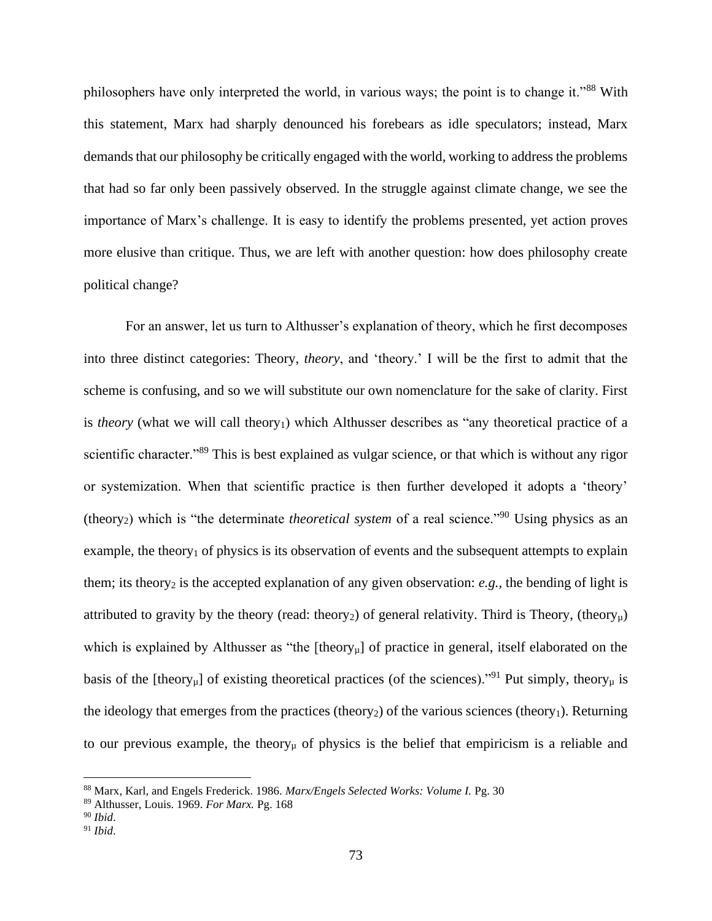philosophers have only interpreted the world, in various ways; the point is to change it."<sup>88</sup> With this statement, Marx had sharply denounced his forebears as idle speculators; instead, Marx demands that our philosophy be critically engaged with the world, working to address the problems that had so far only been passively observed. In the struggle against climate change, we see the importance of Marx's challenge. It is easy to identify the problems presented, yet action proves more elusive than critique. Thus, we are left with another question: how does philosophy create political change?

For an answer, let us turn to Althusser's explanation of theory, which he first decomposes into three distinct categories: Theory, *theory*, and 'theory.' I will be the first to admit that the scheme is confusing, and so we will substitute our own nomenclature for the sake of clarity. First is *theory* (what we will call theory<sub>1</sub>) which Althusser describes as "any theoretical practice of a scientific character."<sup>89</sup> This is best explained as vulgar science, or that which is without any rigor or systemization. When that scientific practice is then further developed it adopts a 'theory' (theory2) which is "the determinate *theoretical system* of a real science."<sup>90</sup> Using physics as an example, the theory<sub>1</sub> of physics is its observation of events and the subsequent attempts to explain them; its theory<sub>2</sub> is the accepted explanation of any given observation: *e.g.*, the bending of light is attributed to gravity by the theory (read: theory<sub>2</sub>) of general relativity. Third is Theory, (theory<sub>u</sub>) which is explained by Althusser as "the  $[theory<sub>u</sub>]$  of practice in general, itself elaborated on the basis of the [theory<sub>u</sub>] of existing theoretical practices (of the sciences)."<sup>91</sup> Put simply, theory<sub>u</sub> is the ideology that emerges from the practices (theory<sub>2</sub>) of the various sciences (theory<sub>1</sub>). Returning to our previous example, the theory<sub>µ</sub> of physics is the belief that empiricism is a reliable and

<sup>88</sup> Marx, Karl, and Engels Frederick. 1986. *Marx/Engels Selected Works: Volume I.* Pg. 30

<sup>89</sup> Althusser, Louis. 1969. *For Marx.* Pg. 168

<sup>90</sup> *Ibid*.

<sup>91</sup> *Ibid*.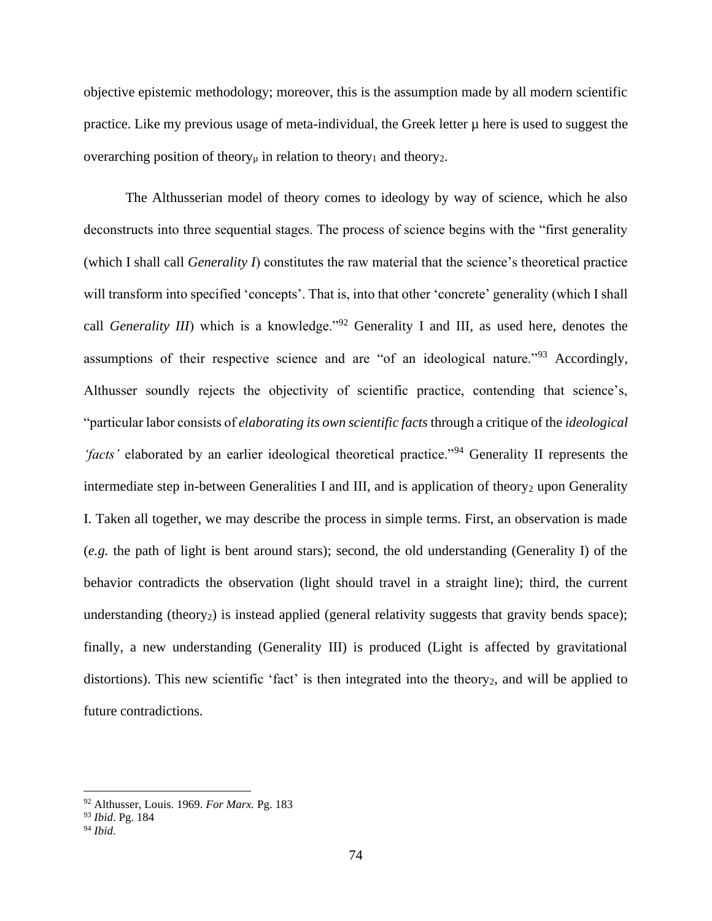objective epistemic methodology; moreover, this is the assumption made by all modern scientific practice. Like my previous usage of meta-individual, the Greek letter  $\mu$  here is used to suggest the overarching position of theory<sub>µ</sub> in relation to theory<sub>1</sub> and theory<sub>2</sub>.

The Althusserian model of theory comes to ideology by way of science, which he also deconstructs into three sequential stages. The process of science begins with the "first generality (which I shall call *Generality I*) constitutes the raw material that the science's theoretical practice will transform into specified 'concepts'. That is, into that other 'concrete' generality (which I shall call *Generality III*) which is a knowledge."<sup>92</sup> Generality I and III, as used here, denotes the assumptions of their respective science and are "of an ideological nature."<sup>93</sup> Accordingly, Althusser soundly rejects the objectivity of scientific practice, contending that science's, "particular labor consists of *elaborating its own scientific facts* through a critique of the *ideological 'facts'* elaborated by an earlier ideological theoretical practice."<sup>94</sup> Generality II represents the intermediate step in-between Generalities I and III, and is application of theory<sub>2</sub> upon Generality I. Taken all together, we may describe the process in simple terms. First, an observation is made (*e.g.* the path of light is bent around stars); second, the old understanding (Generality I) of the behavior contradicts the observation (light should travel in a straight line); third, the current understanding (theory<sub>2</sub>) is instead applied (general relativity suggests that gravity bends space); finally, a new understanding (Generality III) is produced (Light is affected by gravitational distortions). This new scientific 'fact' is then integrated into the theory<sub>2</sub>, and will be applied to future contradictions.

<sup>92</sup> Althusser, Louis. 1969. *For Marx.* Pg. 183

<sup>93</sup> *Ibid*. Pg. 184

<sup>94</sup> *Ibid*.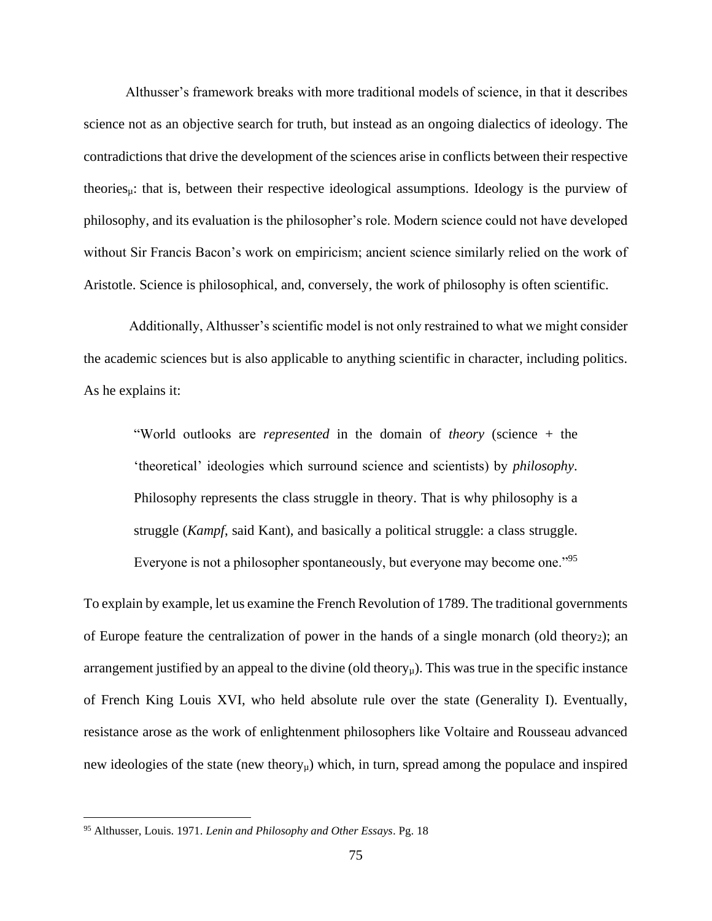Althusser's framework breaks with more traditional models of science, in that it describes science not as an objective search for truth, but instead as an ongoing dialectics of ideology. The contradictions that drive the development of the sciences arise in conflicts between their respective theories<sub>µ</sub>: that is, between their respective ideological assumptions. Ideology is the purview of philosophy, and its evaluation is the philosopher's role. Modern science could not have developed without Sir Francis Bacon's work on empiricism; ancient science similarly relied on the work of Aristotle. Science is philosophical, and, conversely, the work of philosophy is often scientific.

Additionally, Althusser's scientific model is not only restrained to what we might consider the academic sciences but is also applicable to anything scientific in character, including politics. As he explains it:

"World outlooks are *represented* in the domain of *theory* (science + the 'theoretical' ideologies which surround science and scientists) by *philosophy*. Philosophy represents the class struggle in theory. That is why philosophy is a struggle (*Kampf*, said Kant), and basically a political struggle: a class struggle. Everyone is not a philosopher spontaneously, but everyone may become one."<sup>95</sup>

To explain by example, let us examine the French Revolution of 1789. The traditional governments of Europe feature the centralization of power in the hands of a single monarch (old theory $_2$ ); an arrangement justified by an appeal to the divine (old theory<sub>u</sub>). This was true in the specific instance of French King Louis XVI, who held absolute rule over the state (Generality I). Eventually, resistance arose as the work of enlightenment philosophers like Voltaire and Rousseau advanced new ideologies of the state (new theory<sub> $\mu$ </sub>) which, in turn, spread among the populace and inspired

<sup>95</sup> Althusser, Louis. 1971. *Lenin and Philosophy and Other Essays*. Pg. 18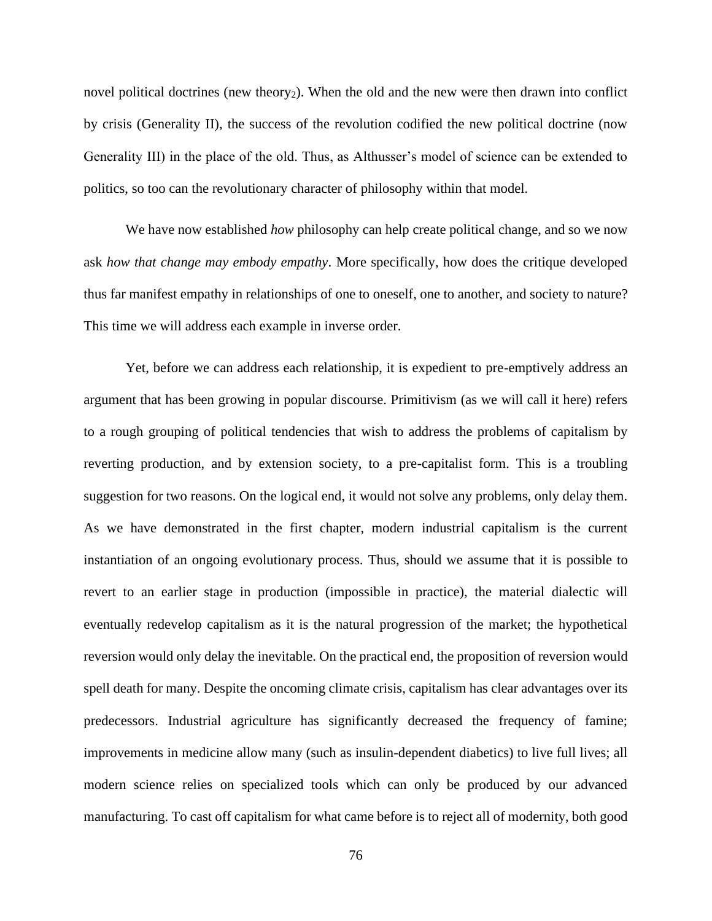novel political doctrines (new theory<sub>2</sub>). When the old and the new were then drawn into conflict by crisis (Generality II), the success of the revolution codified the new political doctrine (now Generality III) in the place of the old. Thus, as Althusser's model of science can be extended to politics, so too can the revolutionary character of philosophy within that model.

We have now established *how* philosophy can help create political change, and so we now ask *how that change may embody empathy*. More specifically, how does the critique developed thus far manifest empathy in relationships of one to oneself, one to another, and society to nature? This time we will address each example in inverse order.

Yet, before we can address each relationship, it is expedient to pre-emptively address an argument that has been growing in popular discourse. Primitivism (as we will call it here) refers to a rough grouping of political tendencies that wish to address the problems of capitalism by reverting production, and by extension society, to a pre-capitalist form. This is a troubling suggestion for two reasons. On the logical end, it would not solve any problems, only delay them. As we have demonstrated in the first chapter, modern industrial capitalism is the current instantiation of an ongoing evolutionary process. Thus, should we assume that it is possible to revert to an earlier stage in production (impossible in practice), the material dialectic will eventually redevelop capitalism as it is the natural progression of the market; the hypothetical reversion would only delay the inevitable. On the practical end, the proposition of reversion would spell death for many. Despite the oncoming climate crisis, capitalism has clear advantages over its predecessors. Industrial agriculture has significantly decreased the frequency of famine; improvements in medicine allow many (such as insulin-dependent diabetics) to live full lives; all modern science relies on specialized tools which can only be produced by our advanced manufacturing. To cast off capitalism for what came before is to reject all of modernity, both good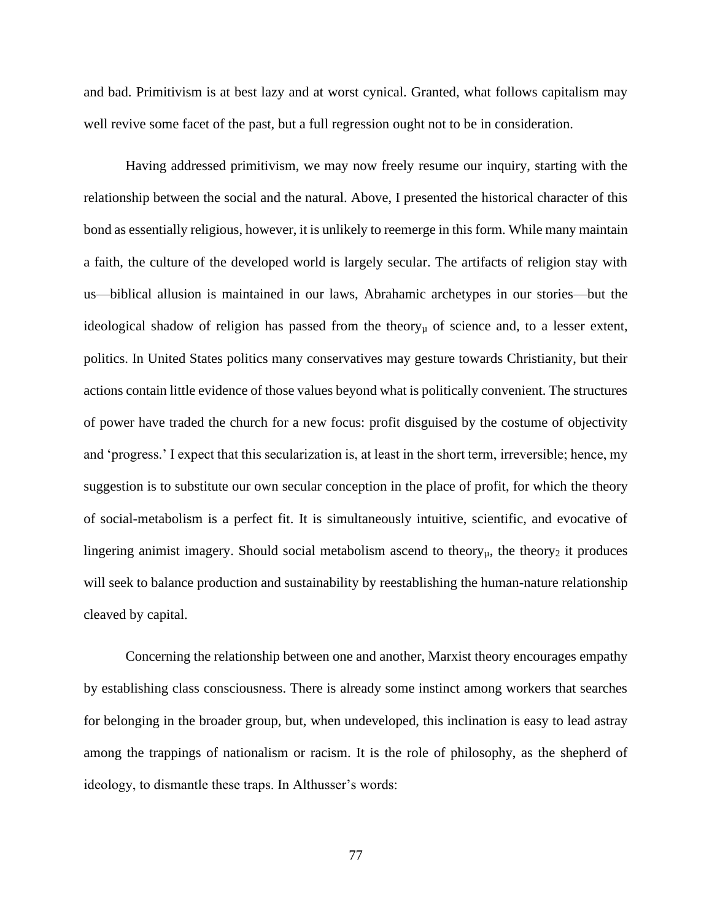and bad. Primitivism is at best lazy and at worst cynical. Granted, what follows capitalism may well revive some facet of the past, but a full regression ought not to be in consideration.

Having addressed primitivism, we may now freely resume our inquiry, starting with the relationship between the social and the natural. Above, I presented the historical character of this bond as essentially religious, however, it is unlikely to reemerge in this form. While many maintain a faith, the culture of the developed world is largely secular. The artifacts of religion stay with us—biblical allusion is maintained in our laws, Abrahamic archetypes in our stories—but the ideological shadow of religion has passed from the theory $\mu$  of science and, to a lesser extent, politics. In United States politics many conservatives may gesture towards Christianity, but their actions contain little evidence of those values beyond what is politically convenient. The structures of power have traded the church for a new focus: profit disguised by the costume of objectivity and 'progress.' I expect that this secularization is, at least in the short term, irreversible; hence, my suggestion is to substitute our own secular conception in the place of profit, for which the theory of social-metabolism is a perfect fit. It is simultaneously intuitive, scientific, and evocative of lingering animist imagery. Should social metabolism ascend to theory $\mu$ , the theory<sub>2</sub> it produces will seek to balance production and sustainability by reestablishing the human-nature relationship cleaved by capital.

Concerning the relationship between one and another, Marxist theory encourages empathy by establishing class consciousness. There is already some instinct among workers that searches for belonging in the broader group, but, when undeveloped, this inclination is easy to lead astray among the trappings of nationalism or racism. It is the role of philosophy, as the shepherd of ideology, to dismantle these traps. In Althusser's words: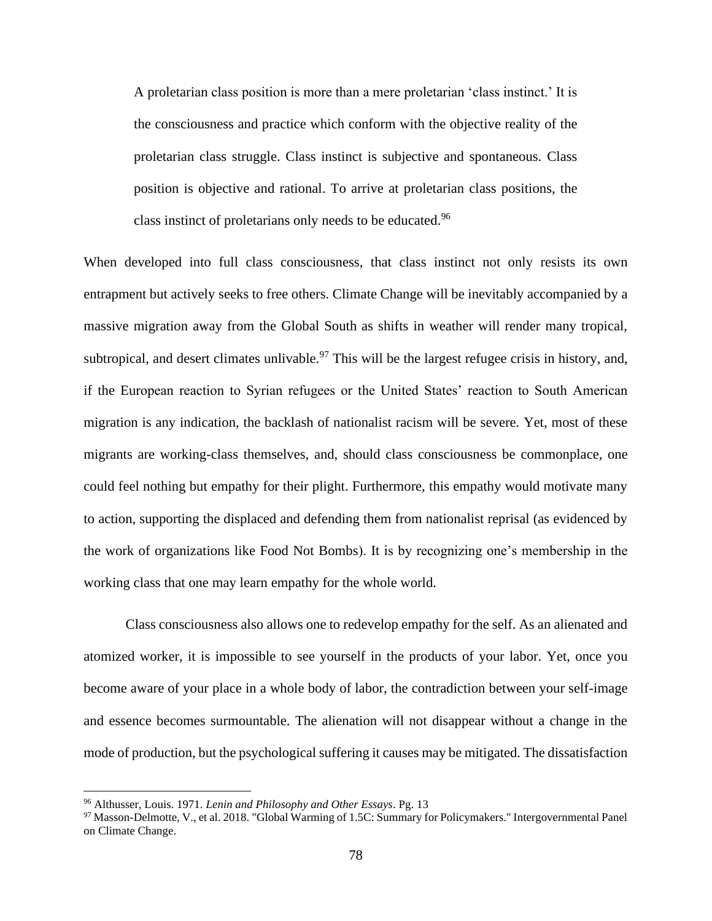A proletarian class position is more than a mere proletarian 'class instinct.' It is the consciousness and practice which conform with the objective reality of the proletarian class struggle. Class instinct is subjective and spontaneous. Class position is objective and rational. To arrive at proletarian class positions, the class instinct of proletarians only needs to be educated.<sup>96</sup>

When developed into full class consciousness, that class instinct not only resists its own entrapment but actively seeks to free others. Climate Change will be inevitably accompanied by a massive migration away from the Global South as shifts in weather will render many tropical, subtropical, and desert climates unlivable.<sup>97</sup> This will be the largest refugee crisis in history, and, if the European reaction to Syrian refugees or the United States' reaction to South American migration is any indication, the backlash of nationalist racism will be severe. Yet, most of these migrants are working-class themselves, and, should class consciousness be commonplace, one could feel nothing but empathy for their plight. Furthermore, this empathy would motivate many to action, supporting the displaced and defending them from nationalist reprisal (as evidenced by the work of organizations like Food Not Bombs). It is by recognizing one's membership in the working class that one may learn empathy for the whole world.

Class consciousness also allows one to redevelop empathy for the self. As an alienated and atomized worker, it is impossible to see yourself in the products of your labor. Yet, once you become aware of your place in a whole body of labor, the contradiction between your self-image and essence becomes surmountable. The alienation will not disappear without a change in the mode of production, but the psychological suffering it causes may be mitigated. The dissatisfaction

<sup>96</sup> Althusser, Louis. 1971. *Lenin and Philosophy and Other Essays*. Pg. 13

<sup>&</sup>lt;sup>97</sup> Masson-Delmotte, V., et al. 2018. "Global Warming of 1.5C: Summary for Policymakers." Intergovernmental Panel on Climate Change.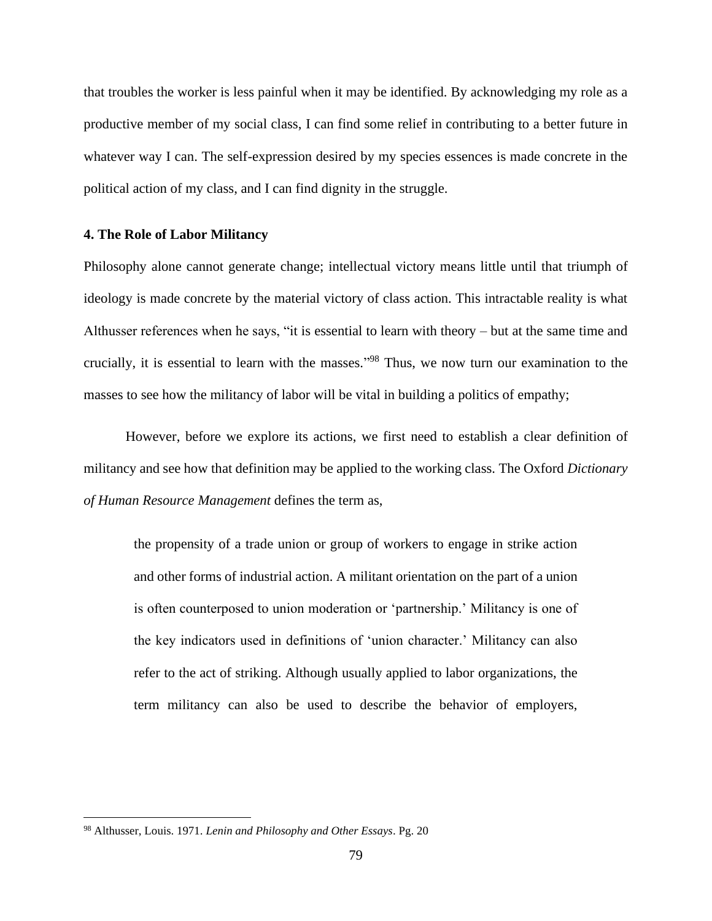that troubles the worker is less painful when it may be identified. By acknowledging my role as a productive member of my social class, I can find some relief in contributing to a better future in whatever way I can. The self-expression desired by my species essences is made concrete in the political action of my class, and I can find dignity in the struggle.

#### **4. The Role of Labor Militancy**

Philosophy alone cannot generate change; intellectual victory means little until that triumph of ideology is made concrete by the material victory of class action. This intractable reality is what Althusser references when he says, "it is essential to learn with theory – but at the same time and crucially, it is essential to learn with the masses." <sup>98</sup> Thus, we now turn our examination to the masses to see how the militancy of labor will be vital in building a politics of empathy;

However, before we explore its actions, we first need to establish a clear definition of militancy and see how that definition may be applied to the working class. The Oxford *Dictionary of Human Resource Management* defines the term as,

the propensity of a trade union or group of workers to engage in strike action and other forms of industrial action. A militant orientation on the part of a union is often counterposed to union moderation or 'partnership.' Militancy is one of the key indicators used in definitions of 'union character.' Militancy can also refer to the act of striking. Although usually applied to labor organizations, the term militancy can also be used to describe the behavior of employers,

<sup>98</sup> Althusser, Louis. 1971. *Lenin and Philosophy and Other Essays*. Pg. 20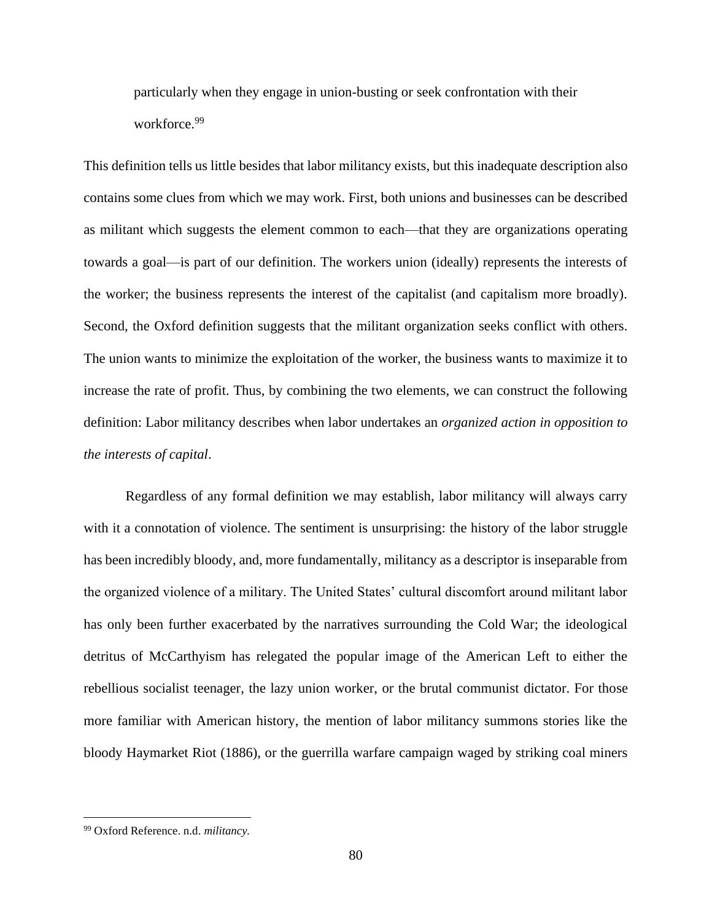particularly when they engage in union-busting or seek confrontation with their workforce.<sup>99</sup>

This definition tells us little besides that labor militancy exists, but this inadequate description also contains some clues from which we may work. First, both unions and businesses can be described as militant which suggests the element common to each—that they are organizations operating towards a goal—is part of our definition. The workers union (ideally) represents the interests of the worker; the business represents the interest of the capitalist (and capitalism more broadly). Second, the Oxford definition suggests that the militant organization seeks conflict with others. The union wants to minimize the exploitation of the worker, the business wants to maximize it to increase the rate of profit. Thus, by combining the two elements, we can construct the following definition: Labor militancy describes when labor undertakes an *organized action in opposition to the interests of capital*.

Regardless of any formal definition we may establish, labor militancy will always carry with it a connotation of violence. The sentiment is unsurprising: the history of the labor struggle has been incredibly bloody, and, more fundamentally, militancy as a descriptor is inseparable from the organized violence of a military. The United States' cultural discomfort around militant labor has only been further exacerbated by the narratives surrounding the Cold War; the ideological detritus of McCarthyism has relegated the popular image of the American Left to either the rebellious socialist teenager, the lazy union worker, or the brutal communist dictator. For those more familiar with American history, the mention of labor militancy summons stories like the bloody Haymarket Riot (1886), or the guerrilla warfare campaign waged by striking coal miners

<sup>99</sup> Oxford Reference. n.d. *militancy.*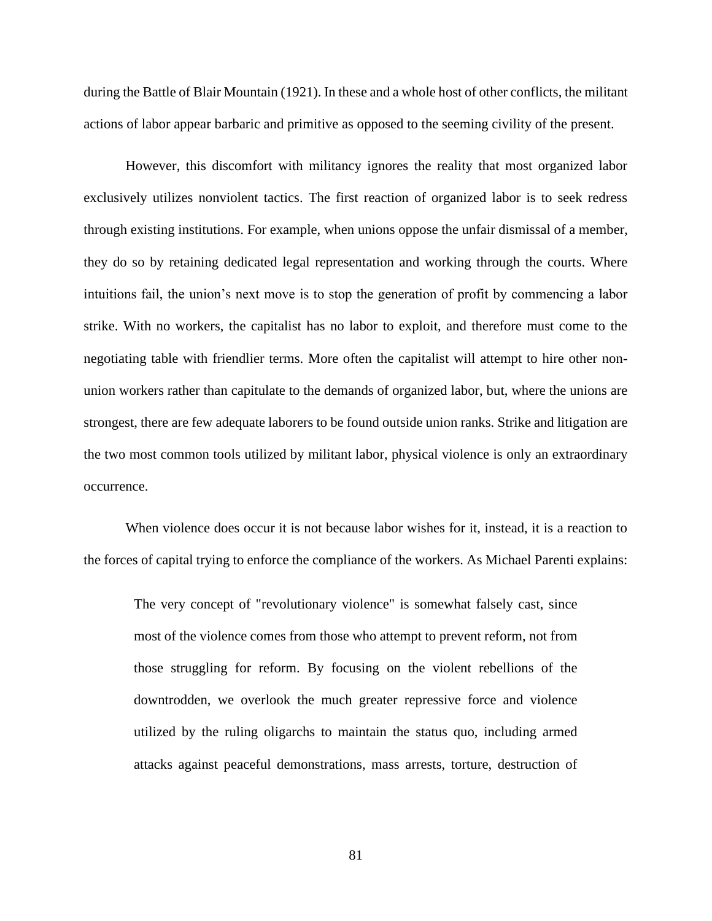during the Battle of Blair Mountain (1921). In these and a whole host of other conflicts, the militant actions of labor appear barbaric and primitive as opposed to the seeming civility of the present.

However, this discomfort with militancy ignores the reality that most organized labor exclusively utilizes nonviolent tactics. The first reaction of organized labor is to seek redress through existing institutions. For example, when unions oppose the unfair dismissal of a member, they do so by retaining dedicated legal representation and working through the courts. Where intuitions fail, the union's next move is to stop the generation of profit by commencing a labor strike. With no workers, the capitalist has no labor to exploit, and therefore must come to the negotiating table with friendlier terms. More often the capitalist will attempt to hire other nonunion workers rather than capitulate to the demands of organized labor, but, where the unions are strongest, there are few adequate laborers to be found outside union ranks. Strike and litigation are the two most common tools utilized by militant labor, physical violence is only an extraordinary occurrence.

When violence does occur it is not because labor wishes for it, instead, it is a reaction to the forces of capital trying to enforce the compliance of the workers. As Michael Parenti explains:

The very concept of "revolutionary violence" is somewhat falsely cast, since most of the violence comes from those who attempt to prevent reform, not from those struggling for reform. By focusing on the violent rebellions of the downtrodden, we overlook the much greater repressive force and violence utilized by the ruling oligarchs to maintain the status quo, including armed attacks against peaceful demonstrations, mass arrests, torture, destruction of

81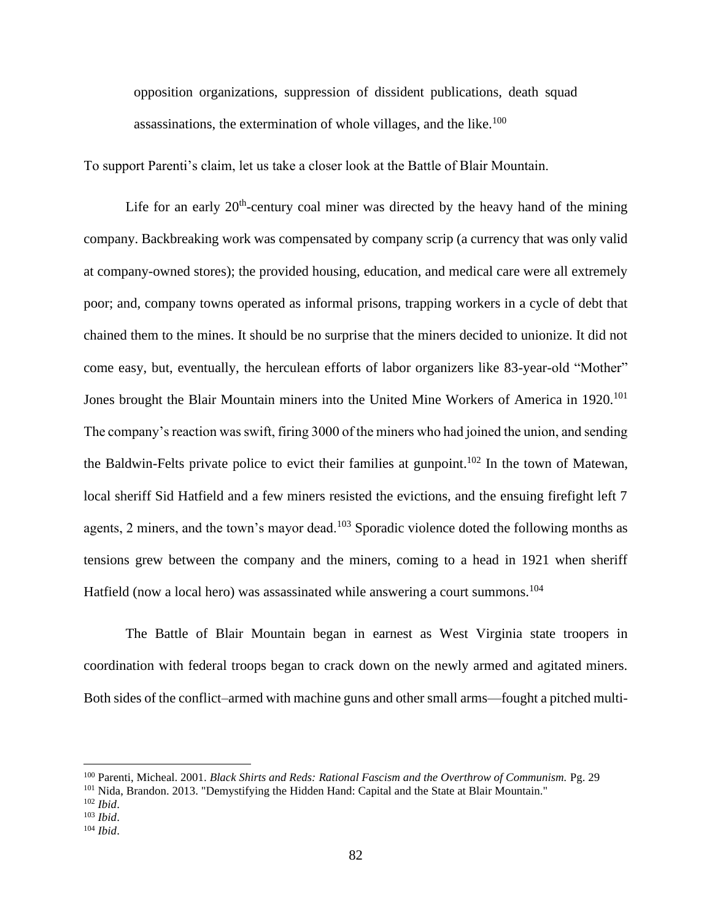opposition organizations, suppression of dissident publications, death squad assassinations, the extermination of whole villages, and the like. $100$ 

To support Parenti's claim, let us take a closer look at the Battle of Blair Mountain.

Life for an early  $20<sup>th</sup>$ -century coal miner was directed by the heavy hand of the mining company. Backbreaking work was compensated by company scrip (a currency that was only valid at company-owned stores); the provided housing, education, and medical care were all extremely poor; and, company towns operated as informal prisons, trapping workers in a cycle of debt that chained them to the mines. It should be no surprise that the miners decided to unionize. It did not come easy, but, eventually, the herculean efforts of labor organizers like 83-year-old "Mother" Jones brought the Blair Mountain miners into the United Mine Workers of America in 1920.<sup>101</sup> The company's reaction was swift, firing 3000 of the miners who had joined the union, and sending the Baldwin-Felts private police to evict their families at gunpoint.<sup>102</sup> In the town of Matewan, local sheriff Sid Hatfield and a few miners resisted the evictions, and the ensuing firefight left 7 agents, 2 miners, and the town's mayor dead.<sup>103</sup> Sporadic violence doted the following months as tensions grew between the company and the miners, coming to a head in 1921 when sheriff Hatfield (now a local hero) was assassinated while answering a court summons.<sup>104</sup>

The Battle of Blair Mountain began in earnest as West Virginia state troopers in coordination with federal troops began to crack down on the newly armed and agitated miners. Both sides of the conflict–armed with machine guns and other small arms—fought a pitched multi-

<sup>100</sup> Parenti, Micheal. 2001. *Black Shirts and Reds: Rational Fascism and the Overthrow of Communism.* Pg. 29

<sup>&</sup>lt;sup>101</sup> Nida, Brandon. 2013. "Demystifying the Hidden Hand: Capital and the State at Blair Mountain."

<sup>102</sup> *Ibid*.

<sup>103</sup> *Ibid*.

<sup>104</sup> *Ibid*.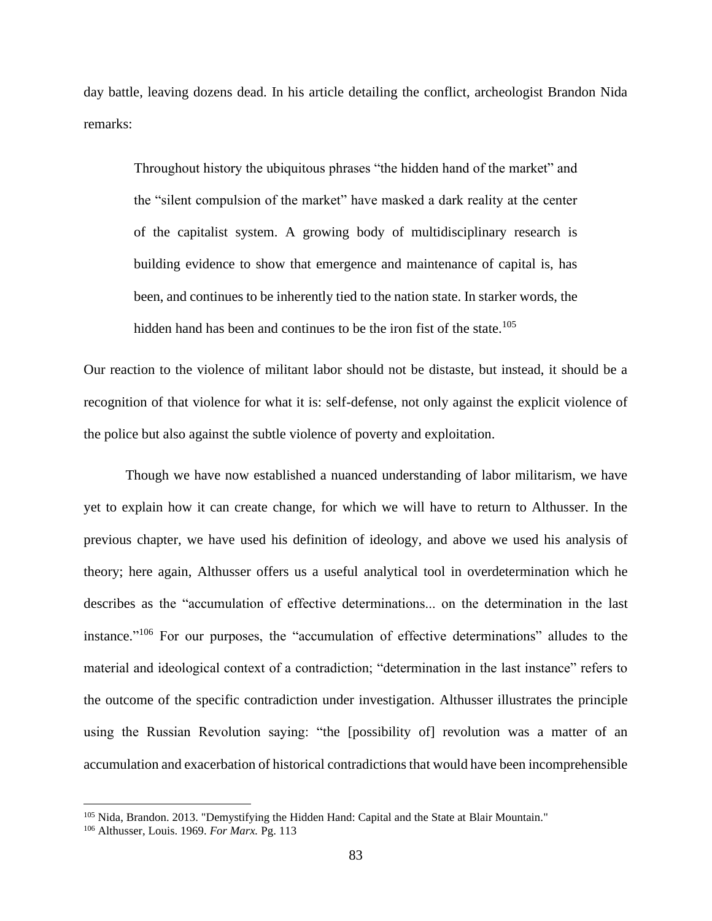day battle, leaving dozens dead. In his article detailing the conflict, archeologist Brandon Nida remarks:

Throughout history the ubiquitous phrases "the hidden hand of the market" and the "silent compulsion of the market" have masked a dark reality at the center of the capitalist system. A growing body of multidisciplinary research is building evidence to show that emergence and maintenance of capital is, has been, and continues to be inherently tied to the nation state. In starker words, the hidden hand has been and continues to be the iron fist of the state.<sup>105</sup>

Our reaction to the violence of militant labor should not be distaste, but instead, it should be a recognition of that violence for what it is: self-defense, not only against the explicit violence of the police but also against the subtle violence of poverty and exploitation.

Though we have now established a nuanced understanding of labor militarism, we have yet to explain how it can create change, for which we will have to return to Althusser. In the previous chapter, we have used his definition of ideology, and above we used his analysis of theory; here again, Althusser offers us a useful analytical tool in overdetermination which he describes as the "accumulation of effective determinations... on the determination in the last instance."<sup>106</sup> For our purposes, the "accumulation of effective determinations" alludes to the material and ideological context of a contradiction; "determination in the last instance" refers to the outcome of the specific contradiction under investigation. Althusser illustrates the principle using the Russian Revolution saying: "the [possibility of] revolution was a matter of an accumulation and exacerbation of historical contradictions that would have been incomprehensible

<sup>&</sup>lt;sup>105</sup> Nida, Brandon. 2013. "Demystifying the Hidden Hand: Capital and the State at Blair Mountain."

<sup>106</sup> Althusser, Louis. 1969. *For Marx.* Pg. 113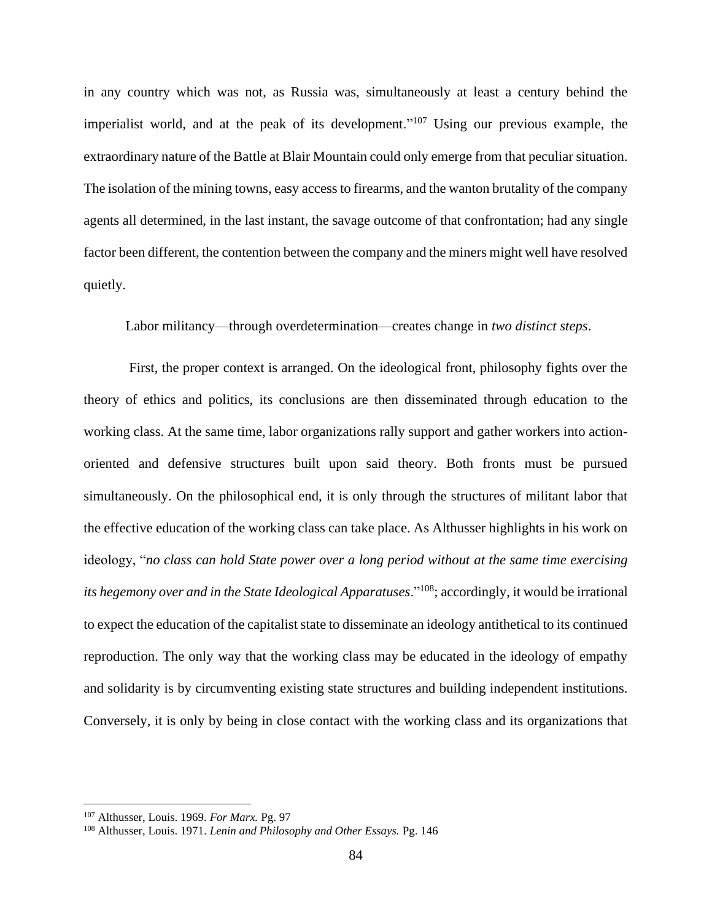in any country which was not, as Russia was, simultaneously at least a century behind the imperialist world, and at the peak of its development."<sup>107</sup> Using our previous example, the extraordinary nature of the Battle at Blair Mountain could only emerge from that peculiar situation. The isolation of the mining towns, easy access to firearms, and the wanton brutality of the company agents all determined, in the last instant, the savage outcome of that confrontation; had any single factor been different, the contention between the company and the miners might well have resolved quietly.

Labor militancy—through overdetermination—creates change in *two distinct steps*.

First, the proper context is arranged. On the ideological front, philosophy fights over the theory of ethics and politics, its conclusions are then disseminated through education to the working class. At the same time, labor organizations rally support and gather workers into actionoriented and defensive structures built upon said theory. Both fronts must be pursued simultaneously. On the philosophical end, it is only through the structures of militant labor that the effective education of the working class can take place. As Althusser highlights in his work on ideology, "*no class can hold State power over a long period without at the same time exercising its hegemony over and in the State Ideological Apparatuses*."<sup>108</sup>; accordingly, it would be irrational to expect the education of the capitalist state to disseminate an ideology antithetical to its continued reproduction. The only way that the working class may be educated in the ideology of empathy and solidarity is by circumventing existing state structures and building independent institutions. Conversely, it is only by being in close contact with the working class and its organizations that

<sup>107</sup> Althusser, Louis. 1969. *For Marx.* Pg. 97

<sup>108</sup> Althusser, Louis. 1971. *Lenin and Philosophy and Other Essays.* Pg. 146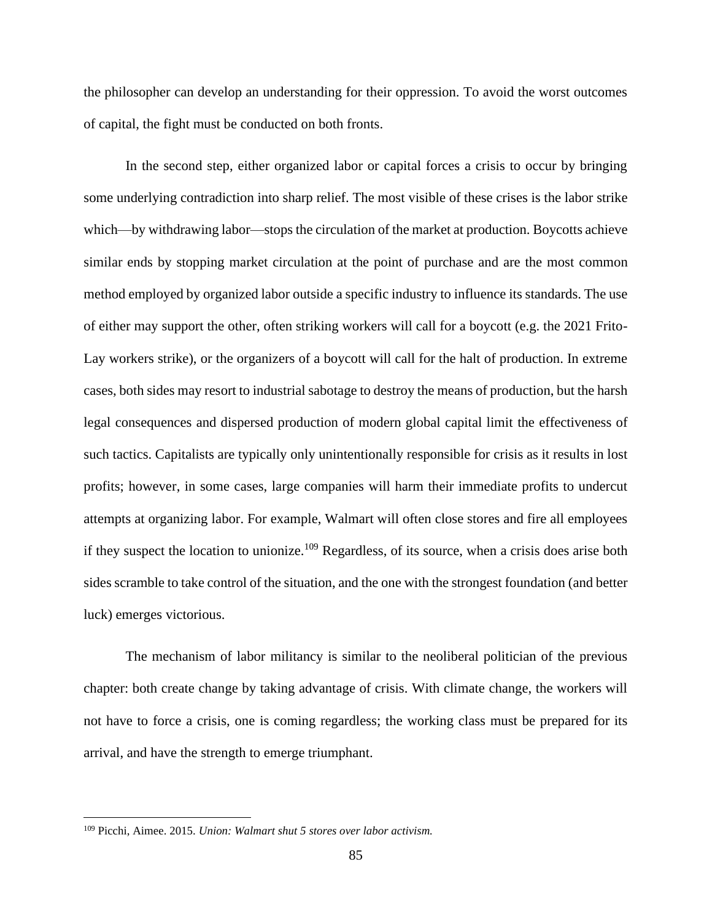the philosopher can develop an understanding for their oppression. To avoid the worst outcomes of capital, the fight must be conducted on both fronts.

In the second step, either organized labor or capital forces a crisis to occur by bringing some underlying contradiction into sharp relief. The most visible of these crises is the labor strike which—by withdrawing labor—stops the circulation of the market at production. Boycotts achieve similar ends by stopping market circulation at the point of purchase and are the most common method employed by organized labor outside a specific industry to influence its standards. The use of either may support the other, often striking workers will call for a boycott (e.g. the 2021 Frito-Lay workers strike), or the organizers of a boycott will call for the halt of production. In extreme cases, both sides may resort to industrial sabotage to destroy the means of production, but the harsh legal consequences and dispersed production of modern global capital limit the effectiveness of such tactics. Capitalists are typically only unintentionally responsible for crisis as it results in lost profits; however, in some cases, large companies will harm their immediate profits to undercut attempts at organizing labor. For example, Walmart will often close stores and fire all employees if they suspect the location to unionize.<sup>109</sup> Regardless, of its source, when a crisis does arise both sides scramble to take control of the situation, and the one with the strongest foundation (and better luck) emerges victorious.

The mechanism of labor militancy is similar to the neoliberal politician of the previous chapter: both create change by taking advantage of crisis. With climate change, the workers will not have to force a crisis, one is coming regardless; the working class must be prepared for its arrival, and have the strength to emerge triumphant.

<sup>109</sup> Picchi, Aimee. 2015. *Union: Walmart shut 5 stores over labor activism.*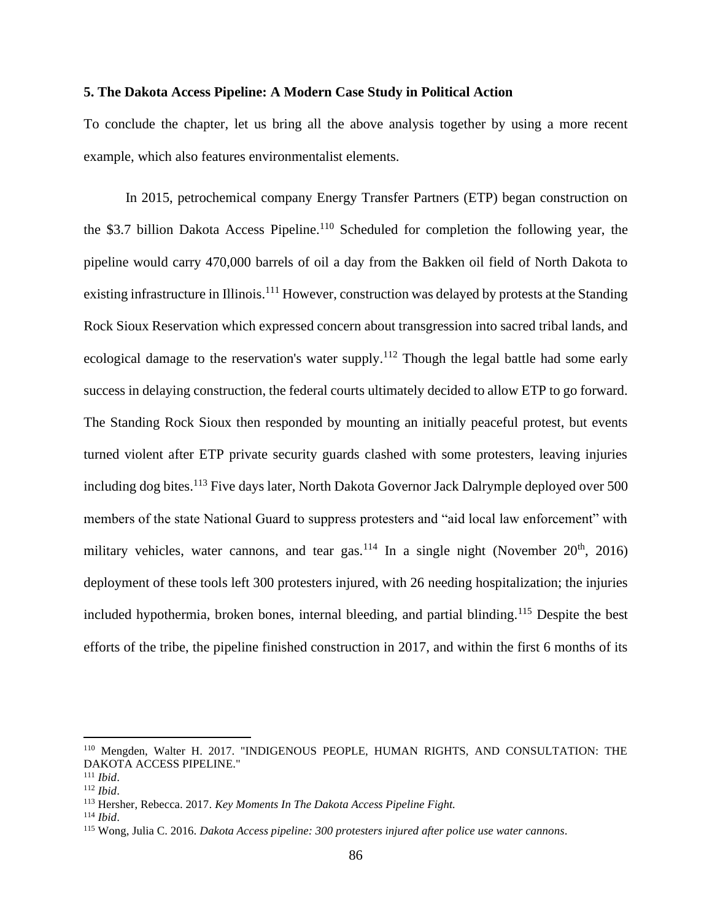### **5. The Dakota Access Pipeline: A Modern Case Study in Political Action**

To conclude the chapter, let us bring all the above analysis together by using a more recent example, which also features environmentalist elements.

In 2015, petrochemical company Energy Transfer Partners (ETP) began construction on the \$3.7 billion Dakota Access Pipeline.<sup>110</sup> Scheduled for completion the following year, the pipeline would carry 470,000 barrels of oil a day from the Bakken oil field of North Dakota to existing infrastructure in Illinois.<sup>111</sup> However, construction was delayed by protests at the Standing Rock Sioux Reservation which expressed concern about transgression into sacred tribal lands, and ecological damage to the reservation's water supply.<sup>112</sup> Though the legal battle had some early success in delaying construction, the federal courts ultimately decided to allow ETP to go forward. The Standing Rock Sioux then responded by mounting an initially peaceful protest, but events turned violent after ETP private security guards clashed with some protesters, leaving injuries including dog bites.<sup>113</sup> Five days later, North Dakota Governor Jack Dalrymple deployed over 500 members of the state National Guard to suppress protesters and "aid local law enforcement" with military vehicles, water cannons, and tear gas.<sup>114</sup> In a single night (November  $20<sup>th</sup>$ , 2016) deployment of these tools left 300 protesters injured, with 26 needing hospitalization; the injuries included hypothermia, broken bones, internal bleeding, and partial blinding.<sup>115</sup> Despite the best efforts of the tribe, the pipeline finished construction in 2017, and within the first 6 months of its

<sup>110</sup> Mengden, Walter H. 2017. "INDIGENOUS PEOPLE, HUMAN RIGHTS, AND CONSULTATION: THE DAKOTA ACCESS PIPELINE."

<sup>111</sup> *Ibid*.

<sup>112</sup> *Ibid*.

<sup>113</sup> Hersher, Rebecca. 2017. *Key Moments In The Dakota Access Pipeline Fight.*

<sup>114</sup> *Ibid*.

<sup>115</sup> Wong, Julia C. 2016. *Dakota Access pipeline: 300 protesters injured after police use water cannons*.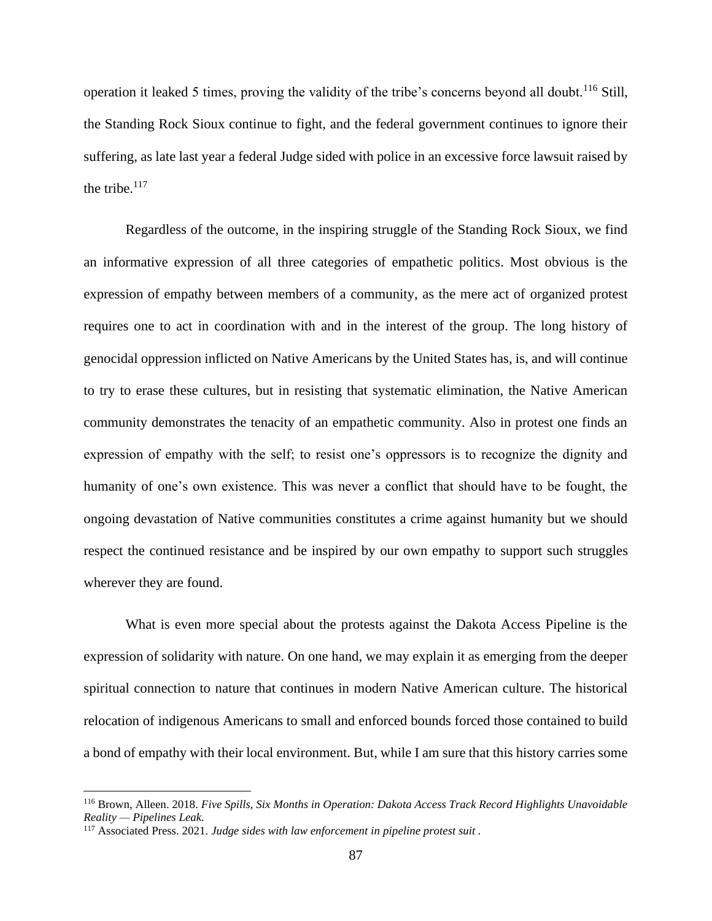operation it leaked 5 times, proving the validity of the tribe's concerns beyond all doubt.<sup>116</sup> Still, the Standing Rock Sioux continue to fight, and the federal government continues to ignore their suffering, as late last year a federal Judge sided with police in an excessive force lawsuit raised by the tribe. $117$ 

Regardless of the outcome, in the inspiring struggle of the Standing Rock Sioux, we find an informative expression of all three categories of empathetic politics. Most obvious is the expression of empathy between members of a community, as the mere act of organized protest requires one to act in coordination with and in the interest of the group. The long history of genocidal oppression inflicted on Native Americans by the United States has, is, and will continue to try to erase these cultures, but in resisting that systematic elimination, the Native American community demonstrates the tenacity of an empathetic community. Also in protest one finds an expression of empathy with the self; to resist one's oppressors is to recognize the dignity and humanity of one's own existence. This was never a conflict that should have to be fought, the ongoing devastation of Native communities constitutes a crime against humanity but we should respect the continued resistance and be inspired by our own empathy to support such struggles wherever they are found.

What is even more special about the protests against the Dakota Access Pipeline is the expression of solidarity with nature. On one hand, we may explain it as emerging from the deeper spiritual connection to nature that continues in modern Native American culture. The historical relocation of indigenous Americans to small and enforced bounds forced those contained to build a bond of empathy with their local environment. But, while I am sure that this history carries some

<sup>116</sup> Brown, Alleen. 2018. *Five Spills, Six Months in Operation: Dakota Access Track Record Highlights Unavoidable Reality — Pipelines Leak.*

<sup>117</sup> Associated Press. 2021. *Judge sides with law enforcement in pipeline protest suit .*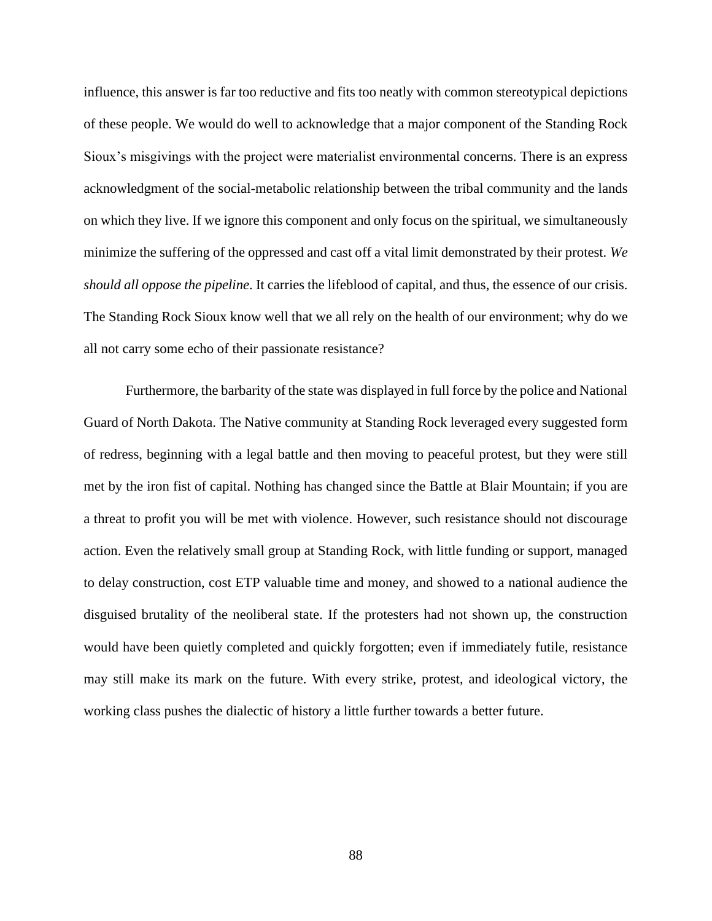influence, this answer is far too reductive and fits too neatly with common stereotypical depictions of these people. We would do well to acknowledge that a major component of the Standing Rock Sioux's misgivings with the project were materialist environmental concerns. There is an express acknowledgment of the social-metabolic relationship between the tribal community and the lands on which they live. If we ignore this component and only focus on the spiritual, we simultaneously minimize the suffering of the oppressed and cast off a vital limit demonstrated by their protest. *We should all oppose the pipeline*. It carries the lifeblood of capital, and thus, the essence of our crisis. The Standing Rock Sioux know well that we all rely on the health of our environment; why do we all not carry some echo of their passionate resistance?

Furthermore, the barbarity of the state was displayed in full force by the police and National Guard of North Dakota. The Native community at Standing Rock leveraged every suggested form of redress, beginning with a legal battle and then moving to peaceful protest, but they were still met by the iron fist of capital. Nothing has changed since the Battle at Blair Mountain; if you are a threat to profit you will be met with violence. However, such resistance should not discourage action. Even the relatively small group at Standing Rock, with little funding or support, managed to delay construction, cost ETP valuable time and money, and showed to a national audience the disguised brutality of the neoliberal state. If the protesters had not shown up, the construction would have been quietly completed and quickly forgotten; even if immediately futile, resistance may still make its mark on the future. With every strike, protest, and ideological victory, the working class pushes the dialectic of history a little further towards a better future.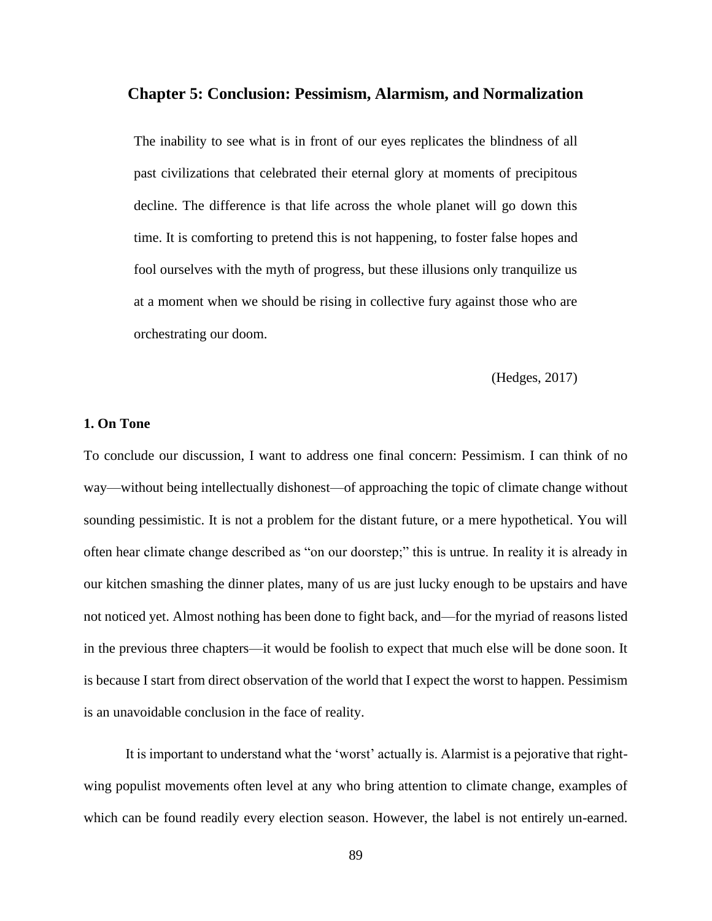### **Chapter 5: Conclusion: Pessimism, Alarmism, and Normalization**

The inability to see what is in front of our eyes replicates the blindness of all past civilizations that celebrated their eternal glory at moments of precipitous decline. The difference is that life across the whole planet will go down this time. It is comforting to pretend this is not happening, to foster false hopes and fool ourselves with the myth of progress, but these illusions only tranquilize us at a moment when we should be rising in collective fury against those who are orchestrating our doom.

(Hedges, 2017)

## **1. On Tone**

To conclude our discussion, I want to address one final concern: Pessimism. I can think of no way—without being intellectually dishonest—of approaching the topic of climate change without sounding pessimistic. It is not a problem for the distant future, or a mere hypothetical. You will often hear climate change described as "on our doorstep;" this is untrue. In reality it is already in our kitchen smashing the dinner plates, many of us are just lucky enough to be upstairs and have not noticed yet. Almost nothing has been done to fight back, and—for the myriad of reasons listed in the previous three chapters—it would be foolish to expect that much else will be done soon. It is because I start from direct observation of the world that I expect the worst to happen. Pessimism is an unavoidable conclusion in the face of reality.

It is important to understand what the 'worst' actually is. Alarmist is a pejorative that rightwing populist movements often level at any who bring attention to climate change, examples of which can be found readily every election season. However, the label is not entirely un-earned.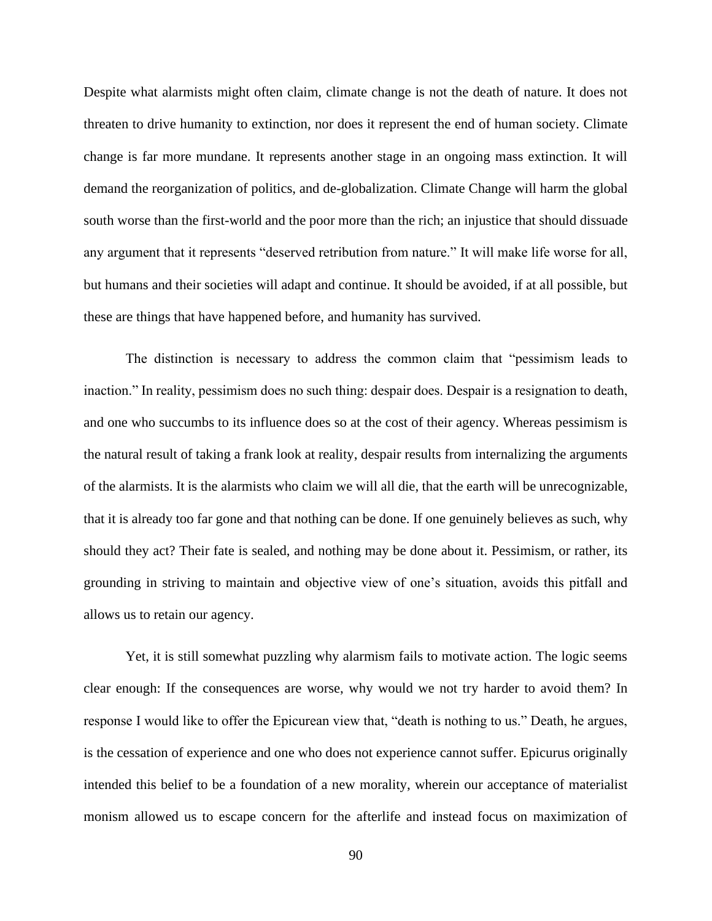Despite what alarmists might often claim, climate change is not the death of nature. It does not threaten to drive humanity to extinction, nor does it represent the end of human society. Climate change is far more mundane. It represents another stage in an ongoing mass extinction. It will demand the reorganization of politics, and de-globalization. Climate Change will harm the global south worse than the first-world and the poor more than the rich; an injustice that should dissuade any argument that it represents "deserved retribution from nature." It will make life worse for all, but humans and their societies will adapt and continue. It should be avoided, if at all possible, but these are things that have happened before, and humanity has survived.

The distinction is necessary to address the common claim that "pessimism leads to inaction." In reality, pessimism does no such thing: despair does. Despair is a resignation to death, and one who succumbs to its influence does so at the cost of their agency. Whereas pessimism is the natural result of taking a frank look at reality, despair results from internalizing the arguments of the alarmists. It is the alarmists who claim we will all die, that the earth will be unrecognizable, that it is already too far gone and that nothing can be done. If one genuinely believes as such, why should they act? Their fate is sealed, and nothing may be done about it. Pessimism, or rather, its grounding in striving to maintain and objective view of one's situation, avoids this pitfall and allows us to retain our agency.

Yet, it is still somewhat puzzling why alarmism fails to motivate action. The logic seems clear enough: If the consequences are worse, why would we not try harder to avoid them? In response I would like to offer the Epicurean view that, "death is nothing to us." Death, he argues, is the cessation of experience and one who does not experience cannot suffer. Epicurus originally intended this belief to be a foundation of a new morality, wherein our acceptance of materialist monism allowed us to escape concern for the afterlife and instead focus on maximization of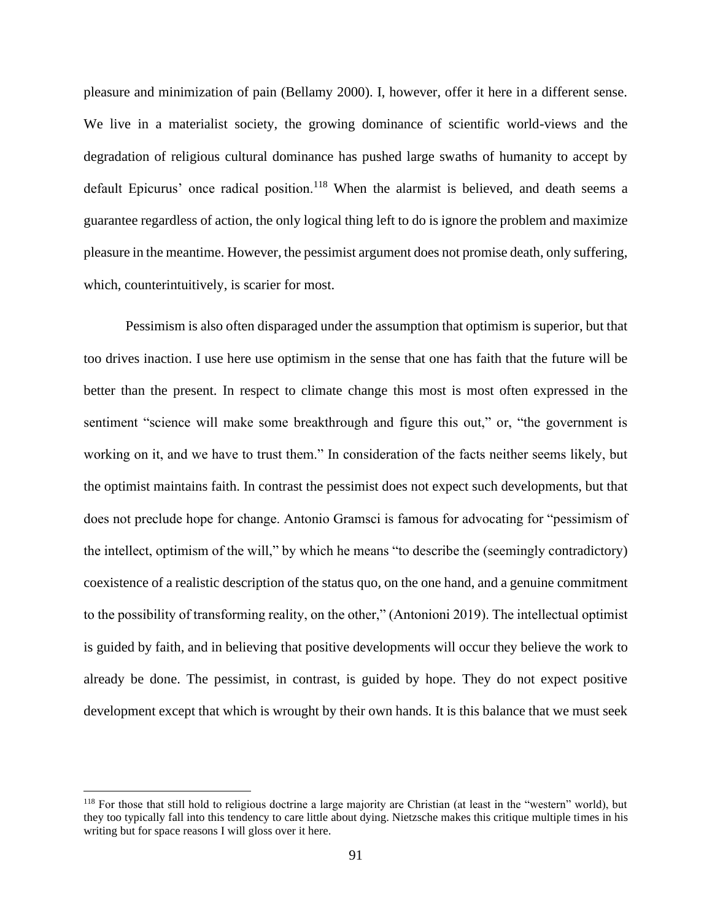pleasure and minimization of pain (Bellamy 2000). I, however, offer it here in a different sense. We live in a materialist society, the growing dominance of scientific world-views and the degradation of religious cultural dominance has pushed large swaths of humanity to accept by default Epicurus' once radical position.<sup>118</sup> When the alarmist is believed, and death seems a guarantee regardless of action, the only logical thing left to do is ignore the problem and maximize pleasure in the meantime. However, the pessimist argument does not promise death, only suffering, which, counterintuitively, is scarier for most.

Pessimism is also often disparaged under the assumption that optimism is superior, but that too drives inaction. I use here use optimism in the sense that one has faith that the future will be better than the present. In respect to climate change this most is most often expressed in the sentiment "science will make some breakthrough and figure this out," or, "the government is working on it, and we have to trust them." In consideration of the facts neither seems likely, but the optimist maintains faith. In contrast the pessimist does not expect such developments, but that does not preclude hope for change. Antonio Gramsci is famous for advocating for "pessimism of the intellect, optimism of the will," by which he means "to describe the (seemingly contradictory) coexistence of a realistic description of the status quo, on the one hand, and a genuine commitment to the possibility of transforming reality, on the other," (Antonioni 2019). The intellectual optimist is guided by faith, and in believing that positive developments will occur they believe the work to already be done. The pessimist, in contrast, is guided by hope. They do not expect positive development except that which is wrought by their own hands. It is this balance that we must seek

<sup>&</sup>lt;sup>118</sup> For those that still hold to religious doctrine a large majority are Christian (at least in the "western" world), but they too typically fall into this tendency to care little about dying. Nietzsche makes this critique multiple times in his writing but for space reasons I will gloss over it here.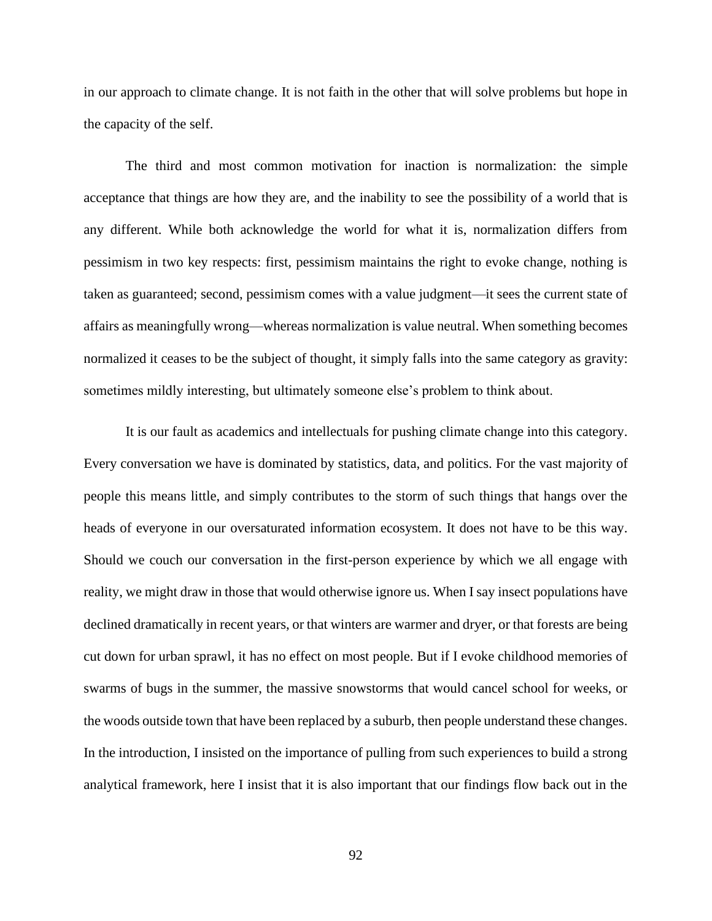in our approach to climate change. It is not faith in the other that will solve problems but hope in the capacity of the self.

The third and most common motivation for inaction is normalization: the simple acceptance that things are how they are, and the inability to see the possibility of a world that is any different. While both acknowledge the world for what it is, normalization differs from pessimism in two key respects: first, pessimism maintains the right to evoke change, nothing is taken as guaranteed; second, pessimism comes with a value judgment—it sees the current state of affairs as meaningfully wrong—whereas normalization is value neutral. When something becomes normalized it ceases to be the subject of thought, it simply falls into the same category as gravity: sometimes mildly interesting, but ultimately someone else's problem to think about.

It is our fault as academics and intellectuals for pushing climate change into this category. Every conversation we have is dominated by statistics, data, and politics. For the vast majority of people this means little, and simply contributes to the storm of such things that hangs over the heads of everyone in our oversaturated information ecosystem. It does not have to be this way. Should we couch our conversation in the first-person experience by which we all engage with reality, we might draw in those that would otherwise ignore us. When I say insect populations have declined dramatically in recent years, or that winters are warmer and dryer, or that forests are being cut down for urban sprawl, it has no effect on most people. But if I evoke childhood memories of swarms of bugs in the summer, the massive snowstorms that would cancel school for weeks, or the woods outside town that have been replaced by a suburb, then people understand these changes. In the introduction, I insisted on the importance of pulling from such experiences to build a strong analytical framework, here I insist that it is also important that our findings flow back out in the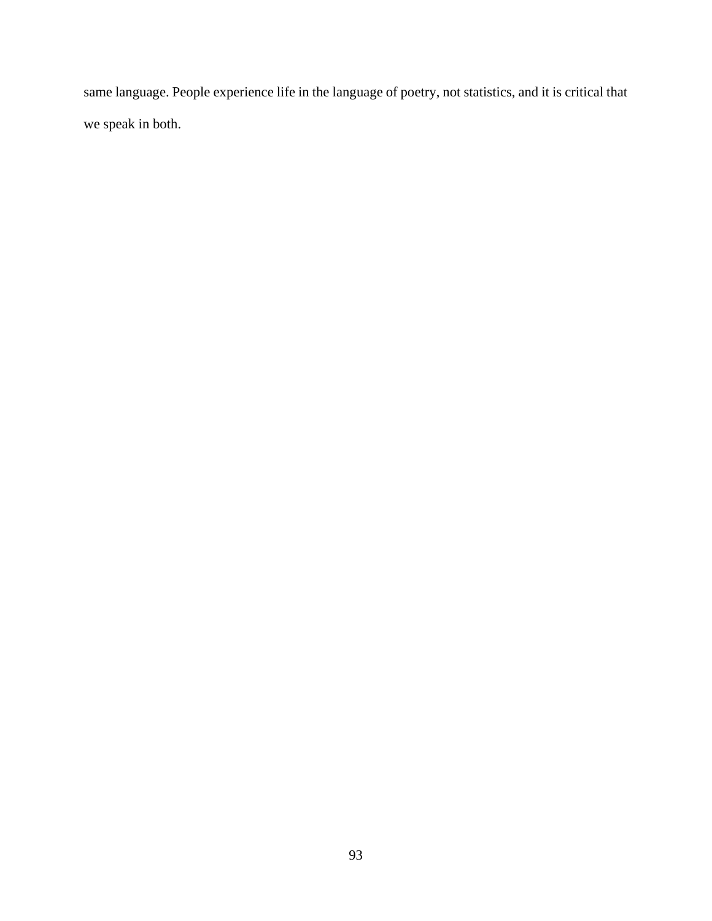same language. People experience life in the language of poetry, not statistics, and it is critical that we speak in both.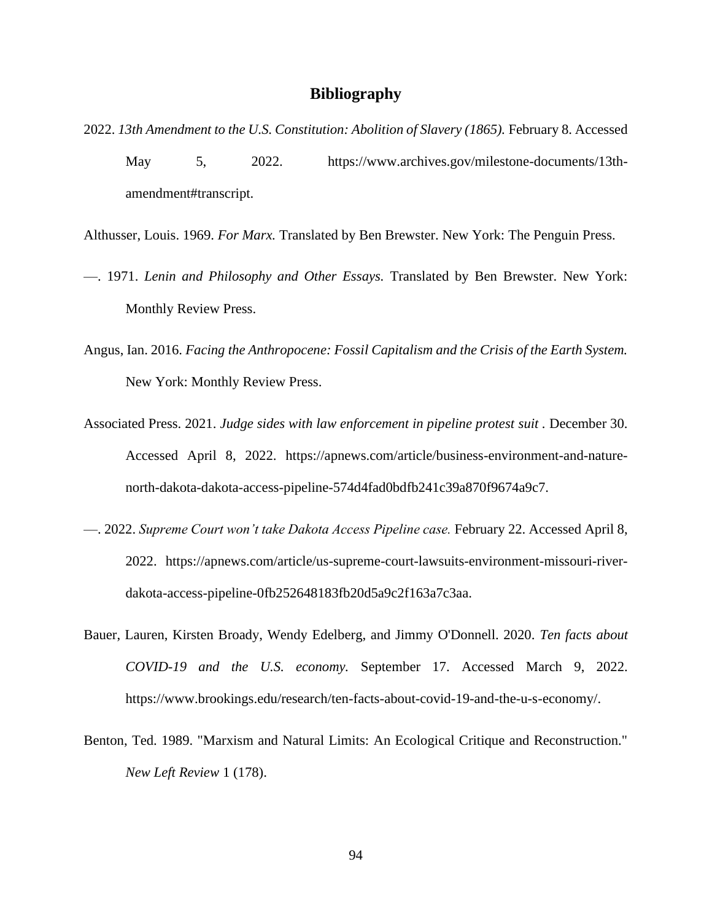## **Bibliography**

- 2022. *13th Amendment to the U.S. Constitution: Abolition of Slavery (1865).* February 8. Accessed May 5, 2022. https://www.archives.gov/milestone-documents/13thamendment#transcript.
- Althusser, Louis. 1969. *For Marx.* Translated by Ben Brewster. New York: The Penguin Press.
- —. 1971. *Lenin and Philosophy and Other Essays.* Translated by Ben Brewster. New York: Monthly Review Press.
- Angus, Ian. 2016. *Facing the Anthropocene: Fossil Capitalism and the Crisis of the Earth System.* New York: Monthly Review Press.
- Associated Press. 2021. *Judge sides with law enforcement in pipeline protest suit .* December 30. Accessed April 8, 2022. https://apnews.com/article/business-environment-and-naturenorth-dakota-dakota-access-pipeline-574d4fad0bdfb241c39a870f9674a9c7.
- —. 2022. *Supreme Court won't take Dakota Access Pipeline case.* February 22. Accessed April 8, 2022. https://apnews.com/article/us-supreme-court-lawsuits-environment-missouri-riverdakota-access-pipeline-0fb252648183fb20d5a9c2f163a7c3aa.
- Bauer, Lauren, Kirsten Broady, Wendy Edelberg, and Jimmy O'Donnell. 2020. *Ten facts about COVID-19 and the U.S. economy.* September 17. Accessed March 9, 2022. https://www.brookings.edu/research/ten-facts-about-covid-19-and-the-u-s-economy/.
- Benton, Ted. 1989. "Marxism and Natural Limits: An Ecological Critique and Reconstruction." *New Left Review* 1 (178).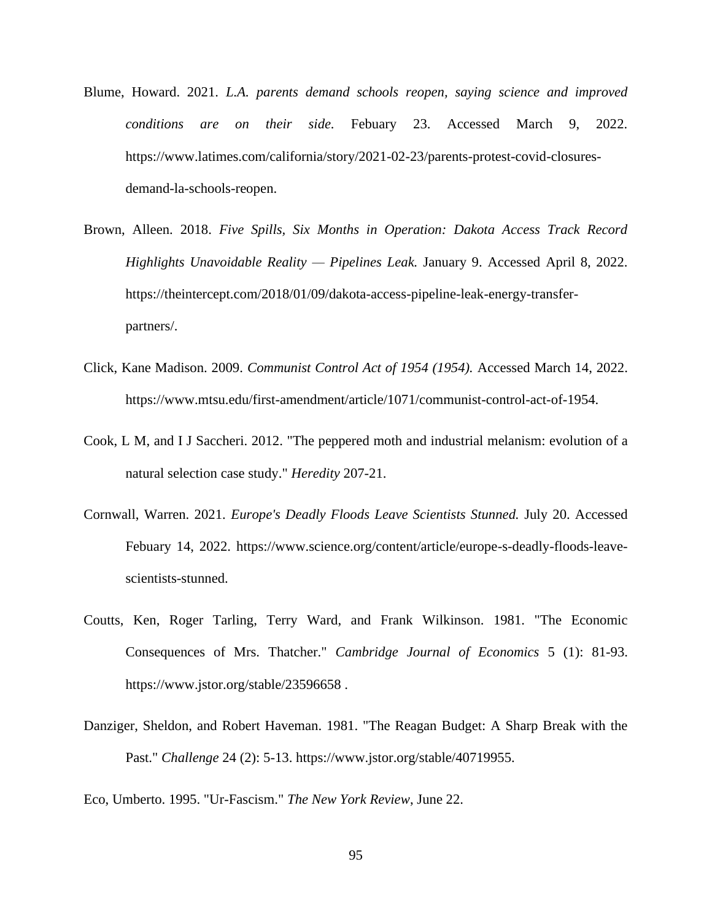- Blume, Howard. 2021. *L.A. parents demand schools reopen, saying science and improved conditions are on their side.* Febuary 23. Accessed March 9, 2022. https://www.latimes.com/california/story/2021-02-23/parents-protest-covid-closuresdemand-la-schools-reopen.
- Brown, Alleen. 2018. *Five Spills, Six Months in Operation: Dakota Access Track Record Highlights Unavoidable Reality — Pipelines Leak.* January 9. Accessed April 8, 2022. https://theintercept.com/2018/01/09/dakota-access-pipeline-leak-energy-transferpartners/.
- Click, Kane Madison. 2009. *Communist Control Act of 1954 (1954).* Accessed March 14, 2022. https://www.mtsu.edu/first-amendment/article/1071/communist-control-act-of-1954.
- Cook, L M, and I J Saccheri. 2012. "The peppered moth and industrial melanism: evolution of a natural selection case study." *Heredity* 207-21.
- Cornwall, Warren. 2021. *Europe's Deadly Floods Leave Scientists Stunned.* July 20. Accessed Febuary 14, 2022. https://www.science.org/content/article/europe-s-deadly-floods-leavescientists-stunned.
- Coutts, Ken, Roger Tarling, Terry Ward, and Frank Wilkinson. 1981. "The Economic Consequences of Mrs. Thatcher." *Cambridge Journal of Economics* 5 (1): 81-93. https://www.jstor.org/stable/23596658 .
- Danziger, Sheldon, and Robert Haveman. 1981. "The Reagan Budget: A Sharp Break with the Past." *Challenge* 24 (2): 5-13. https://www.jstor.org/stable/40719955.

Eco, Umberto. 1995. "Ur-Fascism." *The New York Review*, June 22.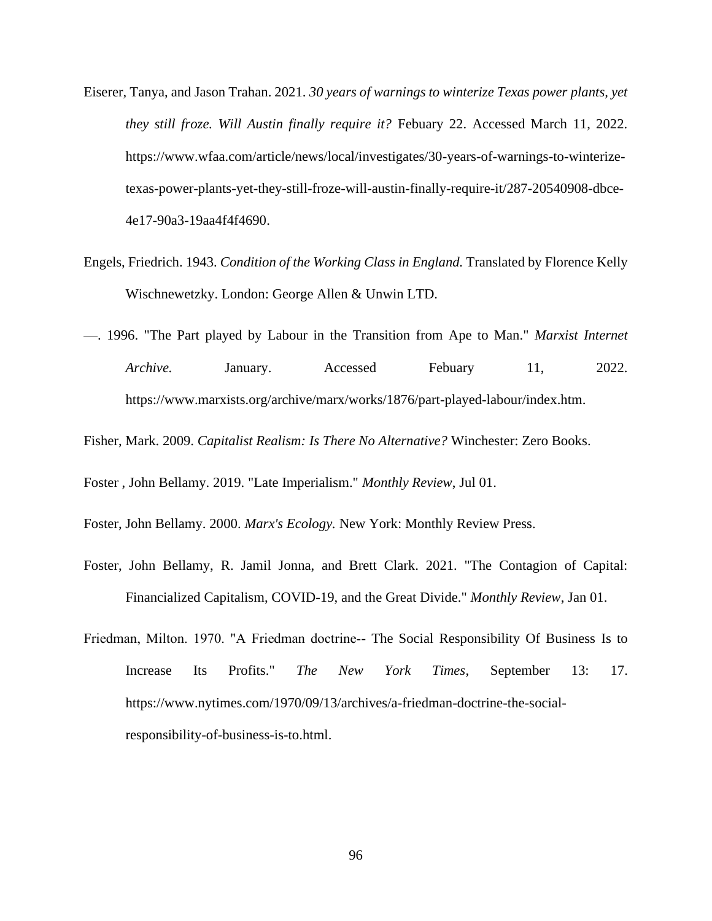- Eiserer, Tanya, and Jason Trahan. 2021. *30 years of warnings to winterize Texas power plants, yet they still froze. Will Austin finally require it?* Febuary 22. Accessed March 11, 2022. https://www.wfaa.com/article/news/local/investigates/30-years-of-warnings-to-winterizetexas-power-plants-yet-they-still-froze-will-austin-finally-require-it/287-20540908-dbce-4e17-90a3-19aa4f4f4690.
- Engels, Friedrich. 1943. *Condition of the Working Class in England.* Translated by Florence Kelly Wischnewetzky. London: George Allen & Unwin LTD.
- —. 1996. "The Part played by Labour in the Transition from Ape to Man." *Marxist Internet*  Archive. January. Accessed Febuary 11, 2022. https://www.marxists.org/archive/marx/works/1876/part-played-labour/index.htm.
- Fisher, Mark. 2009. *Capitalist Realism: Is There No Alternative?* Winchester: Zero Books.

Foster , John Bellamy. 2019. "Late Imperialism." *Monthly Review*, Jul 01.

- Foster, John Bellamy. 2000. *Marx's Ecology.* New York: Monthly Review Press.
- Foster, John Bellamy, R. Jamil Jonna, and Brett Clark. 2021. "The Contagion of Capital: Financialized Capitalism, COVID-19, and the Great Divide." *Monthly Review*, Jan 01.
- Friedman, Milton. 1970. "A Friedman doctrine-- The Social Responsibility Of Business Is to Increase Its Profits." *The New York Times*, September 13: 17. https://www.nytimes.com/1970/09/13/archives/a-friedman-doctrine-the-socialresponsibility-of-business-is-to.html.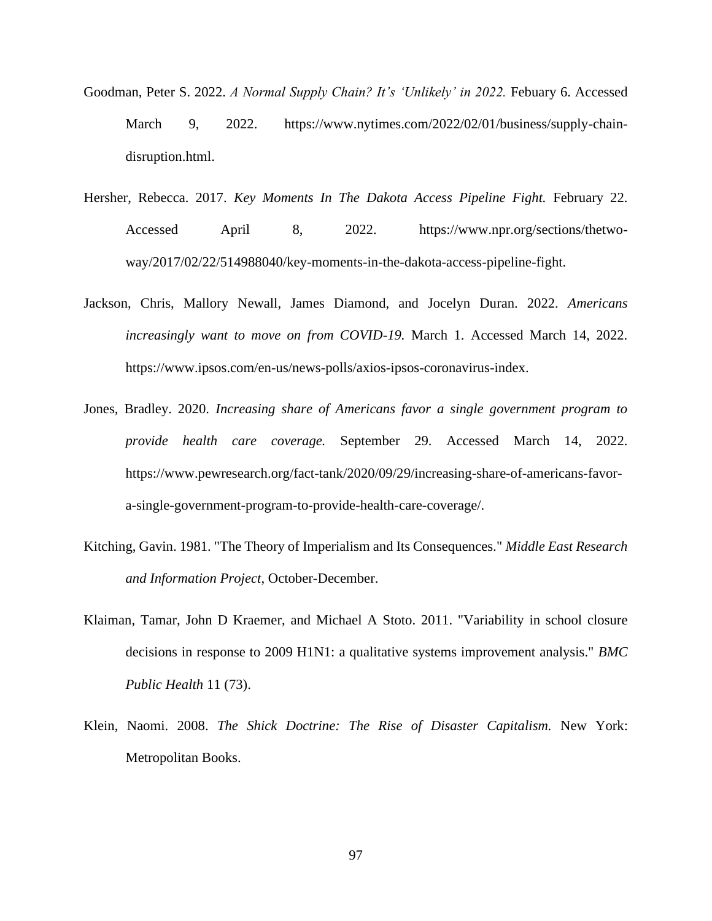- Goodman, Peter S. 2022. *A Normal Supply Chain? It's 'Unlikely' in 2022.* Febuary 6. Accessed March 9, 2022. https://www.nytimes.com/2022/02/01/business/supply-chaindisruption.html.
- Hersher, Rebecca. 2017. *Key Moments In The Dakota Access Pipeline Fight.* February 22. Accessed April 8, 2022. https://www.npr.org/sections/thetwoway/2017/02/22/514988040/key-moments-in-the-dakota-access-pipeline-fight.
- Jackson, Chris, Mallory Newall, James Diamond, and Jocelyn Duran. 2022. *Americans increasingly want to move on from COVID-19.* March 1. Accessed March 14, 2022. https://www.ipsos.com/en-us/news-polls/axios-ipsos-coronavirus-index.
- Jones, Bradley. 2020. *Increasing share of Americans favor a single government program to provide health care coverage.* September 29. Accessed March 14, 2022. https://www.pewresearch.org/fact-tank/2020/09/29/increasing-share-of-americans-favora-single-government-program-to-provide-health-care-coverage/.
- Kitching, Gavin. 1981. "The Theory of Imperialism and Its Consequences." *Middle East Research and Information Project*, October-December.
- Klaiman, Tamar, John D Kraemer, and Michael A Stoto. 2011. "Variability in school closure decisions in response to 2009 H1N1: a qualitative systems improvement analysis." *BMC Public Health* 11 (73).
- Klein, Naomi. 2008. *The Shick Doctrine: The Rise of Disaster Capitalism.* New York: Metropolitan Books.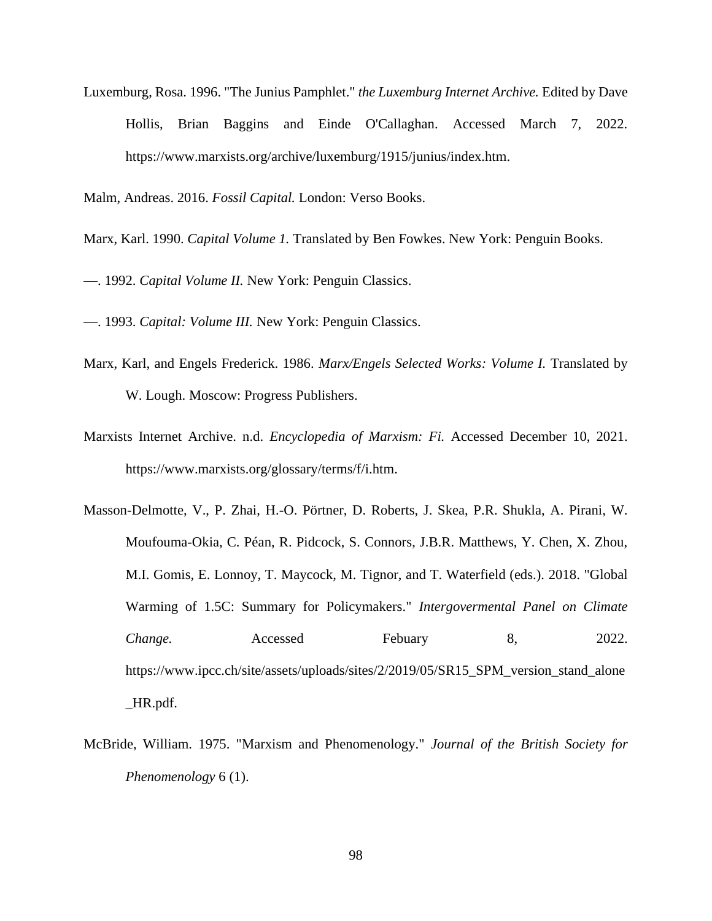Luxemburg, Rosa. 1996. "The Junius Pamphlet." *the Luxemburg Internet Archive.* Edited by Dave Hollis, Brian Baggins and Einde O'Callaghan. Accessed March 7, 2022. https://www.marxists.org/archive/luxemburg/1915/junius/index.htm.

Malm, Andreas. 2016. *Fossil Capital.* London: Verso Books.

Marx, Karl. 1990. *Capital Volume 1.* Translated by Ben Fowkes. New York: Penguin Books.

—. 1992. *Capital Volume II.* New York: Penguin Classics.

—. 1993. *Capital: Volume III.* New York: Penguin Classics.

- Marx, Karl, and Engels Frederick. 1986. *Marx/Engels Selected Works: Volume I.* Translated by W. Lough. Moscow: Progress Publishers.
- Marxists Internet Archive. n.d. *Encyclopedia of Marxism: Fi.* Accessed December 10, 2021. https://www.marxists.org/glossary/terms/f/i.htm.
- Masson-Delmotte, V., P. Zhai, H.-O. Pörtner, D. Roberts, J. Skea, P.R. Shukla, A. Pirani, W. Moufouma-Okia, C. Péan, R. Pidcock, S. Connors, J.B.R. Matthews, Y. Chen, X. Zhou, M.I. Gomis, E. Lonnoy, T. Maycock, M. Tignor, and T. Waterfield (eds.). 2018. "Global Warming of 1.5C: Summary for Policymakers." *Intergovermental Panel on Climate Change.* Accessed Febuary 8, 2022. https://www.ipcc.ch/site/assets/uploads/sites/2/2019/05/SR15\_SPM\_version\_stand\_alone \_HR.pdf.
- McBride, William. 1975. "Marxism and Phenomenology." *Journal of the British Society for Phenomenology* 6 (1).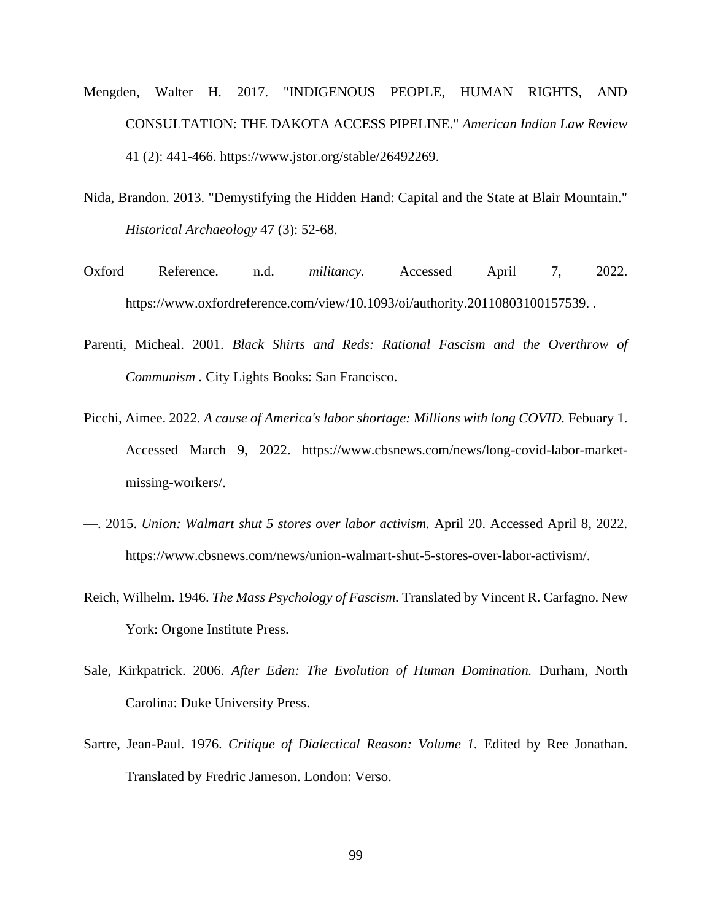- Mengden, Walter H. 2017. "INDIGENOUS PEOPLE, HUMAN RIGHTS, AND CONSULTATION: THE DAKOTA ACCESS PIPELINE." *American Indian Law Review* 41 (2): 441-466. https://www.jstor.org/stable/26492269.
- Nida, Brandon. 2013. "Demystifying the Hidden Hand: Capital and the State at Blair Mountain." *Historical Archaeology* 47 (3): 52-68.
- Oxford Reference. n.d. *militancy.* Accessed April 7, 2022. https://www.oxfordreference.com/view/10.1093/oi/authority.20110803100157539...
- Parenti, Micheal. 2001. *Black Shirts and Reds: Rational Fascism and the Overthrow of Communism .* City Lights Books: San Francisco.
- Picchi, Aimee. 2022. *A cause of America's labor shortage: Millions with long COVID.* Febuary 1. Accessed March 9, 2022. https://www.cbsnews.com/news/long-covid-labor-marketmissing-workers/.
- —. 2015. *Union: Walmart shut 5 stores over labor activism.* April 20. Accessed April 8, 2022. https://www.cbsnews.com/news/union-walmart-shut-5-stores-over-labor-activism/.
- Reich, Wilhelm. 1946. *The Mass Psychology of Fascism.* Translated by Vincent R. Carfagno. New York: Orgone Institute Press.
- Sale, Kirkpatrick. 2006. *After Eden: The Evolution of Human Domination.* Durham, North Carolina: Duke University Press.
- Sartre, Jean-Paul. 1976. *Critique of Dialectical Reason: Volume 1.* Edited by Ree Jonathan. Translated by Fredric Jameson. London: Verso.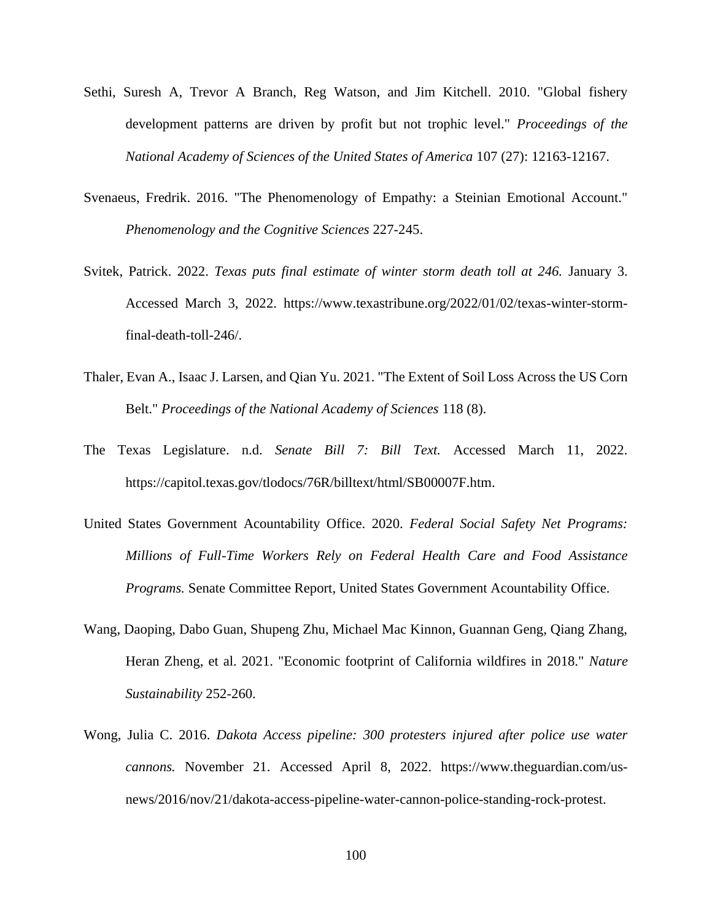- Sethi, Suresh A, Trevor A Branch, Reg Watson, and Jim Kitchell. 2010. "Global fishery development patterns are driven by profit but not trophic level." *Proceedings of the National Academy of Sciences of the United States of America* 107 (27): 12163-12167.
- Svenaeus, Fredrik. 2016. "The Phenomenology of Empathy: a Steinian Emotional Account." *Phenomenology and the Cognitive Sciences* 227-245.
- Svitek, Patrick. 2022. *Texas puts final estimate of winter storm death toll at 246.* January 3. Accessed March 3, 2022. https://www.texastribune.org/2022/01/02/texas-winter-stormfinal-death-toll-246/.
- Thaler, Evan A., Isaac J. Larsen, and Qian Yu. 2021. "The Extent of Soil Loss Across the US Corn Belt." *Proceedings of the National Academy of Sciences* 118 (8).
- The Texas Legislature. n.d. *Senate Bill 7: Bill Text.* Accessed March 11, 2022. https://capitol.texas.gov/tlodocs/76R/billtext/html/SB00007F.htm.
- United States Government Acountability Office. 2020. *Federal Social Safety Net Programs: Millions of Full-Time Workers Rely on Federal Health Care and Food Assistance Programs.* Senate Committee Report, United States Government Acountability Office.
- Wang, Daoping, Dabo Guan, Shupeng Zhu, Michael Mac Kinnon, Guannan Geng, Qiang Zhang, Heran Zheng, et al. 2021. "Economic footprint of California wildfires in 2018." *Nature Sustainability* 252-260.
- Wong, Julia C. 2016. *Dakota Access pipeline: 300 protesters injured after police use water cannons.* November 21. Accessed April 8, 2022. https://www.theguardian.com/usnews/2016/nov/21/dakota-access-pipeline-water-cannon-police-standing-rock-protest.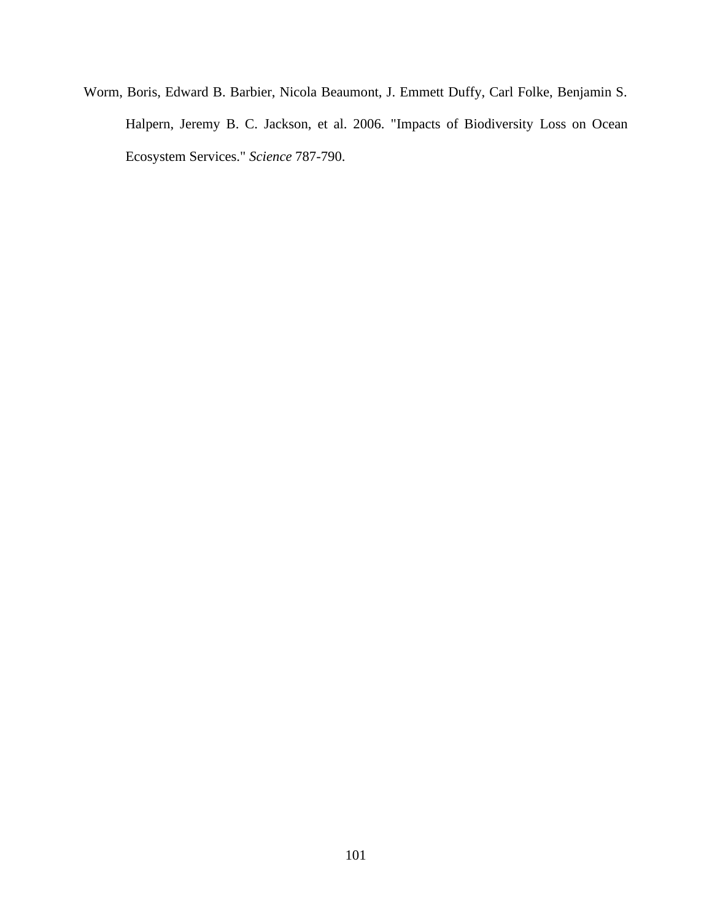Worm, Boris, Edward B. Barbier, Nicola Beaumont, J. Emmett Duffy, Carl Folke, Benjamin S. Halpern, Jeremy B. C. Jackson, et al. 2006. "Impacts of Biodiversity Loss on Ocean Ecosystem Services." *Science* 787-790.